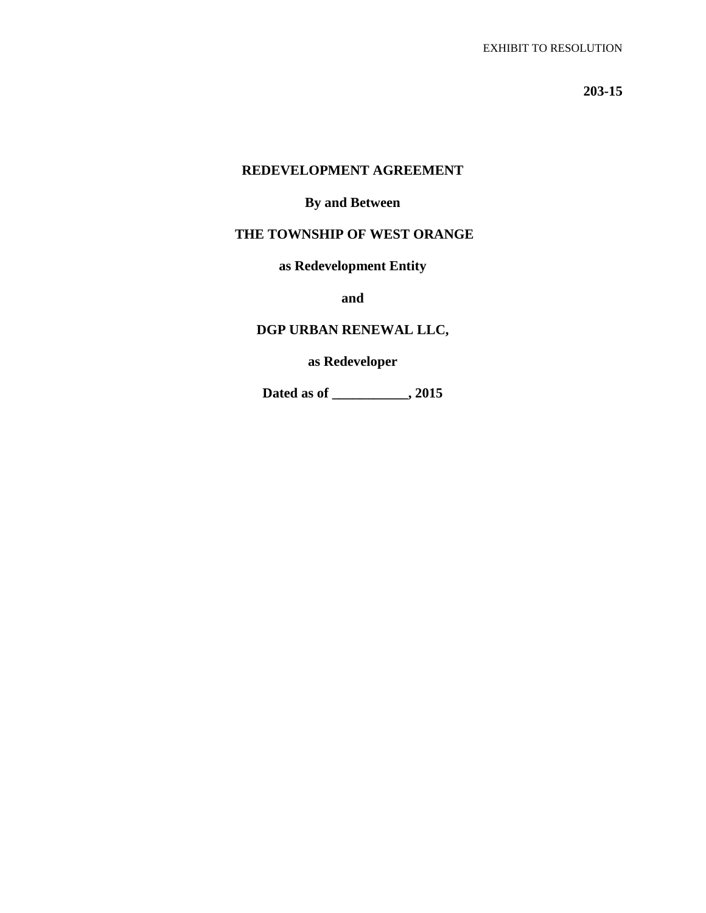**203-15**

## **REDEVELOPMENT AGREEMENT**

#### **By and Between**

## **THE TOWNSHIP OF WEST ORANGE**

**as Redevelopment Entity** 

**and**

## **DGP URBAN RENEWAL LLC,**

**as Redeveloper**

**Dated as of \_\_\_\_\_\_\_\_\_\_\_, 2015**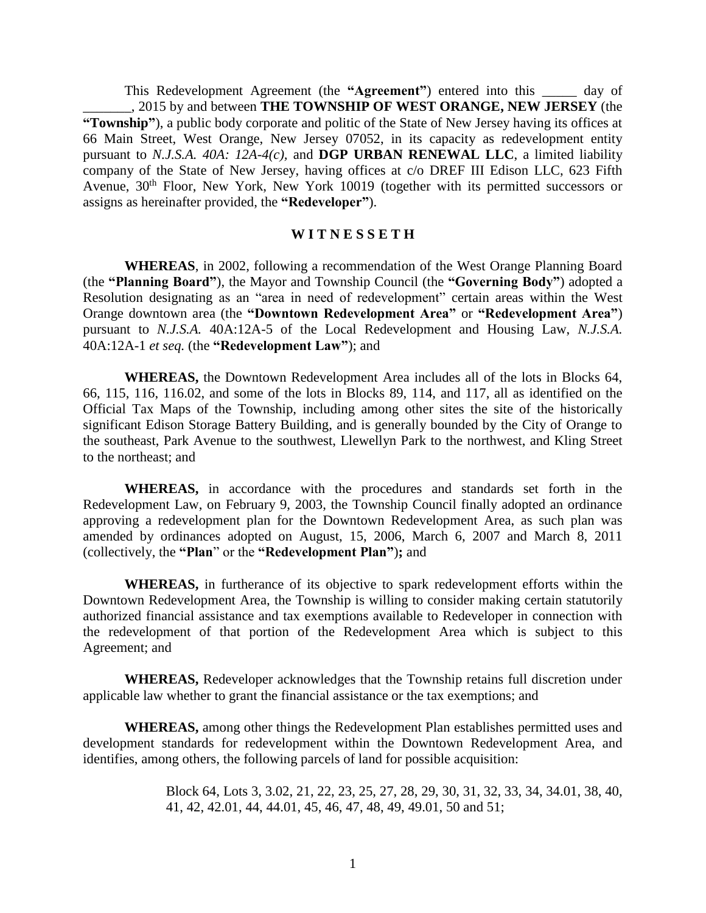This Redevelopment Agreement (the **"Agreement"**) entered into this \_\_\_\_\_ day of \_\_\_\_\_\_\_, 2015 by and between **THE TOWNSHIP OF WEST ORANGE, NEW JERSEY** (the **"Township"**), a public body corporate and politic of the State of New Jersey having its offices at 66 Main Street, West Orange, New Jersey 07052, in its capacity as redevelopment entity pursuant to *N.J.S.A. 40A: 12A-4(c),* and **DGP URBAN RENEWAL LLC**, a limited liability company of the State of New Jersey, having offices at c/o DREF III Edison LLC, 623 Fifth Avenue, 30<sup>th</sup> Floor, New York, New York 10019 (together with its permitted successors or assigns as hereinafter provided, the **"Redeveloper"**).

#### **W I T N E S S E T H**

**WHEREAS**, in 2002, following a recommendation of the West Orange Planning Board (the **"Planning Board"**), the Mayor and Township Council (the **"Governing Body"**) adopted a Resolution designating as an "area in need of redevelopment" certain areas within the West Orange downtown area (the **"Downtown Redevelopment Area"** or **"Redevelopment Area"**) pursuant to *N.J.S.A.* 40A:12A-5 of the Local Redevelopment and Housing Law, *N.J.S.A.*  40A:12A-1 *et seq.* (the **"Redevelopment Law"**); and

**WHEREAS,** the Downtown Redevelopment Area includes all of the lots in Blocks 64, 66, 115, 116, 116.02, and some of the lots in Blocks 89, 114, and 117, all as identified on the Official Tax Maps of the Township, including among other sites the site of the historically significant Edison Storage Battery Building, and is generally bounded by the City of Orange to the southeast, Park Avenue to the southwest, Llewellyn Park to the northwest, and Kling Street to the northeast; and

**WHEREAS,** in accordance with the procedures and standards set forth in the Redevelopment Law, on February 9, 2003, the Township Council finally adopted an ordinance approving a redevelopment plan for the Downtown Redevelopment Area, as such plan was amended by ordinances adopted on August, 15, 2006, March 6, 2007 and March 8, 2011 (collectively, the **"Plan**" or the **"Redevelopment Plan"**)**;** and

**WHEREAS,** in furtherance of its objective to spark redevelopment efforts within the Downtown Redevelopment Area, the Township is willing to consider making certain statutorily authorized financial assistance and tax exemptions available to Redeveloper in connection with the redevelopment of that portion of the Redevelopment Area which is subject to this Agreement; and

**WHEREAS,** Redeveloper acknowledges that the Township retains full discretion under applicable law whether to grant the financial assistance or the tax exemptions; and

**WHEREAS,** among other things the Redevelopment Plan establishes permitted uses and development standards for redevelopment within the Downtown Redevelopment Area, and identifies, among others, the following parcels of land for possible acquisition:

> Block 64, Lots 3, 3.02, 21, 22, 23, 25, 27, 28, 29, 30, 31, 32, 33, 34, 34.01, 38, 40, 41, 42, 42.01, 44, 44.01, 45, 46, 47, 48, 49, 49.01, 50 and 51;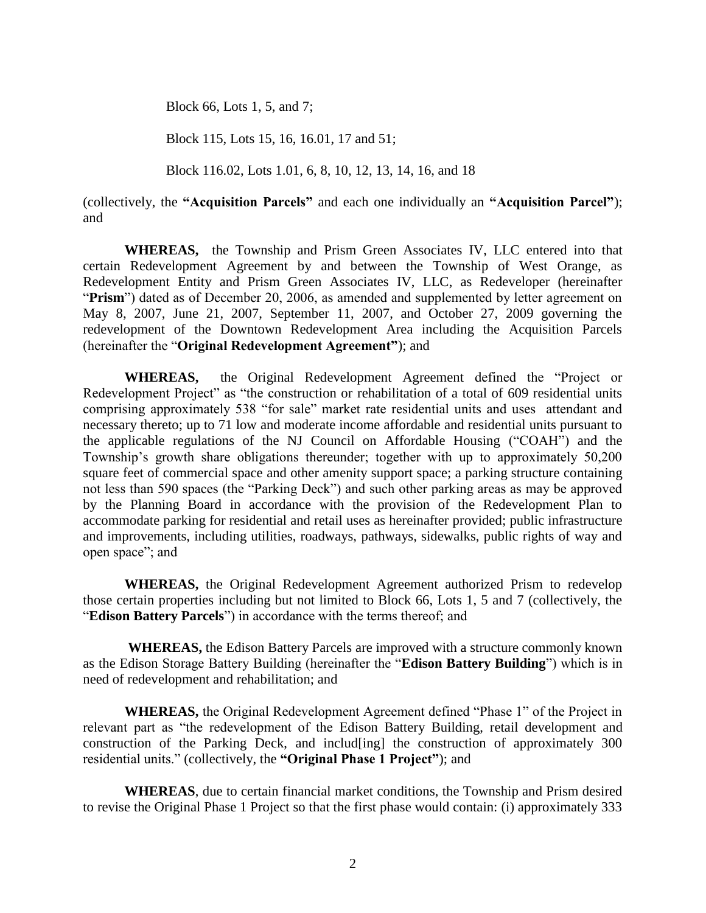Block 66, Lots 1, 5, and 7;

Block 115, Lots 15, 16, 16.01, 17 and 51;

Block 116.02, Lots 1.01, 6, 8, 10, 12, 13, 14, 16, and 18

(collectively, the **"Acquisition Parcels"** and each one individually an **"Acquisition Parcel"**); and

 **WHEREAS,** the Township and Prism Green Associates IV, LLC entered into that certain Redevelopment Agreement by and between the Township of West Orange, as Redevelopment Entity and Prism Green Associates IV, LLC, as Redeveloper (hereinafter "**Prism**") dated as of December 20, 2006, as amended and supplemented by letter agreement on May 8, 2007, June 21, 2007, September 11, 2007, and October 27, 2009 governing the redevelopment of the Downtown Redevelopment Area including the Acquisition Parcels (hereinafter the "**Original Redevelopment Agreement"**); and

 **WHEREAS,** the Original Redevelopment Agreement defined the "Project or Redevelopment Project" as "the construction or rehabilitation of a total of 609 residential units comprising approximately 538 "for sale" market rate residential units and uses attendant and necessary thereto; up to 71 low and moderate income affordable and residential units pursuant to the applicable regulations of the NJ Council on Affordable Housing ("COAH") and the Township's growth share obligations thereunder; together with up to approximately 50,200 square feet of commercial space and other amenity support space; a parking structure containing not less than 590 spaces (the "Parking Deck") and such other parking areas as may be approved by the Planning Board in accordance with the provision of the Redevelopment Plan to accommodate parking for residential and retail uses as hereinafter provided; public infrastructure and improvements, including utilities, roadways, pathways, sidewalks, public rights of way and open space"; and

 **WHEREAS,** the Original Redevelopment Agreement authorized Prism to redevelop those certain properties including but not limited to Block 66, Lots 1, 5 and 7 (collectively, the "**Edison Battery Parcels**") in accordance with the terms thereof; and

 **WHEREAS,** the Edison Battery Parcels are improved with a structure commonly known as the Edison Storage Battery Building (hereinafter the "**Edison Battery Building**") which is in need of redevelopment and rehabilitation; and

**WHEREAS,** the Original Redevelopment Agreement defined "Phase 1" of the Project in relevant part as "the redevelopment of the Edison Battery Building, retail development and construction of the Parking Deck, and includ[ing] the construction of approximately 300 residential units." (collectively, the **"Original Phase 1 Project"**); and

**WHEREAS**, due to certain financial market conditions, the Township and Prism desired to revise the Original Phase 1 Project so that the first phase would contain: (i) approximately 333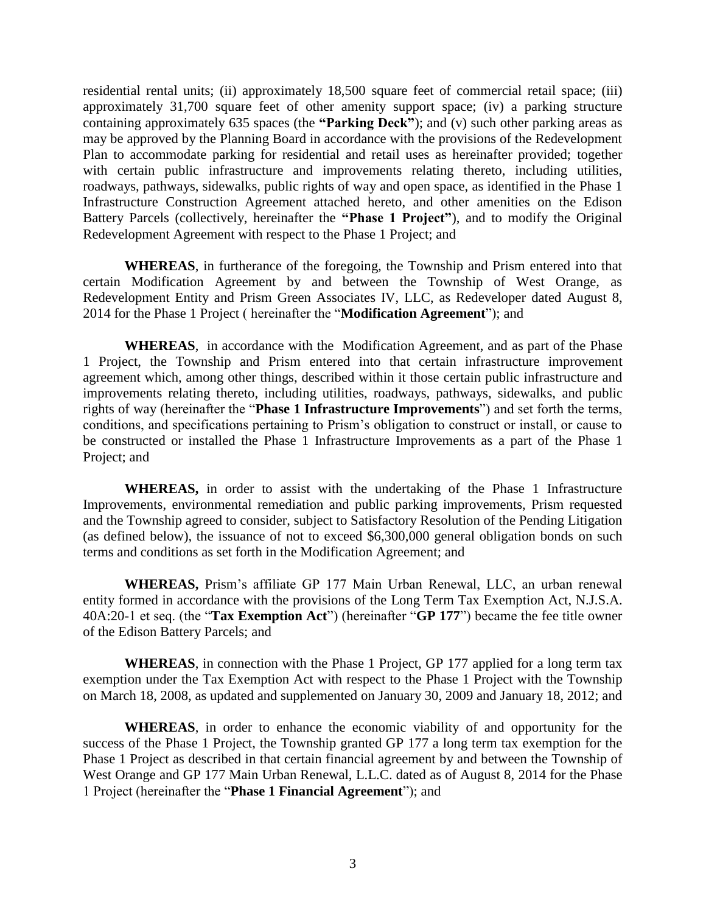residential rental units; (ii) approximately 18,500 square feet of commercial retail space; (iii) approximately 31,700 square feet of other amenity support space; (iv) a parking structure containing approximately 635 spaces (the **"Parking Deck"**); and (v) such other parking areas as may be approved by the Planning Board in accordance with the provisions of the Redevelopment Plan to accommodate parking for residential and retail uses as hereinafter provided; together with certain public infrastructure and improvements relating thereto, including utilities, roadways, pathways, sidewalks, public rights of way and open space, as identified in the Phase 1 Infrastructure Construction Agreement attached hereto, and other amenities on the Edison Battery Parcels (collectively, hereinafter the **"Phase 1 Project"**), and to modify the Original Redevelopment Agreement with respect to the Phase 1 Project; and

**WHEREAS**, in furtherance of the foregoing, the Township and Prism entered into that certain Modification Agreement by and between the Township of West Orange, as Redevelopment Entity and Prism Green Associates IV, LLC, as Redeveloper dated August 8, 2014 for the Phase 1 Project ( hereinafter the "**Modification Agreement**"); and

**WHEREAS**, in accordance with the Modification Agreement, and as part of the Phase 1 Project, the Township and Prism entered into that certain infrastructure improvement agreement which, among other things, described within it those certain public infrastructure and improvements relating thereto, including utilities, roadways, pathways, sidewalks, and public rights of way (hereinafter the "**Phase 1 Infrastructure Improvements**") and set forth the terms, conditions, and specifications pertaining to Prism's obligation to construct or install, or cause to be constructed or installed the Phase 1 Infrastructure Improvements as a part of the Phase 1 Project; and

**WHEREAS,** in order to assist with the undertaking of the Phase 1 Infrastructure Improvements, environmental remediation and public parking improvements, Prism requested and the Township agreed to consider, subject to Satisfactory Resolution of the Pending Litigation (as defined below), the issuance of not to exceed \$6,300,000 general obligation bonds on such terms and conditions as set forth in the Modification Agreement; and

**WHEREAS,** Prism's affiliate GP 177 Main Urban Renewal, LLC, an urban renewal entity formed in accordance with the provisions of the Long Term Tax Exemption Act, N.J.S.A. 40A:20-1 et seq. (the "**Tax Exemption Act**") (hereinafter "**GP 177**") became the fee title owner of the Edison Battery Parcels; and

**WHEREAS**, in connection with the Phase 1 Project, GP 177 applied for a long term tax exemption under the Tax Exemption Act with respect to the Phase 1 Project with the Township on March 18, 2008, as updated and supplemented on January 30, 2009 and January 18, 2012; and

**WHEREAS**, in order to enhance the economic viability of and opportunity for the success of the Phase 1 Project, the Township granted GP 177 a long term tax exemption for the Phase 1 Project as described in that certain financial agreement by and between the Township of West Orange and GP 177 Main Urban Renewal, L.L.C. dated as of August 8, 2014 for the Phase 1 Project (hereinafter the "**Phase 1 Financial Agreement**"); and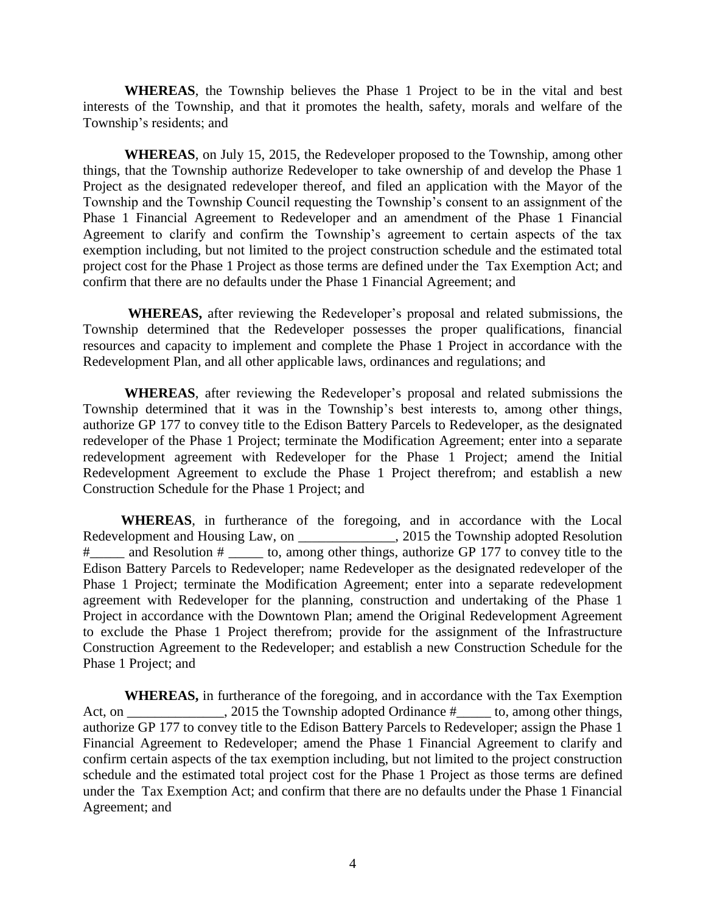**WHEREAS**, the Township believes the Phase 1 Project to be in the vital and best interests of the Township, and that it promotes the health, safety, morals and welfare of the Township's residents; and

**WHEREAS**, on July 15, 2015, the Redeveloper proposed to the Township, among other things, that the Township authorize Redeveloper to take ownership of and develop the Phase 1 Project as the designated redeveloper thereof, and filed an application with the Mayor of the Township and the Township Council requesting the Township's consent to an assignment of the Phase 1 Financial Agreement to Redeveloper and an amendment of the Phase 1 Financial Agreement to clarify and confirm the Township's agreement to certain aspects of the tax exemption including, but not limited to the project construction schedule and the estimated total project cost for the Phase 1 Project as those terms are defined under the Tax Exemption Act; and confirm that there are no defaults under the Phase 1 Financial Agreement; and

 **WHEREAS,** after reviewing the Redeveloper's proposal and related submissions, the Township determined that the Redeveloper possesses the proper qualifications, financial resources and capacity to implement and complete the Phase 1 Project in accordance with the Redevelopment Plan, and all other applicable laws, ordinances and regulations; and

**WHEREAS**, after reviewing the Redeveloper's proposal and related submissions the Township determined that it was in the Township's best interests to, among other things, authorize GP 177 to convey title to the Edison Battery Parcels to Redeveloper, as the designated redeveloper of the Phase 1 Project; terminate the Modification Agreement; enter into a separate redevelopment agreement with Redeveloper for the Phase 1 Project; amend the Initial Redevelopment Agreement to exclude the Phase 1 Project therefrom; and establish a new Construction Schedule for the Phase 1 Project; and

 **WHEREAS**, in furtherance of the foregoing, and in accordance with the Local Redevelopment and Housing Law, on \_\_\_\_\_\_\_\_\_\_\_\_\_\_\_, 2015 the Township adopted Resolution # and Resolution #  $\overline{a}$  to, among other things, authorize GP 177 to convey title to the Edison Battery Parcels to Redeveloper; name Redeveloper as the designated redeveloper of the Phase 1 Project; terminate the Modification Agreement; enter into a separate redevelopment agreement with Redeveloper for the planning, construction and undertaking of the Phase 1 Project in accordance with the Downtown Plan; amend the Original Redevelopment Agreement to exclude the Phase 1 Project therefrom; provide for the assignment of the Infrastructure Construction Agreement to the Redeveloper; and establish a new Construction Schedule for the Phase 1 Project; and

 **WHEREAS,** in furtherance of the foregoing, and in accordance with the Tax Exemption Act, on \_\_\_\_\_\_\_\_\_\_\_\_\_, 2015 the Township adopted Ordinance  $\#$  \_\_\_\_\_ to, among other things, authorize GP 177 to convey title to the Edison Battery Parcels to Redeveloper; assign the Phase 1 Financial Agreement to Redeveloper; amend the Phase 1 Financial Agreement to clarify and confirm certain aspects of the tax exemption including, but not limited to the project construction schedule and the estimated total project cost for the Phase 1 Project as those terms are defined under the Tax Exemption Act; and confirm that there are no defaults under the Phase 1 Financial Agreement; and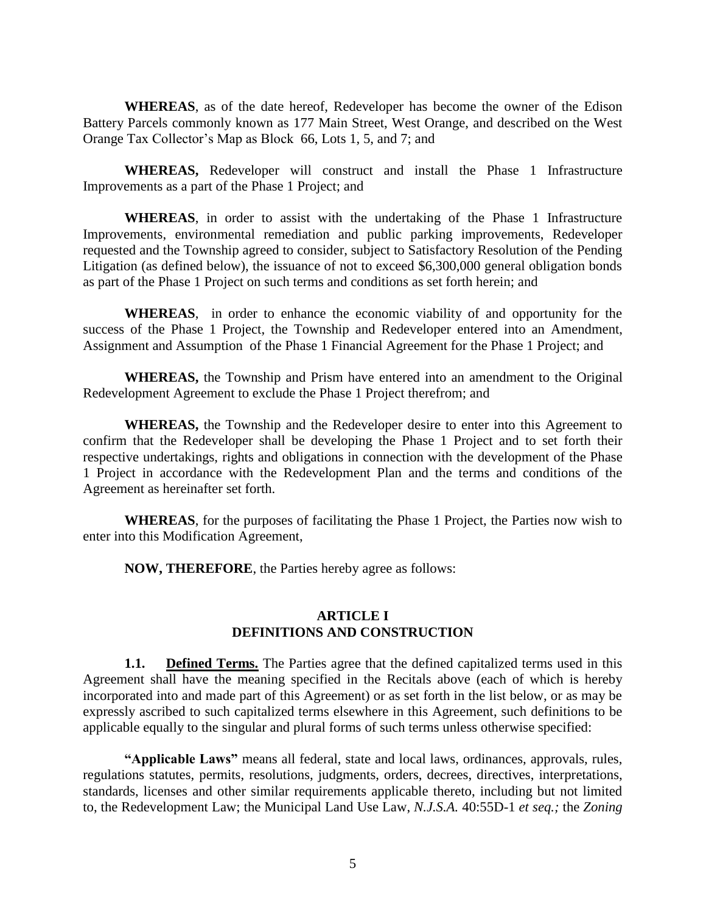**WHEREAS**, as of the date hereof, Redeveloper has become the owner of the Edison Battery Parcels commonly known as 177 Main Street, West Orange, and described on the West Orange Tax Collector's Map as Block 66, Lots 1, 5, and 7; and

 **WHEREAS,** Redeveloper will construct and install the Phase 1 Infrastructure Improvements as a part of the Phase 1 Project; and

 **WHEREAS**, in order to assist with the undertaking of the Phase 1 Infrastructure Improvements, environmental remediation and public parking improvements, Redeveloper requested and the Township agreed to consider, subject to Satisfactory Resolution of the Pending Litigation (as defined below), the issuance of not to exceed \$6,300,000 general obligation bonds as part of the Phase 1 Project on such terms and conditions as set forth herein; and

 **WHEREAS**, in order to enhance the economic viability of and opportunity for the success of the Phase 1 Project, the Township and Redeveloper entered into an Amendment, Assignment and Assumption of the Phase 1 Financial Agreement for the Phase 1 Project; and

**WHEREAS,** the Township and Prism have entered into an amendment to the Original Redevelopment Agreement to exclude the Phase 1 Project therefrom; and

 **WHEREAS,** the Township and the Redeveloper desire to enter into this Agreement to confirm that the Redeveloper shall be developing the Phase 1 Project and to set forth their respective undertakings, rights and obligations in connection with the development of the Phase 1 Project in accordance with the Redevelopment Plan and the terms and conditions of the Agreement as hereinafter set forth.

**WHEREAS**, for the purposes of facilitating the Phase 1 Project, the Parties now wish to enter into this Modification Agreement,

**NOW, THEREFORE**, the Parties hereby agree as follows:

#### **ARTICLE I DEFINITIONS AND CONSTRUCTION**

**1.1. Defined Terms.** The Parties agree that the defined capitalized terms used in this Agreement shall have the meaning specified in the Recitals above (each of which is hereby incorporated into and made part of this Agreement) or as set forth in the list below, or as may be expressly ascribed to such capitalized terms elsewhere in this Agreement, such definitions to be applicable equally to the singular and plural forms of such terms unless otherwise specified:

**"Applicable Laws"** means all federal, state and local laws, ordinances, approvals, rules, regulations statutes, permits, resolutions, judgments, orders, decrees, directives, interpretations, standards, licenses and other similar requirements applicable thereto, including but not limited to, the Redevelopment Law; the Municipal Land Use Law, *N.J.S.A.* 40:55D-1 *et seq.;* the *Zoning*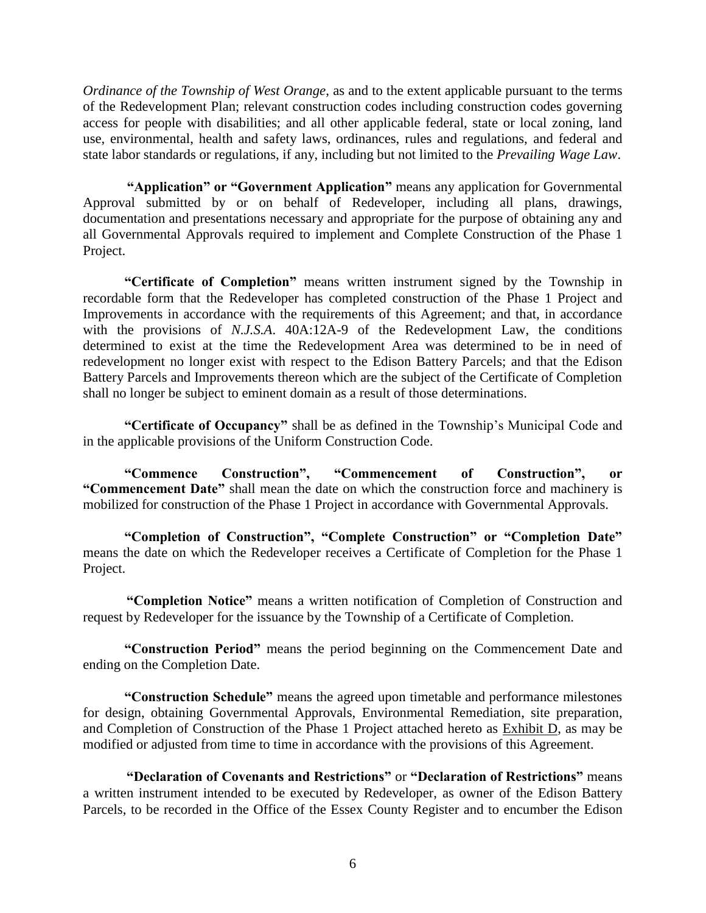*Ordinance of the Township of West Orange*, as and to the extent applicable pursuant to the terms of the Redevelopment Plan; relevant construction codes including construction codes governing access for people with disabilities; and all other applicable federal, state or local zoning, land use, environmental, health and safety laws, ordinances, rules and regulations, and federal and state labor standards or regulations, if any, including but not limited to the *Prevailing Wage Law*.

**"Application" or "Government Application"** means any application for Governmental Approval submitted by or on behalf of Redeveloper, including all plans, drawings, documentation and presentations necessary and appropriate for the purpose of obtaining any and all Governmental Approvals required to implement and Complete Construction of the Phase 1 Project.

**"Certificate of Completion"** means written instrument signed by the Township in recordable form that the Redeveloper has completed construction of the Phase 1 Project and Improvements in accordance with the requirements of this Agreement; and that, in accordance with the provisions of *N.J.S.A*. 40A:12A-9 of the Redevelopment Law, the conditions determined to exist at the time the Redevelopment Area was determined to be in need of redevelopment no longer exist with respect to the Edison Battery Parcels; and that the Edison Battery Parcels and Improvements thereon which are the subject of the Certificate of Completion shall no longer be subject to eminent domain as a result of those determinations.

**"Certificate of Occupancy"** shall be as defined in the Township's Municipal Code and in the applicable provisions of the Uniform Construction Code.

**"Commence Construction", "Commencement of Construction", or "Commencement Date"** shall mean the date on which the construction force and machinery is mobilized for construction of the Phase 1 Project in accordance with Governmental Approvals.

**"Completion of Construction", "Complete Construction" or "Completion Date"**  means the date on which the Redeveloper receives a Certificate of Completion for the Phase 1 Project.

**"Completion Notice"** means a written notification of Completion of Construction and request by Redeveloper for the issuance by the Township of a Certificate of Completion.

**"Construction Period"** means the period beginning on the Commencement Date and ending on the Completion Date.

**"Construction Schedule"** means the agreed upon timetable and performance milestones for design, obtaining Governmental Approvals, Environmental Remediation, site preparation, and Completion of Construction of the Phase 1 Project attached hereto as Exhibit D, as may be modified or adjusted from time to time in accordance with the provisions of this Agreement.

**"Declaration of Covenants and Restrictions"** or **"Declaration of Restrictions"** means a written instrument intended to be executed by Redeveloper, as owner of the Edison Battery Parcels, to be recorded in the Office of the Essex County Register and to encumber the Edison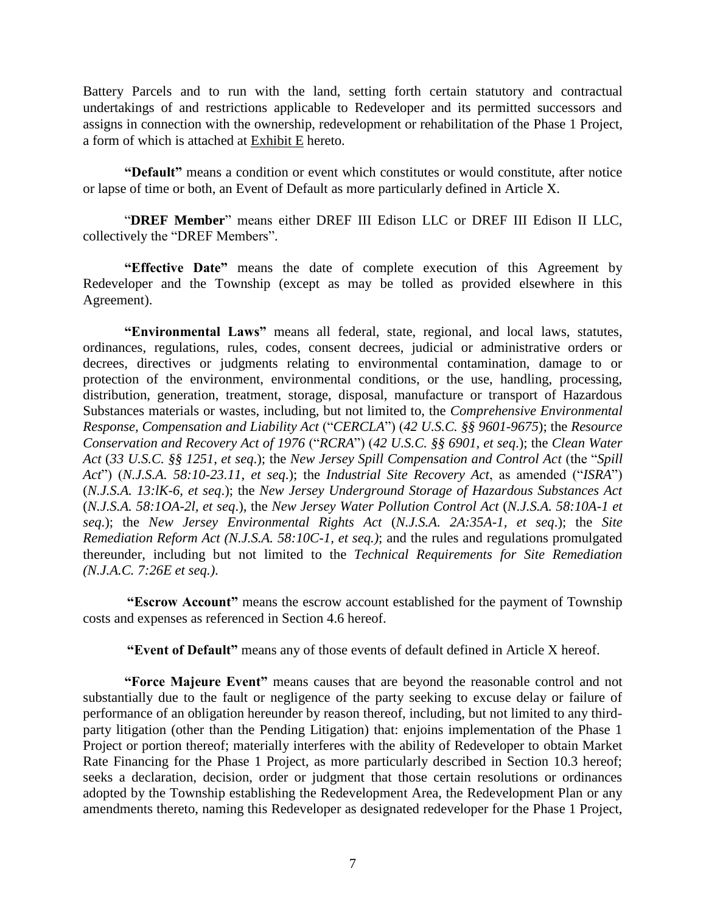Battery Parcels and to run with the land, setting forth certain statutory and contractual undertakings of and restrictions applicable to Redeveloper and its permitted successors and assigns in connection with the ownership, redevelopment or rehabilitation of the Phase 1 Project, a form of which is attached at Exhibit E hereto.

**"Default"** means a condition or event which constitutes or would constitute, after notice or lapse of time or both, an Event of Default as more particularly defined in Article X.

 "**DREF Member**" means either DREF III Edison LLC or DREF III Edison II LLC, collectively the "DREF Members".

**"Effective Date"** means the date of complete execution of this Agreement by Redeveloper and the Township (except as may be tolled as provided elsewhere in this Agreement).

**"Environmental Laws"** means all federal, state, regional, and local laws, statutes, ordinances, regulations, rules, codes, consent decrees, judicial or administrative orders or decrees, directives or judgments relating to environmental contamination, damage to or protection of the environment, environmental conditions, or the use, handling, processing, distribution, generation, treatment, storage, disposal, manufacture or transport of Hazardous Substances materials or wastes, including, but not limited to, the *Comprehensive Environmental Response, Compensation and Liability Act* ("*CERCLA*") (*42 U.S.C. §§ 9601-9675*); the *Resource Conservation and Recovery Act of 1976* ("*RCRA*") (*42 U.S.C. §§ 6901, et seq*.); the *Clean Water Act* (*33 U.S.C. §§ 1251*, *et seq*.); the *New Jersey Spill Compensation and Control Act* (the "*Spill Act*") (*N.J.S.A. 58:10-23.11*, *et seq*.); the *Industrial Site Recovery Act*, as amended ("*ISRA*") (*N.J.S.A. 13:lK-6, et seq*.); the *New Jersey Underground Storage of Hazardous Substances Act* (*N.J.S.A. 58:1OA-2l, et seq*.), the *New Jersey Water Pollution Control Act* (*N.J.S.A. 58:10A-1 et seq*.); the *New Jersey Environmental Rights Act* (*N.J.S.A. 2A:35A-1, et seq*.); the *Site Remediation Reform Act (N.J.S.A. 58:10C-1, et seq.)*; and the rules and regulations promulgated thereunder, including but not limited to the *Technical Requirements for Site Remediation (N.J.A.C. 7:26E et seq.)*.

**"Escrow Account"** means the escrow account established for the payment of Township costs and expenses as referenced in Section 4.6 hereof.

**"Event of Default"** means any of those events of default defined in Article X hereof.

**"Force Majeure Event"** means causes that are beyond the reasonable control and not substantially due to the fault or negligence of the party seeking to excuse delay or failure of performance of an obligation hereunder by reason thereof, including, but not limited to any thirdparty litigation (other than the Pending Litigation) that: enjoins implementation of the Phase 1 Project or portion thereof; materially interferes with the ability of Redeveloper to obtain Market Rate Financing for the Phase 1 Project, as more particularly described in Section 10.3 hereof; seeks a declaration, decision, order or judgment that those certain resolutions or ordinances adopted by the Township establishing the Redevelopment Area, the Redevelopment Plan or any amendments thereto, naming this Redeveloper as designated redeveloper for the Phase 1 Project,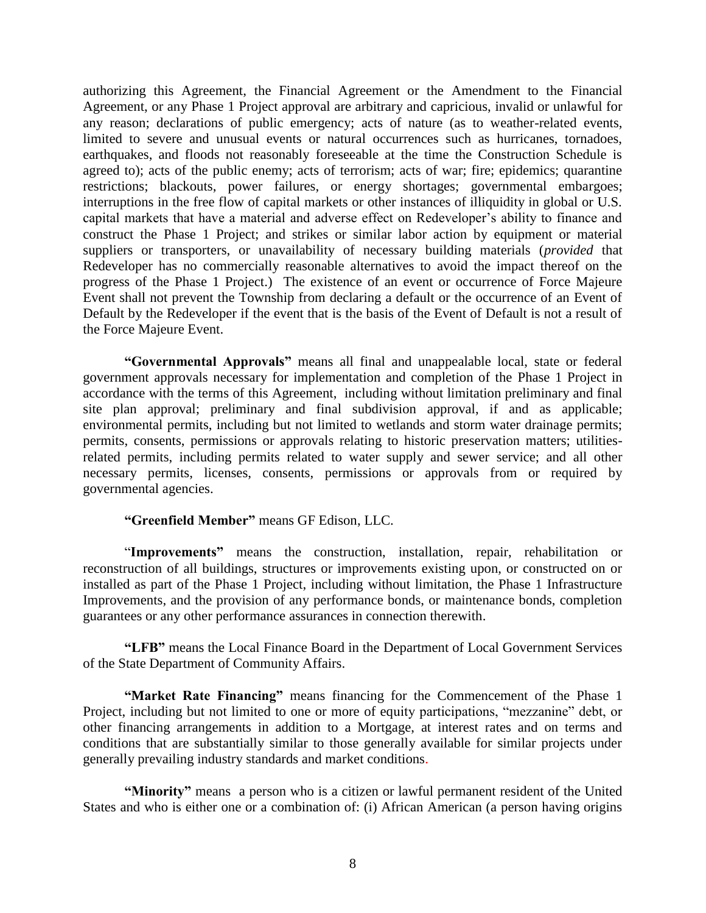authorizing this Agreement, the Financial Agreement or the Amendment to the Financial Agreement, or any Phase 1 Project approval are arbitrary and capricious, invalid or unlawful for any reason; declarations of public emergency; acts of nature (as to weather-related events, limited to severe and unusual events or natural occurrences such as hurricanes, tornadoes, earthquakes, and floods not reasonably foreseeable at the time the Construction Schedule is agreed to); acts of the public enemy; acts of terrorism; acts of war; fire; epidemics; quarantine restrictions; blackouts, power failures, or energy shortages; governmental embargoes; interruptions in the free flow of capital markets or other instances of illiquidity in global or U.S. capital markets that have a material and adverse effect on Redeveloper's ability to finance and construct the Phase 1 Project; and strikes or similar labor action by equipment or material suppliers or transporters, or unavailability of necessary building materials (*provided* that Redeveloper has no commercially reasonable alternatives to avoid the impact thereof on the progress of the Phase 1 Project.) The existence of an event or occurrence of Force Majeure Event shall not prevent the Township from declaring a default or the occurrence of an Event of Default by the Redeveloper if the event that is the basis of the Event of Default is not a result of the Force Majeure Event.

**"Governmental Approvals"** means all final and unappealable local, state or federal government approvals necessary for implementation and completion of the Phase 1 Project in accordance with the terms of this Agreement, including without limitation preliminary and final site plan approval; preliminary and final subdivision approval, if and as applicable; environmental permits, including but not limited to wetlands and storm water drainage permits; permits, consents, permissions or approvals relating to historic preservation matters; utilitiesrelated permits, including permits related to water supply and sewer service; and all other necessary permits, licenses, consents, permissions or approvals from or required by governmental agencies.

#### **"Greenfield Member"** means GF Edison, LLC.

"**Improvements"** means the construction, installation, repair, rehabilitation or reconstruction of all buildings, structures or improvements existing upon, or constructed on or installed as part of the Phase 1 Project, including without limitation, the Phase 1 Infrastructure Improvements, and the provision of any performance bonds, or maintenance bonds, completion guarantees or any other performance assurances in connection therewith.

**"LFB"** means the Local Finance Board in the Department of Local Government Services of the State Department of Community Affairs.

**"Market Rate Financing"** means financing for the Commencement of the Phase 1 Project, including but not limited to one or more of equity participations, "mezzanine" debt, or other financing arrangements in addition to a Mortgage, at interest rates and on terms and conditions that are substantially similar to those generally available for similar projects under generally prevailing industry standards and market conditions.

**"Minority"** means a person who is a citizen or lawful permanent resident of the United States and who is either one or a combination of: (i) African American (a person having origins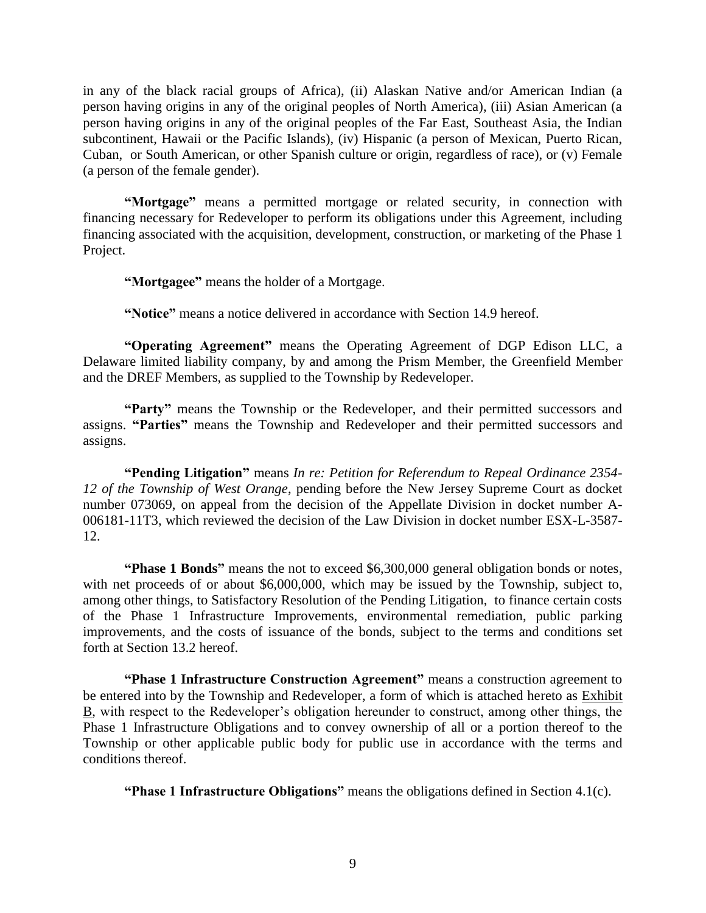in any of the black racial groups of Africa), (ii) Alaskan Native and/or American Indian (a person having origins in any of the original peoples of North America), (iii) Asian American (a person having origins in any of the original peoples of the Far East, Southeast Asia, the Indian subcontinent, Hawaii or the Pacific Islands), (iv) Hispanic (a person of Mexican, Puerto Rican, Cuban, or South American, or other Spanish culture or origin, regardless of race), or (v) Female (a person of the female gender).

**"Mortgage"** means a permitted mortgage or related security, in connection with financing necessary for Redeveloper to perform its obligations under this Agreement, including financing associated with the acquisition, development, construction, or marketing of the Phase 1 Project.

**"Mortgagee"** means the holder of a Mortgage.

**"Notice"** means a notice delivered in accordance with Section 14.9 hereof.

**"Operating Agreement"** means the Operating Agreement of DGP Edison LLC, a Delaware limited liability company, by and among the Prism Member, the Greenfield Member and the DREF Members, as supplied to the Township by Redeveloper.

**"Party"** means the Township or the Redeveloper, and their permitted successors and assigns. **"Parties"** means the Township and Redeveloper and their permitted successors and assigns.

**"Pending Litigation"** means *In re: Petition for Referendum to Repeal Ordinance 2354- 12 of the Township of West Orange*, pending before the New Jersey Supreme Court as docket number 073069, on appeal from the decision of the Appellate Division in docket number A-006181-11T3, which reviewed the decision of the Law Division in docket number ESX-L-3587- 12.

**"Phase 1 Bonds"** means the not to exceed \$6,300,000 general obligation bonds or notes, with net proceeds of or about \$6,000,000, which may be issued by the Township, subject to, among other things, to Satisfactory Resolution of the Pending Litigation, to finance certain costs of the Phase 1 Infrastructure Improvements, environmental remediation, public parking improvements, and the costs of issuance of the bonds, subject to the terms and conditions set forth at Section 13.2 hereof.

**"Phase 1 Infrastructure Construction Agreement"** means a construction agreement to be entered into by the Township and Redeveloper, a form of which is attached hereto as Exhibit B, with respect to the Redeveloper's obligation hereunder to construct, among other things, the Phase 1 Infrastructure Obligations and to convey ownership of all or a portion thereof to the Township or other applicable public body for public use in accordance with the terms and conditions thereof.

**"Phase 1 Infrastructure Obligations"** means the obligations defined in Section 4.1(c).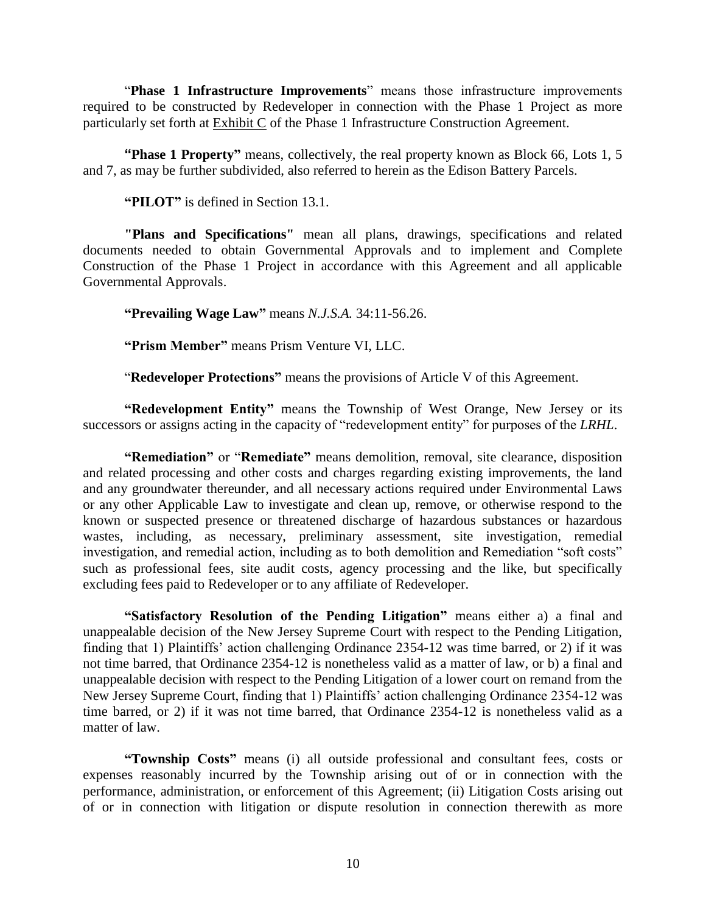"**Phase 1 Infrastructure Improvements**" means those infrastructure improvements required to be constructed by Redeveloper in connection with the Phase 1 Project as more particularly set forth at Exhibit C of the Phase 1 Infrastructure Construction Agreement.

**"Phase 1 Property"** means, collectively, the real property known as Block 66, Lots 1, 5 and 7, as may be further subdivided, also referred to herein as the Edison Battery Parcels.

**"PILOT"** is defined in Section 13.1.

**"Plans and Specifications"** mean all plans, drawings, specifications and related documents needed to obtain Governmental Approvals and to implement and Complete Construction of the Phase 1 Project in accordance with this Agreement and all applicable Governmental Approvals.

**"Prevailing Wage Law"** means *N.J.S.A.* 34:11-56.26.

**"Prism Member"** means Prism Venture VI, LLC.

"**Redeveloper Protections"** means the provisions of Article V of this Agreement.

**"Redevelopment Entity"** means the Township of West Orange, New Jersey or its successors or assigns acting in the capacity of "redevelopment entity" for purposes of the *LRHL*.

**"Remediation"** or "**Remediate"** means demolition, removal, site clearance, disposition and related processing and other costs and charges regarding existing improvements, the land and any groundwater thereunder, and all necessary actions required under Environmental Laws or any other Applicable Law to investigate and clean up, remove, or otherwise respond to the known or suspected presence or threatened discharge of hazardous substances or hazardous wastes, including, as necessary, preliminary assessment, site investigation, remedial investigation, and remedial action, including as to both demolition and Remediation "soft costs" such as professional fees, site audit costs, agency processing and the like, but specifically excluding fees paid to Redeveloper or to any affiliate of Redeveloper.

**"Satisfactory Resolution of the Pending Litigation"** means either a) a final and unappealable decision of the New Jersey Supreme Court with respect to the Pending Litigation, finding that 1) Plaintiffs' action challenging Ordinance 2354-12 was time barred, or 2) if it was not time barred, that Ordinance 2354-12 is nonetheless valid as a matter of law, or b) a final and unappealable decision with respect to the Pending Litigation of a lower court on remand from the New Jersey Supreme Court, finding that 1) Plaintiffs' action challenging Ordinance 2354-12 was time barred, or 2) if it was not time barred, that Ordinance 2354-12 is nonetheless valid as a matter of law.

**"Township Costs"** means (i) all outside professional and consultant fees, costs or expenses reasonably incurred by the Township arising out of or in connection with the performance, administration, or enforcement of this Agreement; (ii) Litigation Costs arising out of or in connection with litigation or dispute resolution in connection therewith as more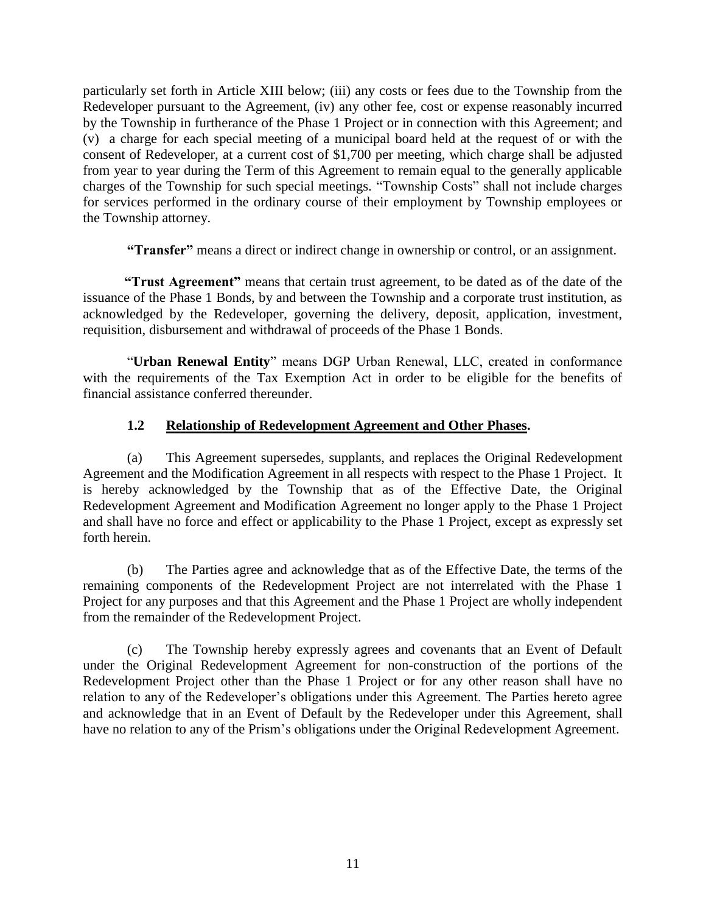particularly set forth in Article XIII below; (iii) any costs or fees due to the Township from the Redeveloper pursuant to the Agreement, (iv) any other fee, cost or expense reasonably incurred by the Township in furtherance of the Phase 1 Project or in connection with this Agreement; and (v) a charge for each special meeting of a municipal board held at the request of or with the consent of Redeveloper, at a current cost of \$1,700 per meeting, which charge shall be adjusted from year to year during the Term of this Agreement to remain equal to the generally applicable charges of the Township for such special meetings. "Township Costs" shall not include charges for services performed in the ordinary course of their employment by Township employees or the Township attorney.

**"Transfer"** means a direct or indirect change in ownership or control, or an assignment.

**"Trust Agreement"** means that certain trust agreement, to be dated as of the date of the issuance of the Phase 1 Bonds, by and between the Township and a corporate trust institution, as acknowledged by the Redeveloper, governing the delivery, deposit, application, investment, requisition, disbursement and withdrawal of proceeds of the Phase 1 Bonds.

"**Urban Renewal Entity**" means DGP Urban Renewal, LLC, created in conformance with the requirements of the Tax Exemption Act in order to be eligible for the benefits of financial assistance conferred thereunder.

#### **1.2 Relationship of Redevelopment Agreement and Other Phases.**

(a) This Agreement supersedes, supplants, and replaces the Original Redevelopment Agreement and the Modification Agreement in all respects with respect to the Phase 1 Project. It is hereby acknowledged by the Township that as of the Effective Date, the Original Redevelopment Agreement and Modification Agreement no longer apply to the Phase 1 Project and shall have no force and effect or applicability to the Phase 1 Project, except as expressly set forth herein.

(b) The Parties agree and acknowledge that as of the Effective Date, the terms of the remaining components of the Redevelopment Project are not interrelated with the Phase 1 Project for any purposes and that this Agreement and the Phase 1 Project are wholly independent from the remainder of the Redevelopment Project.

(c) The Township hereby expressly agrees and covenants that an Event of Default under the Original Redevelopment Agreement for non-construction of the portions of the Redevelopment Project other than the Phase 1 Project or for any other reason shall have no relation to any of the Redeveloper's obligations under this Agreement. The Parties hereto agree and acknowledge that in an Event of Default by the Redeveloper under this Agreement, shall have no relation to any of the Prism's obligations under the Original Redevelopment Agreement.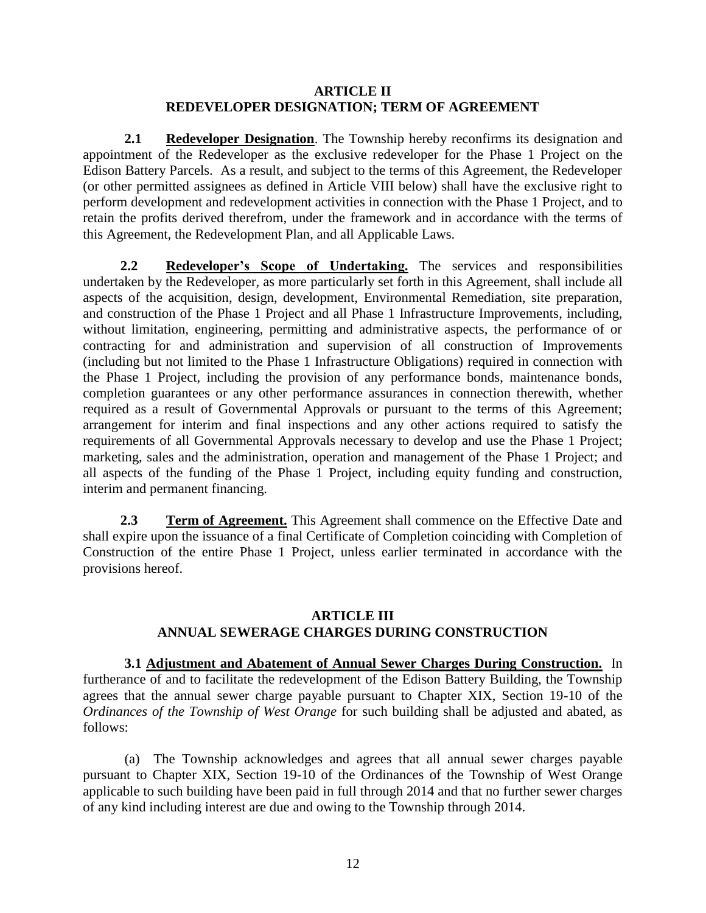#### **ARTICLE II REDEVELOPER DESIGNATION; TERM OF AGREEMENT**

**2.1** Redeveloper Designation. The Township hereby reconfirms its designation and appointment of the Redeveloper as the exclusive redeveloper for the Phase 1 Project on the Edison Battery Parcels. As a result, and subject to the terms of this Agreement, the Redeveloper (or other permitted assignees as defined in Article VIII below) shall have the exclusive right to perform development and redevelopment activities in connection with the Phase 1 Project, and to retain the profits derived therefrom, under the framework and in accordance with the terms of this Agreement, the Redevelopment Plan, and all Applicable Laws.

**2.2 Redeveloper's Scope of Undertaking.** The services and responsibilities undertaken by the Redeveloper, as more particularly set forth in this Agreement, shall include all aspects of the acquisition, design, development, Environmental Remediation, site preparation, and construction of the Phase 1 Project and all Phase 1 Infrastructure Improvements, including, without limitation, engineering, permitting and administrative aspects, the performance of or contracting for and administration and supervision of all construction of Improvements (including but not limited to the Phase 1 Infrastructure Obligations) required in connection with the Phase 1 Project, including the provision of any performance bonds, maintenance bonds, completion guarantees or any other performance assurances in connection therewith, whether required as a result of Governmental Approvals or pursuant to the terms of this Agreement; arrangement for interim and final inspections and any other actions required to satisfy the requirements of all Governmental Approvals necessary to develop and use the Phase 1 Project; marketing, sales and the administration, operation and management of the Phase 1 Project; and all aspects of the funding of the Phase 1 Project, including equity funding and construction, interim and permanent financing.

**2.3 Term of Agreement.** This Agreement shall commence on the Effective Date and shall expire upon the issuance of a final Certificate of Completion coinciding with Completion of Construction of the entire Phase 1 Project, unless earlier terminated in accordance with the provisions hereof.

#### **ARTICLE III ANNUAL SEWERAGE CHARGES DURING CONSTRUCTION**

**3.1 Adjustment and Abatement of Annual Sewer Charges During Construction.** In furtherance of and to facilitate the redevelopment of the Edison Battery Building, the Township agrees that the annual sewer charge payable pursuant to Chapter XIX, Section 19-10 of the *Ordinances of the Township of West Orange* for such building shall be adjusted and abated, as follows:

(a) The Township acknowledges and agrees that all annual sewer charges payable pursuant to Chapter XIX, Section 19-10 of the Ordinances of the Township of West Orange applicable to such building have been paid in full through 2014 and that no further sewer charges of any kind including interest are due and owing to the Township through 2014.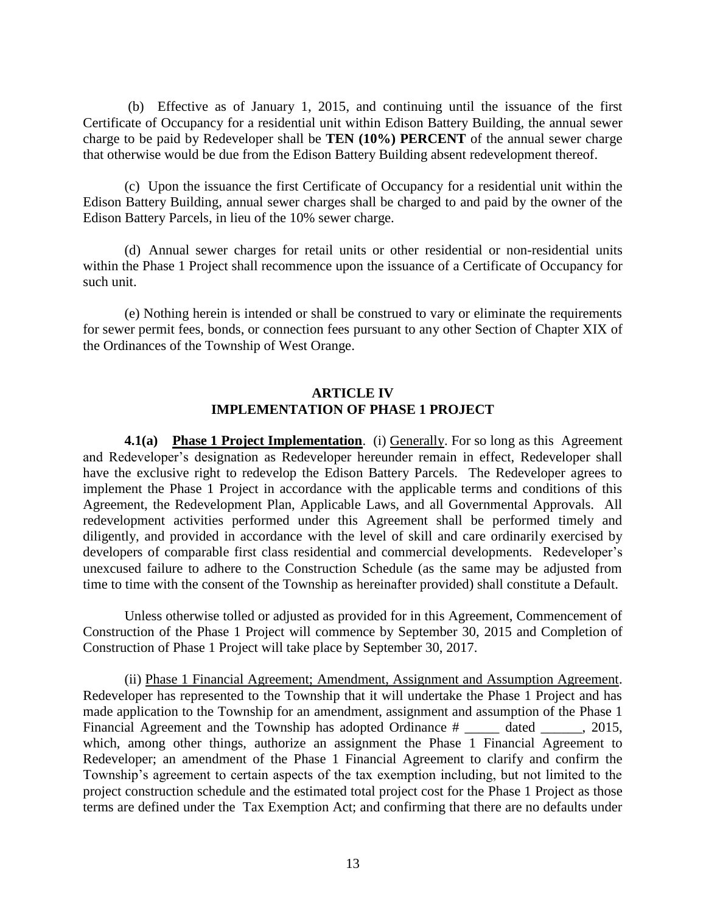(b) Effective as of January 1, 2015, and continuing until the issuance of the first Certificate of Occupancy for a residential unit within Edison Battery Building, the annual sewer charge to be paid by Redeveloper shall be **TEN (10%) PERCENT** of the annual sewer charge that otherwise would be due from the Edison Battery Building absent redevelopment thereof.

(c) Upon the issuance the first Certificate of Occupancy for a residential unit within the Edison Battery Building, annual sewer charges shall be charged to and paid by the owner of the Edison Battery Parcels, in lieu of the 10% sewer charge.

(d) Annual sewer charges for retail units or other residential or non-residential units within the Phase 1 Project shall recommence upon the issuance of a Certificate of Occupancy for such unit.

(e) Nothing herein is intended or shall be construed to vary or eliminate the requirements for sewer permit fees, bonds, or connection fees pursuant to any other Section of Chapter XIX of the Ordinances of the Township of West Orange.

#### **ARTICLE IV IMPLEMENTATION OF PHASE 1 PROJECT**

**4.1(a) Phase 1 Project Implementation**. (i) Generally. For so long as this Agreement and Redeveloper's designation as Redeveloper hereunder remain in effect, Redeveloper shall have the exclusive right to redevelop the Edison Battery Parcels. The Redeveloper agrees to implement the Phase 1 Project in accordance with the applicable terms and conditions of this Agreement, the Redevelopment Plan, Applicable Laws, and all Governmental Approvals. All redevelopment activities performed under this Agreement shall be performed timely and diligently, and provided in accordance with the level of skill and care ordinarily exercised by developers of comparable first class residential and commercial developments. Redeveloper's unexcused failure to adhere to the Construction Schedule (as the same may be adjusted from time to time with the consent of the Township as hereinafter provided) shall constitute a Default.

Unless otherwise tolled or adjusted as provided for in this Agreement, Commencement of Construction of the Phase 1 Project will commence by September 30, 2015 and Completion of Construction of Phase 1 Project will take place by September 30, 2017.

(ii) Phase 1 Financial Agreement; Amendment, Assignment and Assumption Agreement. Redeveloper has represented to the Township that it will undertake the Phase 1 Project and has made application to the Township for an amendment, assignment and assumption of the Phase 1 Financial Agreement and the Township has adopted Ordinance # \_\_\_\_\_\_ dated \_\_\_\_\_\_, 2015, which, among other things, authorize an assignment the Phase 1 Financial Agreement to Redeveloper; an amendment of the Phase 1 Financial Agreement to clarify and confirm the Township's agreement to certain aspects of the tax exemption including, but not limited to the project construction schedule and the estimated total project cost for the Phase 1 Project as those terms are defined under the Tax Exemption Act; and confirming that there are no defaults under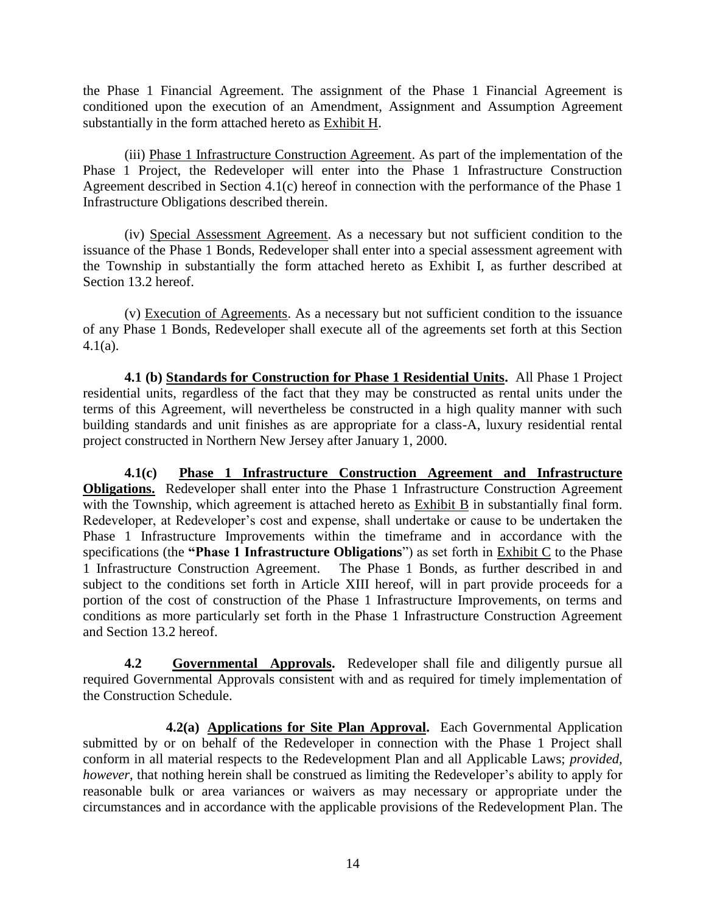the Phase 1 Financial Agreement. The assignment of the Phase 1 Financial Agreement is conditioned upon the execution of an Amendment, Assignment and Assumption Agreement substantially in the form attached hereto as Exhibit H.

(iii) Phase 1 Infrastructure Construction Agreement. As part of the implementation of the Phase 1 Project, the Redeveloper will enter into the Phase 1 Infrastructure Construction Agreement described in Section 4.1(c) hereof in connection with the performance of the Phase 1 Infrastructure Obligations described therein.

(iv) Special Assessment Agreement. As a necessary but not sufficient condition to the issuance of the Phase 1 Bonds, Redeveloper shall enter into a special assessment agreement with the Township in substantially the form attached hereto as Exhibit I, as further described at Section 13.2 hereof.

(v) Execution of Agreements. As a necessary but not sufficient condition to the issuance of any Phase 1 Bonds, Redeveloper shall execute all of the agreements set forth at this Section 4.1(a).

**4.1 (b) Standards for Construction for Phase 1 Residential Units.** All Phase 1 Project residential units, regardless of the fact that they may be constructed as rental units under the terms of this Agreement, will nevertheless be constructed in a high quality manner with such building standards and unit finishes as are appropriate for a class-A, luxury residential rental project constructed in Northern New Jersey after January 1, 2000.

**4.1(c) Phase 1 Infrastructure Construction Agreement and Infrastructure Obligations.** Redeveloper shall enter into the Phase 1 Infrastructure Construction Agreement with the Township, which agreement is attached hereto as Exhibit B in substantially final form. Redeveloper, at Redeveloper's cost and expense, shall undertake or cause to be undertaken the Phase 1 Infrastructure Improvements within the timeframe and in accordance with the specifications (the **"Phase 1 Infrastructure Obligations**") as set forth in Exhibit C to the Phase 1 Infrastructure Construction Agreement. The Phase 1 Bonds, as further described in and subject to the conditions set forth in Article XIII hereof, will in part provide proceeds for a portion of the cost of construction of the Phase 1 Infrastructure Improvements, on terms and conditions as more particularly set forth in the Phase 1 Infrastructure Construction Agreement and Section 13.2 hereof.

**4.2 Governmental Approvals.** Redeveloper shall file and diligently pursue all required Governmental Approvals consistent with and as required for timely implementation of the Construction Schedule.

**4.2(a) Applications for Site Plan Approval.** Each Governmental Application submitted by or on behalf of the Redeveloper in connection with the Phase 1 Project shall conform in all material respects to the Redevelopment Plan and all Applicable Laws; *provided, however*, that nothing herein shall be construed as limiting the Redeveloper's ability to apply for reasonable bulk or area variances or waivers as may necessary or appropriate under the circumstances and in accordance with the applicable provisions of the Redevelopment Plan. The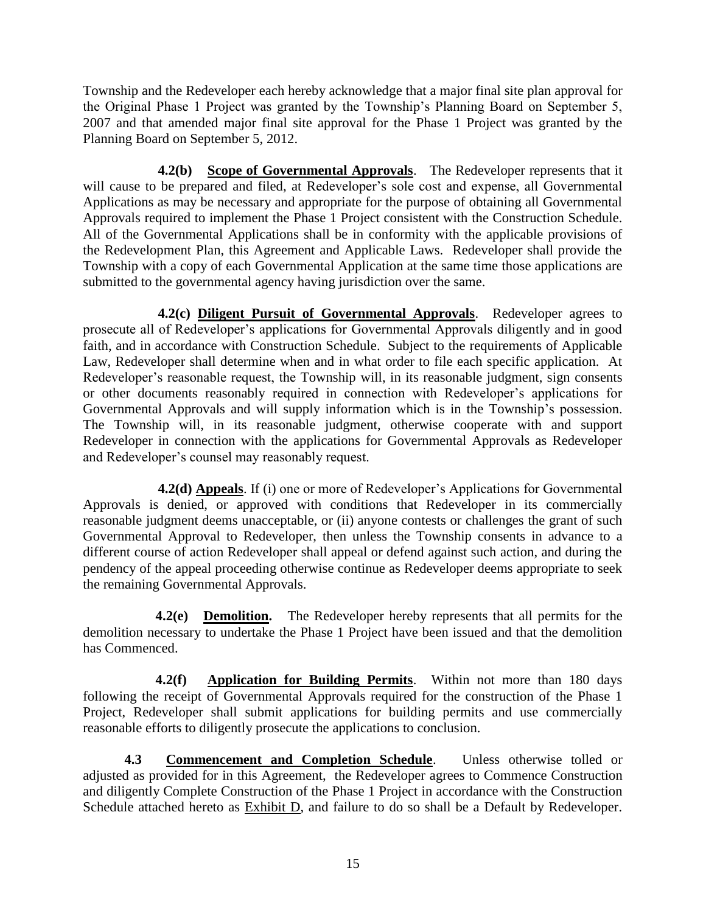Township and the Redeveloper each hereby acknowledge that a major final site plan approval for the Original Phase 1 Project was granted by the Township's Planning Board on September 5, 2007 and that amended major final site approval for the Phase 1 Project was granted by the Planning Board on September 5, 2012.

**4.2(b) Scope of Governmental Approvals**. The Redeveloper represents that it will cause to be prepared and filed, at Redeveloper's sole cost and expense, all Governmental Applications as may be necessary and appropriate for the purpose of obtaining all Governmental Approvals required to implement the Phase 1 Project consistent with the Construction Schedule. All of the Governmental Applications shall be in conformity with the applicable provisions of the Redevelopment Plan, this Agreement and Applicable Laws. Redeveloper shall provide the Township with a copy of each Governmental Application at the same time those applications are submitted to the governmental agency having jurisdiction over the same.

**4.2(c) Diligent Pursuit of Governmental Approvals**. Redeveloper agrees to prosecute all of Redeveloper's applications for Governmental Approvals diligently and in good faith, and in accordance with Construction Schedule. Subject to the requirements of Applicable Law, Redeveloper shall determine when and in what order to file each specific application. At Redeveloper's reasonable request, the Township will, in its reasonable judgment, sign consents or other documents reasonably required in connection with Redeveloper's applications for Governmental Approvals and will supply information which is in the Township's possession. The Township will, in its reasonable judgment, otherwise cooperate with and support Redeveloper in connection with the applications for Governmental Approvals as Redeveloper and Redeveloper's counsel may reasonably request.

**4.2(d) Appeals**. If (i) one or more of Redeveloper's Applications for Governmental Approvals is denied, or approved with conditions that Redeveloper in its commercially reasonable judgment deems unacceptable, or (ii) anyone contests or challenges the grant of such Governmental Approval to Redeveloper, then unless the Township consents in advance to a different course of action Redeveloper shall appeal or defend against such action, and during the pendency of the appeal proceeding otherwise continue as Redeveloper deems appropriate to seek the remaining Governmental Approvals.

 **4.2(e) Demolition.** The Redeveloper hereby represents that all permits for the demolition necessary to undertake the Phase 1 Project have been issued and that the demolition has Commenced.

 **4.2(f) Application for Building Permits**. Within not more than 180 days following the receipt of Governmental Approvals required for the construction of the Phase 1 Project, Redeveloper shall submit applications for building permits and use commercially reasonable efforts to diligently prosecute the applications to conclusion.

**4.3 Commencement and Completion Schedule**. Unless otherwise tolled or adjusted as provided for in this Agreement, the Redeveloper agrees to Commence Construction and diligently Complete Construction of the Phase 1 Project in accordance with the Construction Schedule attached hereto as Exhibit D, and failure to do so shall be a Default by Redeveloper.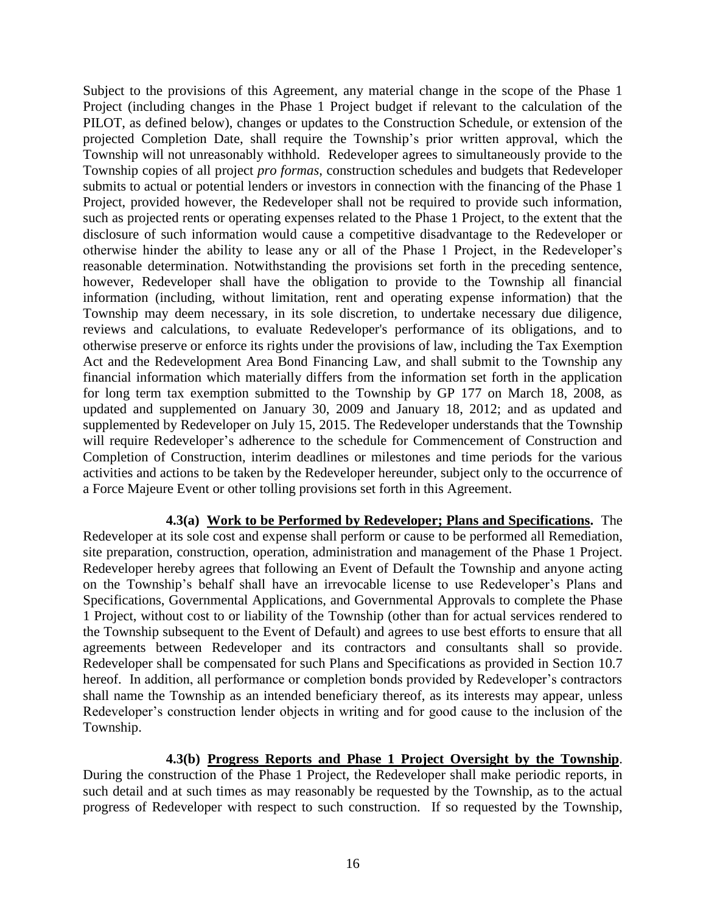Subject to the provisions of this Agreement, any material change in the scope of the Phase 1 Project (including changes in the Phase 1 Project budget if relevant to the calculation of the PILOT, as defined below), changes or updates to the Construction Schedule, or extension of the projected Completion Date, shall require the Township's prior written approval, which the Township will not unreasonably withhold. Redeveloper agrees to simultaneously provide to the Township copies of all project *pro formas*, construction schedules and budgets that Redeveloper submits to actual or potential lenders or investors in connection with the financing of the Phase 1 Project, provided however, the Redeveloper shall not be required to provide such information, such as projected rents or operating expenses related to the Phase 1 Project, to the extent that the disclosure of such information would cause a competitive disadvantage to the Redeveloper or otherwise hinder the ability to lease any or all of the Phase 1 Project, in the Redeveloper's reasonable determination. Notwithstanding the provisions set forth in the preceding sentence, however, Redeveloper shall have the obligation to provide to the Township all financial information (including, without limitation, rent and operating expense information) that the Township may deem necessary, in its sole discretion, to undertake necessary due diligence, reviews and calculations, to evaluate Redeveloper's performance of its obligations, and to otherwise preserve or enforce its rights under the provisions of law, including the Tax Exemption Act and the Redevelopment Area Bond Financing Law, and shall submit to the Township any financial information which materially differs from the information set forth in the application for long term tax exemption submitted to the Township by GP 177 on March 18, 2008, as updated and supplemented on January 30, 2009 and January 18, 2012; and as updated and supplemented by Redeveloper on July 15, 2015. The Redeveloper understands that the Township will require Redeveloper's adherence to the schedule for Commencement of Construction and Completion of Construction, interim deadlines or milestones and time periods for the various activities and actions to be taken by the Redeveloper hereunder, subject only to the occurrence of a Force Majeure Event or other tolling provisions set forth in this Agreement.

**4.3(a) Work to be Performed by Redeveloper; Plans and Specifications.** The Redeveloper at its sole cost and expense shall perform or cause to be performed all Remediation, site preparation, construction, operation, administration and management of the Phase 1 Project. Redeveloper hereby agrees that following an Event of Default the Township and anyone acting on the Township's behalf shall have an irrevocable license to use Redeveloper's Plans and Specifications, Governmental Applications, and Governmental Approvals to complete the Phase 1 Project, without cost to or liability of the Township (other than for actual services rendered to the Township subsequent to the Event of Default) and agrees to use best efforts to ensure that all agreements between Redeveloper and its contractors and consultants shall so provide. Redeveloper shall be compensated for such Plans and Specifications as provided in Section 10.7 hereof. In addition, all performance or completion bonds provided by Redeveloper's contractors shall name the Township as an intended beneficiary thereof, as its interests may appear, unless Redeveloper's construction lender objects in writing and for good cause to the inclusion of the Township.

#### **4.3(b) Progress Reports and Phase 1 Project Oversight by the Township**.

During the construction of the Phase 1 Project, the Redeveloper shall make periodic reports, in such detail and at such times as may reasonably be requested by the Township, as to the actual progress of Redeveloper with respect to such construction. If so requested by the Township,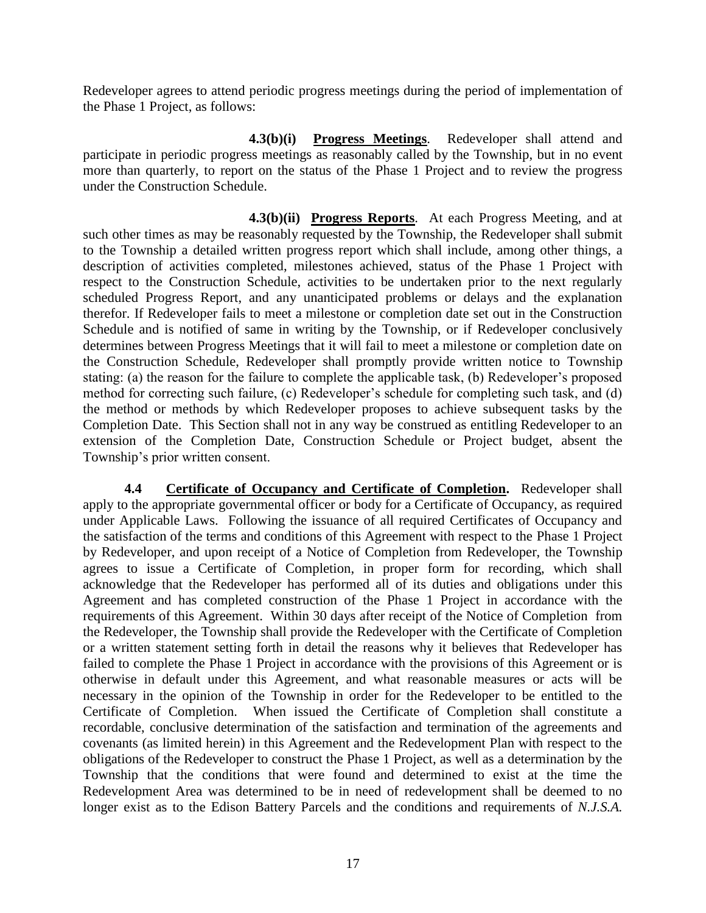Redeveloper agrees to attend periodic progress meetings during the period of implementation of the Phase 1 Project, as follows:

**4.3(b)(i) Progress Meetings**. Redeveloper shall attend and participate in periodic progress meetings as reasonably called by the Township, but in no event more than quarterly, to report on the status of the Phase 1 Project and to review the progress under the Construction Schedule.

 **4.3(b)(ii) Progress Reports**. At each Progress Meeting, and at such other times as may be reasonably requested by the Township, the Redeveloper shall submit to the Township a detailed written progress report which shall include, among other things, a description of activities completed, milestones achieved, status of the Phase 1 Project with respect to the Construction Schedule, activities to be undertaken prior to the next regularly scheduled Progress Report, and any unanticipated problems or delays and the explanation therefor. If Redeveloper fails to meet a milestone or completion date set out in the Construction Schedule and is notified of same in writing by the Township, or if Redeveloper conclusively determines between Progress Meetings that it will fail to meet a milestone or completion date on the Construction Schedule, Redeveloper shall promptly provide written notice to Township stating: (a) the reason for the failure to complete the applicable task, (b) Redeveloper's proposed method for correcting such failure, (c) Redeveloper's schedule for completing such task, and (d) the method or methods by which Redeveloper proposes to achieve subsequent tasks by the Completion Date. This Section shall not in any way be construed as entitling Redeveloper to an extension of the Completion Date, Construction Schedule or Project budget, absent the Township's prior written consent.

**4.4 Certificate of Occupancy and Certificate of Completion.** Redeveloper shall apply to the appropriate governmental officer or body for a Certificate of Occupancy, as required under Applicable Laws. Following the issuance of all required Certificates of Occupancy and the satisfaction of the terms and conditions of this Agreement with respect to the Phase 1 Project by Redeveloper, and upon receipt of a Notice of Completion from Redeveloper, the Township agrees to issue a Certificate of Completion, in proper form for recording, which shall acknowledge that the Redeveloper has performed all of its duties and obligations under this Agreement and has completed construction of the Phase 1 Project in accordance with the requirements of this Agreement. Within 30 days after receipt of the Notice of Completion from the Redeveloper, the Township shall provide the Redeveloper with the Certificate of Completion or a written statement setting forth in detail the reasons why it believes that Redeveloper has failed to complete the Phase 1 Project in accordance with the provisions of this Agreement or is otherwise in default under this Agreement, and what reasonable measures or acts will be necessary in the opinion of the Township in order for the Redeveloper to be entitled to the Certificate of Completion. When issued the Certificate of Completion shall constitute a recordable, conclusive determination of the satisfaction and termination of the agreements and covenants (as limited herein) in this Agreement and the Redevelopment Plan with respect to the obligations of the Redeveloper to construct the Phase 1 Project, as well as a determination by the Township that the conditions that were found and determined to exist at the time the Redevelopment Area was determined to be in need of redevelopment shall be deemed to no longer exist as to the Edison Battery Parcels and the conditions and requirements of *N.J.S.A.*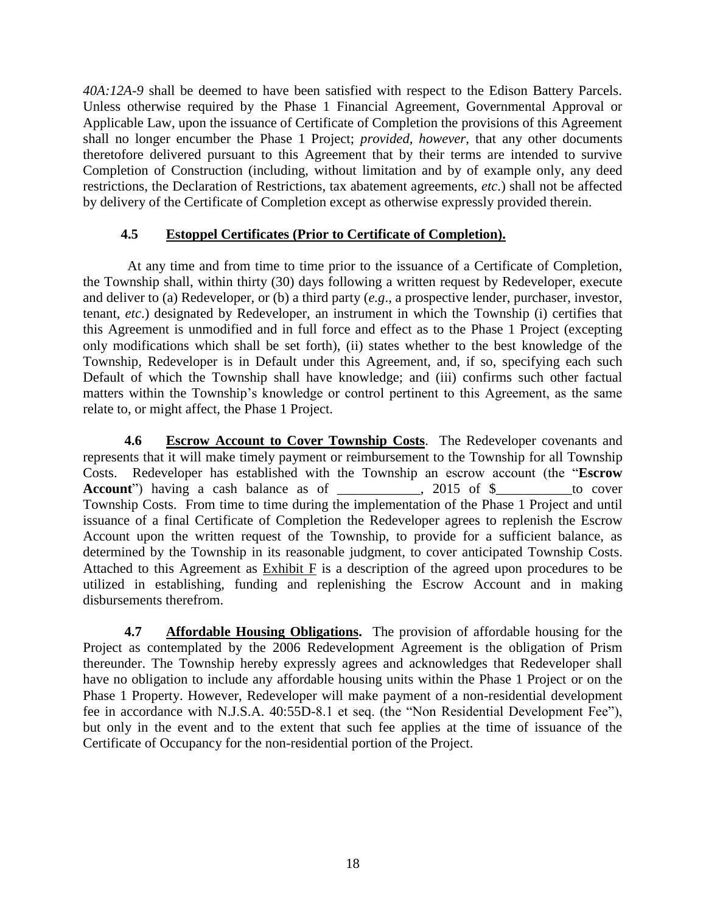*40A:12A-9* shall be deemed to have been satisfied with respect to the Edison Battery Parcels. Unless otherwise required by the Phase 1 Financial Agreement, Governmental Approval or Applicable Law, upon the issuance of Certificate of Completion the provisions of this Agreement shall no longer encumber the Phase 1 Project; *provided, however*, that any other documents theretofore delivered pursuant to this Agreement that by their terms are intended to survive Completion of Construction (including, without limitation and by of example only, any deed restrictions, the Declaration of Restrictions, tax abatement agreements, *etc*.) shall not be affected by delivery of the Certificate of Completion except as otherwise expressly provided therein.

### **4.5 Estoppel Certificates (Prior to Certificate of Completion).**

At any time and from time to time prior to the issuance of a Certificate of Completion, the Township shall, within thirty (30) days following a written request by Redeveloper, execute and deliver to (a) Redeveloper, or (b) a third party (*e.g*., a prospective lender, purchaser, investor, tenant, *etc*.) designated by Redeveloper, an instrument in which the Township (i) certifies that this Agreement is unmodified and in full force and effect as to the Phase 1 Project (excepting only modifications which shall be set forth), (ii) states whether to the best knowledge of the Township, Redeveloper is in Default under this Agreement, and, if so, specifying each such Default of which the Township shall have knowledge; and (iii) confirms such other factual matters within the Township's knowledge or control pertinent to this Agreement, as the same relate to, or might affect, the Phase 1 Project.

**4.6 Escrow Account to Cover Township Costs**. The Redeveloper covenants and represents that it will make timely payment or reimbursement to the Township for all Township Costs. Redeveloper has established with the Township an escrow account (the "**Escrow Account**") having a cash balance as of \_\_\_\_\_\_\_\_\_, 2015 of \$\_\_\_\_\_\_\_\_to cover Township Costs. From time to time during the implementation of the Phase 1 Project and until issuance of a final Certificate of Completion the Redeveloper agrees to replenish the Escrow Account upon the written request of the Township, to provide for a sufficient balance, as determined by the Township in its reasonable judgment, to cover anticipated Township Costs. Attached to this Agreement as Exhibit F is a description of the agreed upon procedures to be utilized in establishing, funding and replenishing the Escrow Account and in making disbursements therefrom.

**4.7 Affordable Housing Obligations.** The provision of affordable housing for the Project as contemplated by the 2006 Redevelopment Agreement is the obligation of Prism thereunder. The Township hereby expressly agrees and acknowledges that Redeveloper shall have no obligation to include any affordable housing units within the Phase 1 Project or on the Phase 1 Property. However, Redeveloper will make payment of a non-residential development fee in accordance with N.J.S.A. 40:55D-8.1 et seq. (the "Non Residential Development Fee"), but only in the event and to the extent that such fee applies at the time of issuance of the Certificate of Occupancy for the non-residential portion of the Project.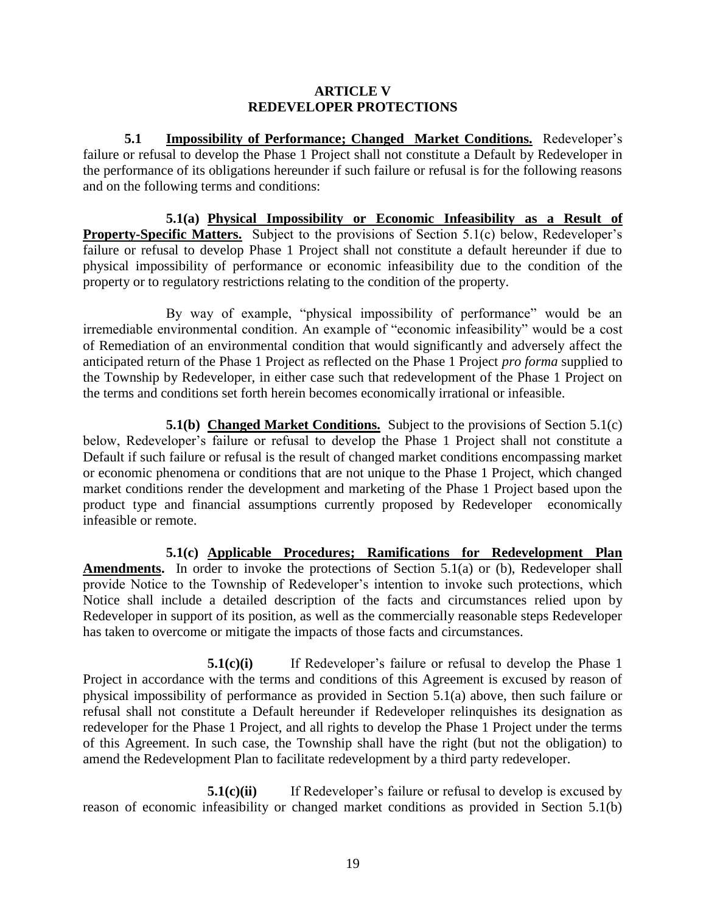#### **ARTICLE V REDEVELOPER PROTECTIONS**

**5.1 Impossibility of Performance; Changed Market Conditions.** Redeveloper's failure or refusal to develop the Phase 1 Project shall not constitute a Default by Redeveloper in the performance of its obligations hereunder if such failure or refusal is for the following reasons and on the following terms and conditions:

**5.1(a) Physical Impossibility or Economic Infeasibility as a Result of Property-Specific Matters.** Subject to the provisions of Section 5.1(c) below, Redeveloper's failure or refusal to develop Phase 1 Project shall not constitute a default hereunder if due to physical impossibility of performance or economic infeasibility due to the condition of the property or to regulatory restrictions relating to the condition of the property.

By way of example, "physical impossibility of performance" would be an irremediable environmental condition. An example of "economic infeasibility" would be a cost of Remediation of an environmental condition that would significantly and adversely affect the anticipated return of the Phase 1 Project as reflected on the Phase 1 Project *pro forma* supplied to the Township by Redeveloper, in either case such that redevelopment of the Phase 1 Project on the terms and conditions set forth herein becomes economically irrational or infeasible.

**5.1(b) Changed Market Conditions.** Subject to the provisions of Section 5.1(c) below, Redeveloper's failure or refusal to develop the Phase 1 Project shall not constitute a Default if such failure or refusal is the result of changed market conditions encompassing market or economic phenomena or conditions that are not unique to the Phase 1 Project, which changed market conditions render the development and marketing of the Phase 1 Project based upon the product type and financial assumptions currently proposed by Redeveloper economically infeasible or remote.

**5.1(c) Applicable Procedures; Ramifications for Redevelopment Plan Amendments.** In order to invoke the protections of Section 5.1(a) or (b), Redeveloper shall provide Notice to the Township of Redeveloper's intention to invoke such protections, which Notice shall include a detailed description of the facts and circumstances relied upon by Redeveloper in support of its position, as well as the commercially reasonable steps Redeveloper has taken to overcome or mitigate the impacts of those facts and circumstances.

**5.1(c)(i)** If Redeveloper's failure or refusal to develop the Phase 1 Project in accordance with the terms and conditions of this Agreement is excused by reason of physical impossibility of performance as provided in Section 5.1(a) above, then such failure or refusal shall not constitute a Default hereunder if Redeveloper relinquishes its designation as redeveloper for the Phase 1 Project, and all rights to develop the Phase 1 Project under the terms of this Agreement. In such case, the Township shall have the right (but not the obligation) to amend the Redevelopment Plan to facilitate redevelopment by a third party redeveloper.

**5.1(c)(ii)** If Redeveloper's failure or refusal to develop is excused by reason of economic infeasibility or changed market conditions as provided in Section 5.1(b)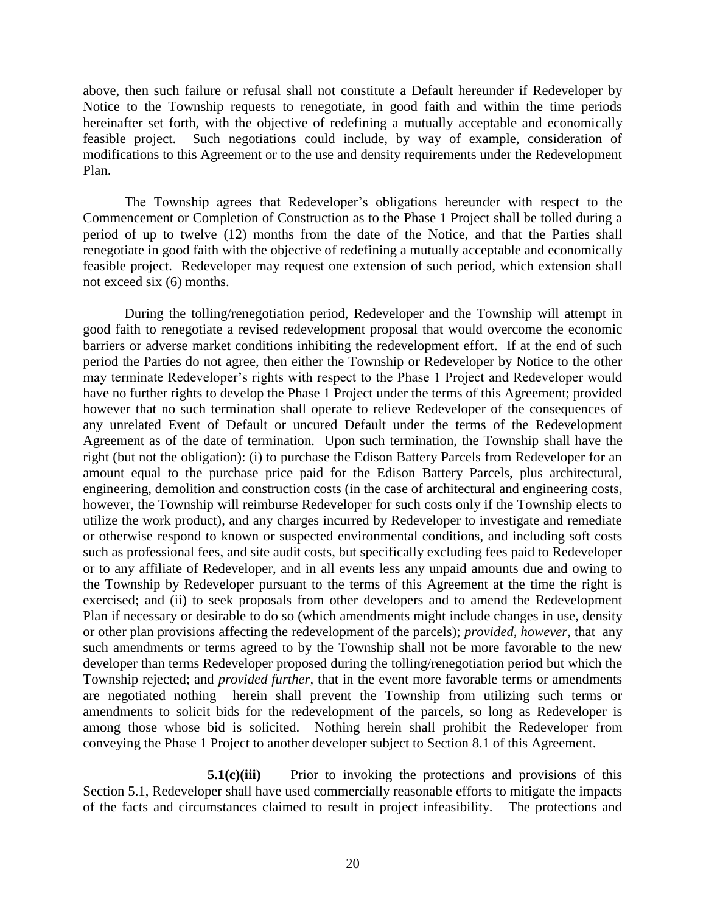above, then such failure or refusal shall not constitute a Default hereunder if Redeveloper by Notice to the Township requests to renegotiate, in good faith and within the time periods hereinafter set forth, with the objective of redefining a mutually acceptable and economically feasible project. Such negotiations could include, by way of example, consideration of modifications to this Agreement or to the use and density requirements under the Redevelopment Plan.

The Township agrees that Redeveloper's obligations hereunder with respect to the Commencement or Completion of Construction as to the Phase 1 Project shall be tolled during a period of up to twelve (12) months from the date of the Notice, and that the Parties shall renegotiate in good faith with the objective of redefining a mutually acceptable and economically feasible project. Redeveloper may request one extension of such period, which extension shall not exceed six (6) months.

During the tolling/renegotiation period, Redeveloper and the Township will attempt in good faith to renegotiate a revised redevelopment proposal that would overcome the economic barriers or adverse market conditions inhibiting the redevelopment effort. If at the end of such period the Parties do not agree, then either the Township or Redeveloper by Notice to the other may terminate Redeveloper's rights with respect to the Phase 1 Project and Redeveloper would have no further rights to develop the Phase 1 Project under the terms of this Agreement; provided however that no such termination shall operate to relieve Redeveloper of the consequences of any unrelated Event of Default or uncured Default under the terms of the Redevelopment Agreement as of the date of termination. Upon such termination, the Township shall have the right (but not the obligation): (i) to purchase the Edison Battery Parcels from Redeveloper for an amount equal to the purchase price paid for the Edison Battery Parcels, plus architectural, engineering, demolition and construction costs (in the case of architectural and engineering costs, however, the Township will reimburse Redeveloper for such costs only if the Township elects to utilize the work product), and any charges incurred by Redeveloper to investigate and remediate or otherwise respond to known or suspected environmental conditions, and including soft costs such as professional fees, and site audit costs, but specifically excluding fees paid to Redeveloper or to any affiliate of Redeveloper, and in all events less any unpaid amounts due and owing to the Township by Redeveloper pursuant to the terms of this Agreement at the time the right is exercised; and (ii) to seek proposals from other developers and to amend the Redevelopment Plan if necessary or desirable to do so (which amendments might include changes in use, density or other plan provisions affecting the redevelopment of the parcels); *provided, however,* that any such amendments or terms agreed to by the Township shall not be more favorable to the new developer than terms Redeveloper proposed during the tolling/renegotiation period but which the Township rejected; and *provided further,* that in the event more favorable terms or amendments are negotiated nothing herein shall prevent the Township from utilizing such terms or amendments to solicit bids for the redevelopment of the parcels, so long as Redeveloper is among those whose bid is solicited. Nothing herein shall prohibit the Redeveloper from conveying the Phase 1 Project to another developer subject to Section 8.1 of this Agreement.

**5.1(c)(iii)** Prior to invoking the protections and provisions of this Section 5.1, Redeveloper shall have used commercially reasonable efforts to mitigate the impacts of the facts and circumstances claimed to result in project infeasibility. The protections and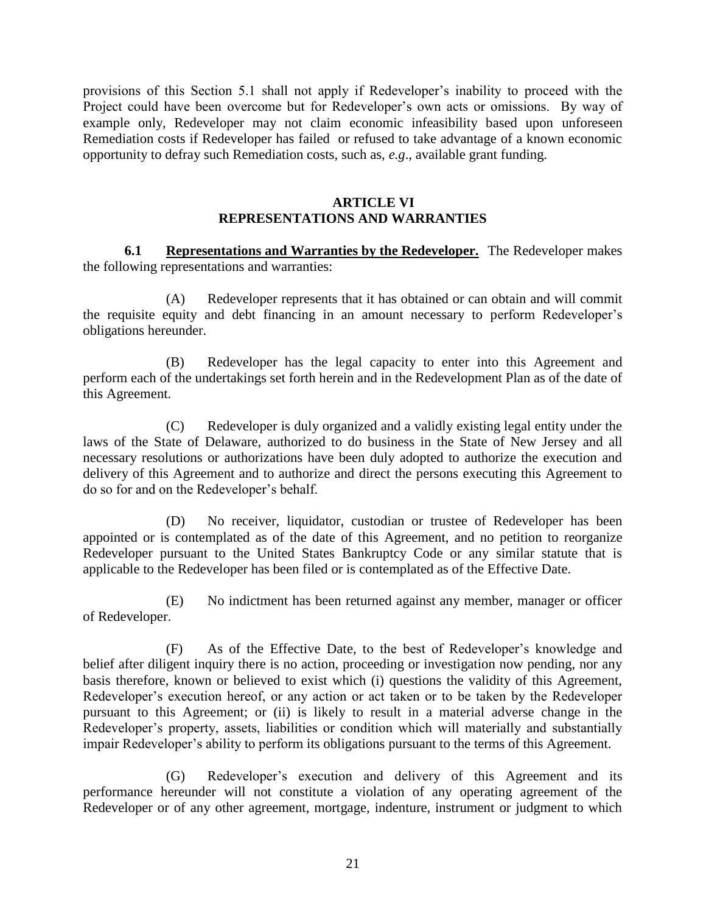provisions of this Section 5.1 shall not apply if Redeveloper's inability to proceed with the Project could have been overcome but for Redeveloper's own acts or omissions. By way of example only, Redeveloper may not claim economic infeasibility based upon unforeseen Remediation costs if Redeveloper has failed or refused to take advantage of a known economic opportunity to defray such Remediation costs, such as, *e.g*., available grant funding.

#### **ARTICLE VI REPRESENTATIONS AND WARRANTIES**

**6.1 Representations and Warranties by the Redeveloper.** The Redeveloper makes the following representations and warranties:

(A) Redeveloper represents that it has obtained or can obtain and will commit the requisite equity and debt financing in an amount necessary to perform Redeveloper's obligations hereunder.

(B) Redeveloper has the legal capacity to enter into this Agreement and perform each of the undertakings set forth herein and in the Redevelopment Plan as of the date of this Agreement.

(C) Redeveloper is duly organized and a validly existing legal entity under the laws of the State of Delaware, authorized to do business in the State of New Jersey and all necessary resolutions or authorizations have been duly adopted to authorize the execution and delivery of this Agreement and to authorize and direct the persons executing this Agreement to do so for and on the Redeveloper's behalf.

(D) No receiver, liquidator, custodian or trustee of Redeveloper has been appointed or is contemplated as of the date of this Agreement, and no petition to reorganize Redeveloper pursuant to the United States Bankruptcy Code or any similar statute that is applicable to the Redeveloper has been filed or is contemplated as of the Effective Date.

 (E) No indictment has been returned against any member, manager or officer of Redeveloper.

(F) As of the Effective Date, to the best of Redeveloper's knowledge and belief after diligent inquiry there is no action, proceeding or investigation now pending, nor any basis therefore, known or believed to exist which (i) questions the validity of this Agreement, Redeveloper's execution hereof, or any action or act taken or to be taken by the Redeveloper pursuant to this Agreement; or (ii) is likely to result in a material adverse change in the Redeveloper's property, assets, liabilities or condition which will materially and substantially impair Redeveloper's ability to perform its obligations pursuant to the terms of this Agreement.

(G) Redeveloper's execution and delivery of this Agreement and its performance hereunder will not constitute a violation of any operating agreement of the Redeveloper or of any other agreement, mortgage, indenture, instrument or judgment to which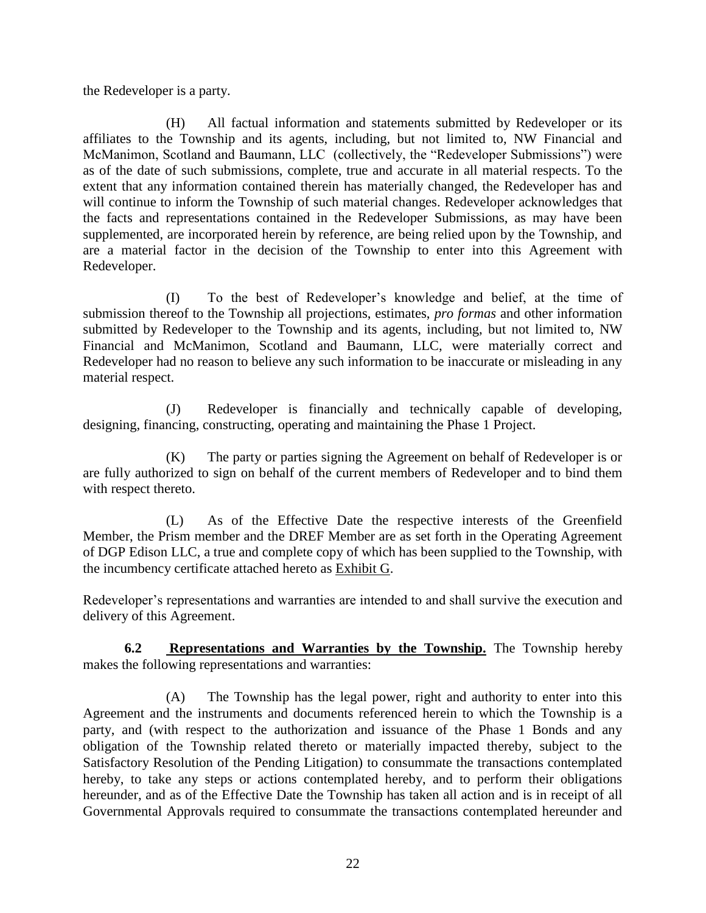the Redeveloper is a party.

(H) All factual information and statements submitted by Redeveloper or its affiliates to the Township and its agents, including, but not limited to, NW Financial and McManimon, Scotland and Baumann, LLC (collectively, the "Redeveloper Submissions") were as of the date of such submissions, complete, true and accurate in all material respects. To the extent that any information contained therein has materially changed, the Redeveloper has and will continue to inform the Township of such material changes. Redeveloper acknowledges that the facts and representations contained in the Redeveloper Submissions, as may have been supplemented, are incorporated herein by reference, are being relied upon by the Township, and are a material factor in the decision of the Township to enter into this Agreement with Redeveloper.

(I) To the best of Redeveloper's knowledge and belief, at the time of submission thereof to the Township all projections, estimates, *pro formas* and other information submitted by Redeveloper to the Township and its agents, including, but not limited to, NW Financial and McManimon, Scotland and Baumann, LLC, were materially correct and Redeveloper had no reason to believe any such information to be inaccurate or misleading in any material respect.

(J) Redeveloper is financially and technically capable of developing, designing, financing, constructing, operating and maintaining the Phase 1 Project.

(K) The party or parties signing the Agreement on behalf of Redeveloper is or are fully authorized to sign on behalf of the current members of Redeveloper and to bind them with respect thereto.

(L) As of the Effective Date the respective interests of the Greenfield Member, the Prism member and the DREF Member are as set forth in the Operating Agreement of DGP Edison LLC, a true and complete copy of which has been supplied to the Township, with the incumbency certificate attached hereto as Exhibit G.

Redeveloper's representations and warranties are intended to and shall survive the execution and delivery of this Agreement.

**6.2 Representations and Warranties by the Township.** The Township hereby makes the following representations and warranties:

(A) The Township has the legal power, right and authority to enter into this Agreement and the instruments and documents referenced herein to which the Township is a party, and (with respect to the authorization and issuance of the Phase 1 Bonds and any obligation of the Township related thereto or materially impacted thereby, subject to the Satisfactory Resolution of the Pending Litigation) to consummate the transactions contemplated hereby, to take any steps or actions contemplated hereby, and to perform their obligations hereunder, and as of the Effective Date the Township has taken all action and is in receipt of all Governmental Approvals required to consummate the transactions contemplated hereunder and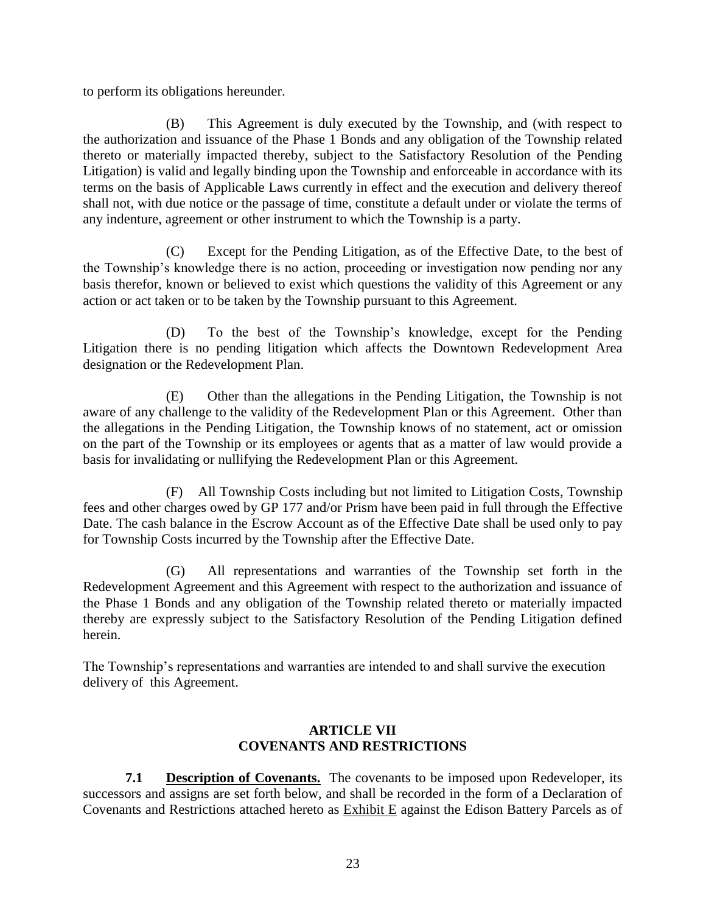to perform its obligations hereunder.

(B) This Agreement is duly executed by the Township, and (with respect to the authorization and issuance of the Phase 1 Bonds and any obligation of the Township related thereto or materially impacted thereby, subject to the Satisfactory Resolution of the Pending Litigation) is valid and legally binding upon the Township and enforceable in accordance with its terms on the basis of Applicable Laws currently in effect and the execution and delivery thereof shall not, with due notice or the passage of time, constitute a default under or violate the terms of any indenture, agreement or other instrument to which the Township is a party.

(C) Except for the Pending Litigation, as of the Effective Date, to the best of the Township's knowledge there is no action, proceeding or investigation now pending nor any basis therefor, known or believed to exist which questions the validity of this Agreement or any action or act taken or to be taken by the Township pursuant to this Agreement.

(D) To the best of the Township's knowledge, except for the Pending Litigation there is no pending litigation which affects the Downtown Redevelopment Area designation or the Redevelopment Plan.

(E) Other than the allegations in the Pending Litigation, the Township is not aware of any challenge to the validity of the Redevelopment Plan or this Agreement. Other than the allegations in the Pending Litigation, the Township knows of no statement, act or omission on the part of the Township or its employees or agents that as a matter of law would provide a basis for invalidating or nullifying the Redevelopment Plan or this Agreement.

 (F) All Township Costs including but not limited to Litigation Costs, Township fees and other charges owed by GP 177 and/or Prism have been paid in full through the Effective Date. The cash balance in the Escrow Account as of the Effective Date shall be used only to pay for Township Costs incurred by the Township after the Effective Date.

(G) All representations and warranties of the Township set forth in the Redevelopment Agreement and this Agreement with respect to the authorization and issuance of the Phase 1 Bonds and any obligation of the Township related thereto or materially impacted thereby are expressly subject to the Satisfactory Resolution of the Pending Litigation defined herein.

The Township's representations and warranties are intended to and shall survive the execution delivery of this Agreement.

### **ARTICLE VII COVENANTS AND RESTRICTIONS**

**7.1 Description of Covenants.** The covenants to be imposed upon Redeveloper, its successors and assigns are set forth below, and shall be recorded in the form of a Declaration of Covenants and Restrictions attached hereto as Exhibit E against the Edison Battery Parcels as of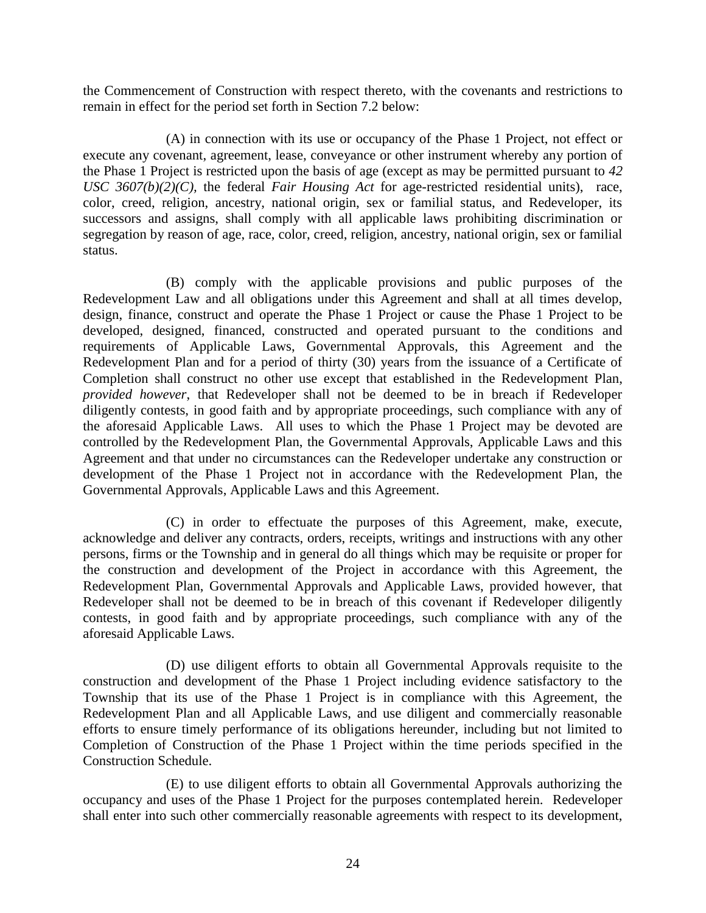the Commencement of Construction with respect thereto, with the covenants and restrictions to remain in effect for the period set forth in Section 7.2 below:

(A) in connection with its use or occupancy of the Phase 1 Project, not effect or execute any covenant, agreement, lease, conveyance or other instrument whereby any portion of the Phase 1 Project is restricted upon the basis of age (except as may be permitted pursuant to *42 USC 3607(b)(2)(C),* the federal *Fair Housing Act* for age-restricted residential units), race, color, creed, religion, ancestry, national origin, sex or familial status, and Redeveloper, its successors and assigns, shall comply with all applicable laws prohibiting discrimination or segregation by reason of age, race, color, creed, religion, ancestry, national origin, sex or familial status.

(B) comply with the applicable provisions and public purposes of the Redevelopment Law and all obligations under this Agreement and shall at all times develop, design, finance, construct and operate the Phase 1 Project or cause the Phase 1 Project to be developed, designed, financed, constructed and operated pursuant to the conditions and requirements of Applicable Laws, Governmental Approvals, this Agreement and the Redevelopment Plan and for a period of thirty (30) years from the issuance of a Certificate of Completion shall construct no other use except that established in the Redevelopment Plan, *provided however*, that Redeveloper shall not be deemed to be in breach if Redeveloper diligently contests, in good faith and by appropriate proceedings, such compliance with any of the aforesaid Applicable Laws. All uses to which the Phase 1 Project may be devoted are controlled by the Redevelopment Plan, the Governmental Approvals, Applicable Laws and this Agreement and that under no circumstances can the Redeveloper undertake any construction or development of the Phase 1 Project not in accordance with the Redevelopment Plan, the Governmental Approvals, Applicable Laws and this Agreement.

(C) in order to effectuate the purposes of this Agreement, make, execute, acknowledge and deliver any contracts, orders, receipts, writings and instructions with any other persons, firms or the Township and in general do all things which may be requisite or proper for the construction and development of the Project in accordance with this Agreement, the Redevelopment Plan, Governmental Approvals and Applicable Laws, provided however, that Redeveloper shall not be deemed to be in breach of this covenant if Redeveloper diligently contests, in good faith and by appropriate proceedings, such compliance with any of the aforesaid Applicable Laws.

(D) use diligent efforts to obtain all Governmental Approvals requisite to the construction and development of the Phase 1 Project including evidence satisfactory to the Township that its use of the Phase 1 Project is in compliance with this Agreement, the Redevelopment Plan and all Applicable Laws, and use diligent and commercially reasonable efforts to ensure timely performance of its obligations hereunder, including but not limited to Completion of Construction of the Phase 1 Project within the time periods specified in the Construction Schedule.

(E) to use diligent efforts to obtain all Governmental Approvals authorizing the occupancy and uses of the Phase 1 Project for the purposes contemplated herein. Redeveloper shall enter into such other commercially reasonable agreements with respect to its development,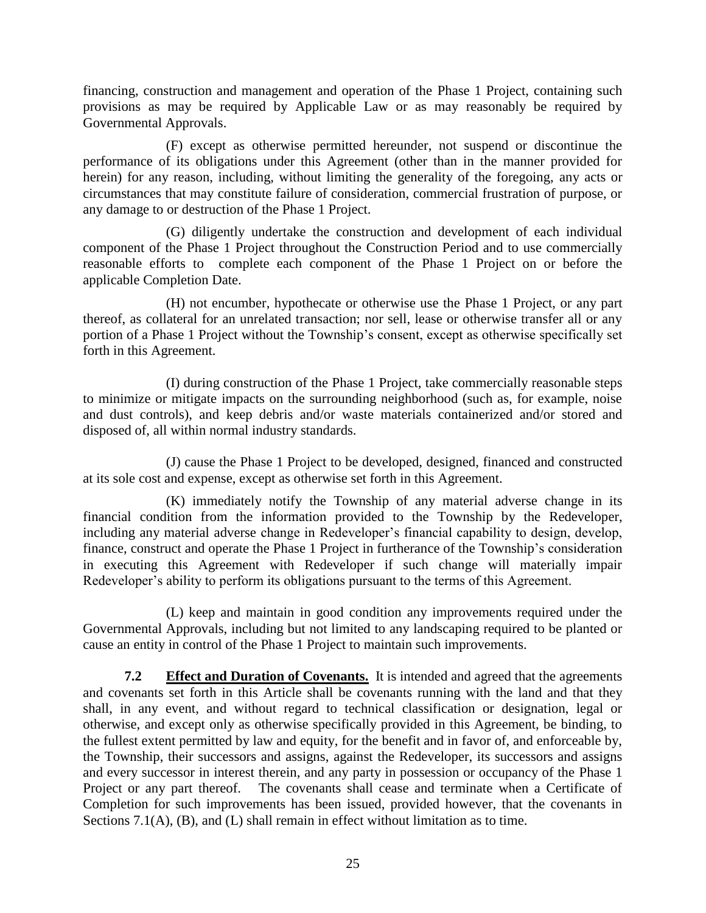financing, construction and management and operation of the Phase 1 Project, containing such provisions as may be required by Applicable Law or as may reasonably be required by Governmental Approvals.

(F) except as otherwise permitted hereunder, not suspend or discontinue the performance of its obligations under this Agreement (other than in the manner provided for herein) for any reason, including, without limiting the generality of the foregoing, any acts or circumstances that may constitute failure of consideration, commercial frustration of purpose, or any damage to or destruction of the Phase 1 Project.

(G) diligently undertake the construction and development of each individual component of the Phase 1 Project throughout the Construction Period and to use commercially reasonable efforts to complete each component of the Phase 1 Project on or before the applicable Completion Date.

(H) not encumber, hypothecate or otherwise use the Phase 1 Project, or any part thereof, as collateral for an unrelated transaction; nor sell, lease or otherwise transfer all or any portion of a Phase 1 Project without the Township's consent, except as otherwise specifically set forth in this Agreement.

(I) during construction of the Phase 1 Project, take commercially reasonable steps to minimize or mitigate impacts on the surrounding neighborhood (such as, for example, noise and dust controls), and keep debris and/or waste materials containerized and/or stored and disposed of, all within normal industry standards.

(J) cause the Phase 1 Project to be developed, designed, financed and constructed at its sole cost and expense, except as otherwise set forth in this Agreement.

(K) immediately notify the Township of any material adverse change in its financial condition from the information provided to the Township by the Redeveloper, including any material adverse change in Redeveloper's financial capability to design, develop, finance, construct and operate the Phase 1 Project in furtherance of the Township's consideration in executing this Agreement with Redeveloper if such change will materially impair Redeveloper's ability to perform its obligations pursuant to the terms of this Agreement.

(L) keep and maintain in good condition any improvements required under the Governmental Approvals, including but not limited to any landscaping required to be planted or cause an entity in control of the Phase 1 Project to maintain such improvements.

**7.2 Effect and Duration of Covenants.** It is intended and agreed that the agreements and covenants set forth in this Article shall be covenants running with the land and that they shall, in any event, and without regard to technical classification or designation, legal or otherwise, and except only as otherwise specifically provided in this Agreement, be binding, to the fullest extent permitted by law and equity, for the benefit and in favor of, and enforceable by, the Township, their successors and assigns, against the Redeveloper, its successors and assigns and every successor in interest therein, and any party in possession or occupancy of the Phase 1 Project or any part thereof. The covenants shall cease and terminate when a Certificate of Completion for such improvements has been issued, provided however, that the covenants in Sections 7.1(A), (B), and (L) shall remain in effect without limitation as to time.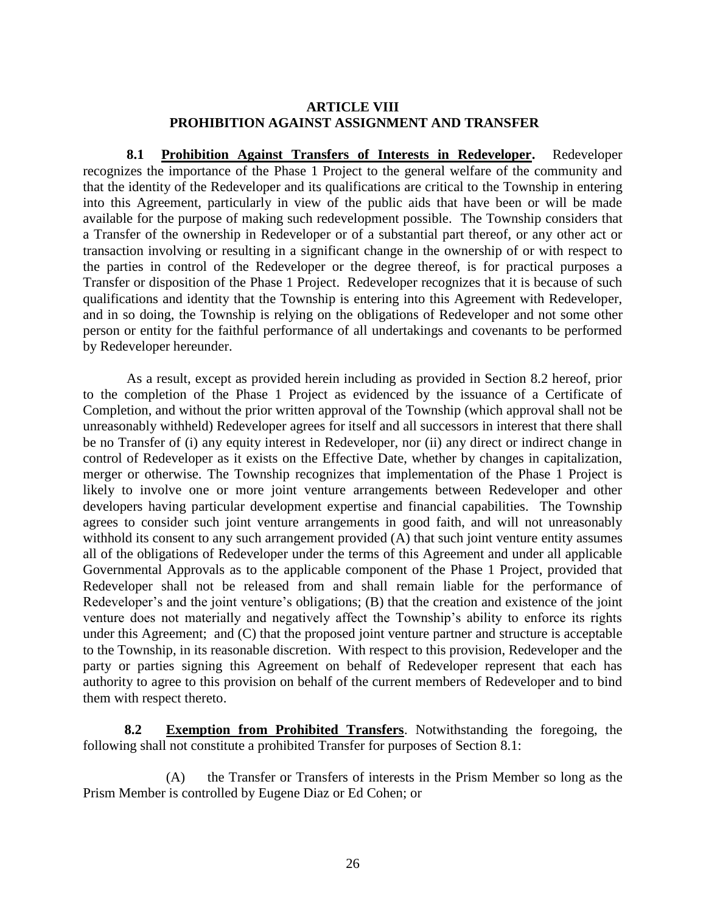#### **ARTICLE VIII PROHIBITION AGAINST ASSIGNMENT AND TRANSFER**

**8.1 Prohibition Against Transfers of Interests in Redeveloper.** Redeveloper recognizes the importance of the Phase 1 Project to the general welfare of the community and that the identity of the Redeveloper and its qualifications are critical to the Township in entering into this Agreement, particularly in view of the public aids that have been or will be made available for the purpose of making such redevelopment possible. The Township considers that a Transfer of the ownership in Redeveloper or of a substantial part thereof, or any other act or transaction involving or resulting in a significant change in the ownership of or with respect to the parties in control of the Redeveloper or the degree thereof, is for practical purposes a Transfer or disposition of the Phase 1 Project. Redeveloper recognizes that it is because of such qualifications and identity that the Township is entering into this Agreement with Redeveloper, and in so doing, the Township is relying on the obligations of Redeveloper and not some other person or entity for the faithful performance of all undertakings and covenants to be performed by Redeveloper hereunder.

As a result, except as provided herein including as provided in Section 8.2 hereof, prior to the completion of the Phase 1 Project as evidenced by the issuance of a Certificate of Completion, and without the prior written approval of the Township (which approval shall not be unreasonably withheld) Redeveloper agrees for itself and all successors in interest that there shall be no Transfer of (i) any equity interest in Redeveloper, nor (ii) any direct or indirect change in control of Redeveloper as it exists on the Effective Date, whether by changes in capitalization, merger or otherwise. The Township recognizes that implementation of the Phase 1 Project is likely to involve one or more joint venture arrangements between Redeveloper and other developers having particular development expertise and financial capabilities. The Township agrees to consider such joint venture arrangements in good faith, and will not unreasonably withhold its consent to any such arrangement provided (A) that such joint venture entity assumes all of the obligations of Redeveloper under the terms of this Agreement and under all applicable Governmental Approvals as to the applicable component of the Phase 1 Project, provided that Redeveloper shall not be released from and shall remain liable for the performance of Redeveloper's and the joint venture's obligations; (B) that the creation and existence of the joint venture does not materially and negatively affect the Township's ability to enforce its rights under this Agreement; and (C) that the proposed joint venture partner and structure is acceptable to the Township, in its reasonable discretion. With respect to this provision, Redeveloper and the party or parties signing this Agreement on behalf of Redeveloper represent that each has authority to agree to this provision on behalf of the current members of Redeveloper and to bind them with respect thereto.

**8.2 Exemption from Prohibited Transfers**. Notwithstanding the foregoing, the following shall not constitute a prohibited Transfer for purposes of Section 8.1:

(A) the Transfer or Transfers of interests in the Prism Member so long as the Prism Member is controlled by Eugene Diaz or Ed Cohen; or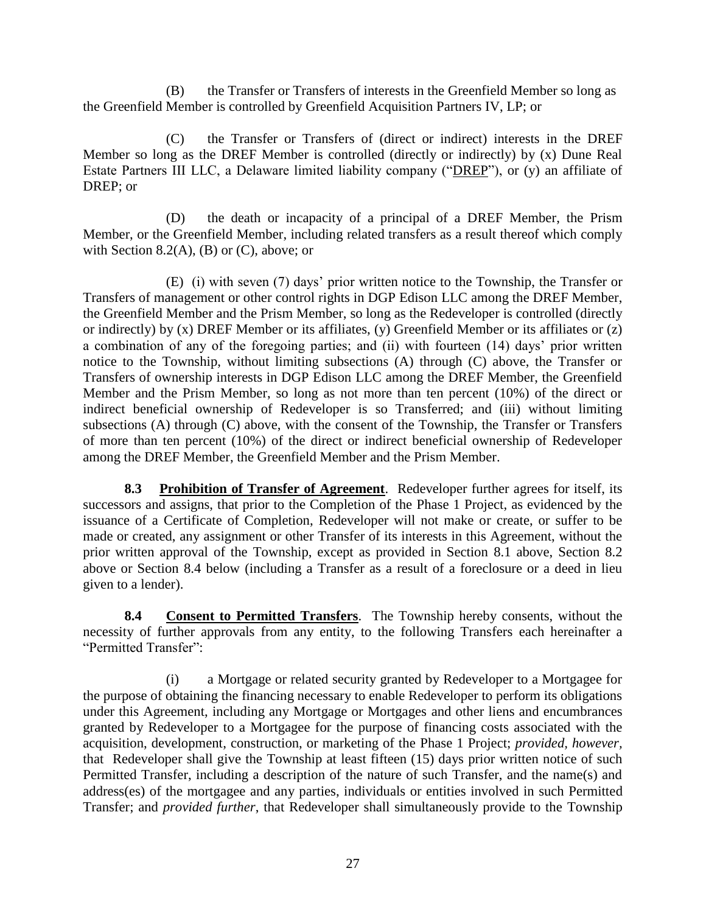(B) the Transfer or Transfers of interests in the Greenfield Member so long as the Greenfield Member is controlled by Greenfield Acquisition Partners IV, LP; or

(C) the Transfer or Transfers of (direct or indirect) interests in the DREF Member so long as the DREF Member is controlled (directly or indirectly) by (x) Dune Real Estate Partners III LLC, a Delaware limited liability company ("DREP"), or (y) an affiliate of DREP; or

(D) the death or incapacity of a principal of a DREF Member, the Prism Member, or the Greenfield Member, including related transfers as a result thereof which comply with Section 8.2(A), (B) or  $(C)$ , above; or

(E) (i) with seven (7) days' prior written notice to the Township, the Transfer or Transfers of management or other control rights in DGP Edison LLC among the DREF Member, the Greenfield Member and the Prism Member, so long as the Redeveloper is controlled (directly or indirectly) by (x) DREF Member or its affiliates, (y) Greenfield Member or its affiliates or (z) a combination of any of the foregoing parties; and (ii) with fourteen (14) days' prior written notice to the Township, without limiting subsections (A) through (C) above, the Transfer or Transfers of ownership interests in DGP Edison LLC among the DREF Member, the Greenfield Member and the Prism Member, so long as not more than ten percent (10%) of the direct or indirect beneficial ownership of Redeveloper is so Transferred; and (iii) without limiting subsections (A) through (C) above, with the consent of the Township, the Transfer or Transfers of more than ten percent (10%) of the direct or indirect beneficial ownership of Redeveloper among the DREF Member, the Greenfield Member and the Prism Member.

**8.3 Prohibition of Transfer of Agreement**. Redeveloper further agrees for itself, its successors and assigns, that prior to the Completion of the Phase 1 Project, as evidenced by the issuance of a Certificate of Completion, Redeveloper will not make or create, or suffer to be made or created, any assignment or other Transfer of its interests in this Agreement, without the prior written approval of the Township, except as provided in Section 8.1 above, Section 8.2 above or Section 8.4 below (including a Transfer as a result of a foreclosure or a deed in lieu given to a lender).

**8.4 Consent to Permitted Transfers**. The Township hereby consents, without the necessity of further approvals from any entity, to the following Transfers each hereinafter a "Permitted Transfer":

(i) a Mortgage or related security granted by Redeveloper to a Mortgagee for the purpose of obtaining the financing necessary to enable Redeveloper to perform its obligations under this Agreement, including any Mortgage or Mortgages and other liens and encumbrances granted by Redeveloper to a Mortgagee for the purpose of financing costs associated with the acquisition, development, construction, or marketing of the Phase 1 Project; *provided, however,* that Redeveloper shall give the Township at least fifteen (15) days prior written notice of such Permitted Transfer, including a description of the nature of such Transfer, and the name(s) and address(es) of the mortgagee and any parties, individuals or entities involved in such Permitted Transfer; and *provided further*, that Redeveloper shall simultaneously provide to the Township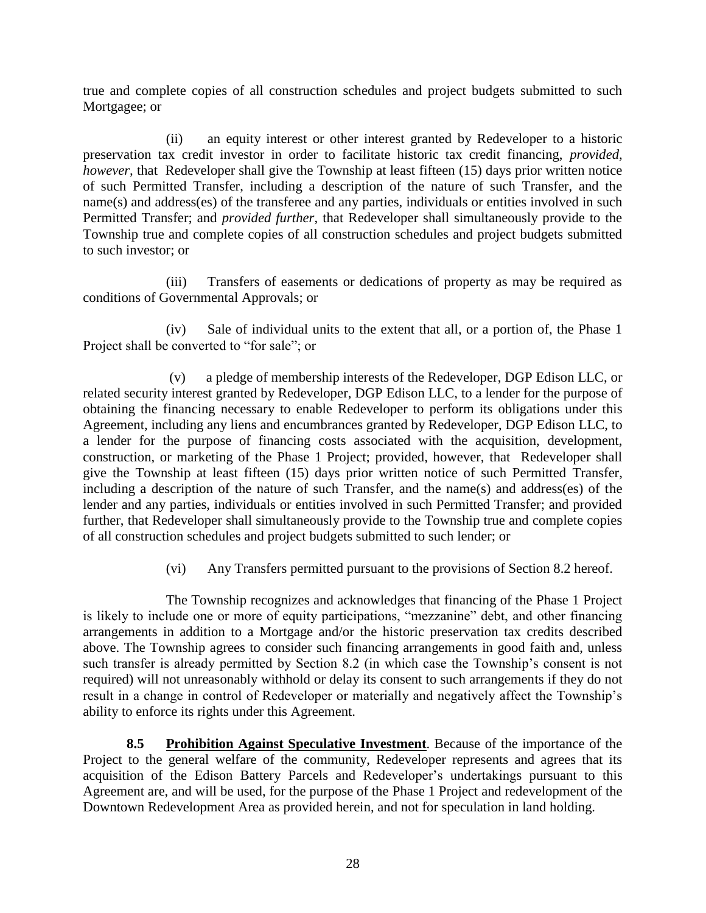true and complete copies of all construction schedules and project budgets submitted to such Mortgagee; or

(ii) an equity interest or other interest granted by Redeveloper to a historic preservation tax credit investor in order to facilitate historic tax credit financing, *provided, however,* that Redeveloper shall give the Township at least fifteen (15) days prior written notice of such Permitted Transfer, including a description of the nature of such Transfer, and the name(s) and address(es) of the transferee and any parties, individuals or entities involved in such Permitted Transfer; and *provided further*, that Redeveloper shall simultaneously provide to the Township true and complete copies of all construction schedules and project budgets submitted to such investor; or

(iii) Transfers of easements or dedications of property as may be required as conditions of Governmental Approvals; or

(iv) Sale of individual units to the extent that all, or a portion of, the Phase 1 Project shall be converted to "for sale"; or

 (v) a pledge of membership interests of the Redeveloper, DGP Edison LLC, or related security interest granted by Redeveloper, DGP Edison LLC, to a lender for the purpose of obtaining the financing necessary to enable Redeveloper to perform its obligations under this Agreement, including any liens and encumbrances granted by Redeveloper, DGP Edison LLC, to a lender for the purpose of financing costs associated with the acquisition, development, construction, or marketing of the Phase 1 Project; provided, however, that Redeveloper shall give the Township at least fifteen (15) days prior written notice of such Permitted Transfer, including a description of the nature of such Transfer, and the name(s) and address(es) of the lender and any parties, individuals or entities involved in such Permitted Transfer; and provided further, that Redeveloper shall simultaneously provide to the Township true and complete copies of all construction schedules and project budgets submitted to such lender; or

(vi) Any Transfers permitted pursuant to the provisions of Section 8.2 hereof.

The Township recognizes and acknowledges that financing of the Phase 1 Project is likely to include one or more of equity participations, "mezzanine" debt, and other financing arrangements in addition to a Mortgage and/or the historic preservation tax credits described above. The Township agrees to consider such financing arrangements in good faith and, unless such transfer is already permitted by Section 8.2 (in which case the Township's consent is not required) will not unreasonably withhold or delay its consent to such arrangements if they do not result in a change in control of Redeveloper or materially and negatively affect the Township's ability to enforce its rights under this Agreement.

**8.5 Prohibition Against Speculative Investment**. Because of the importance of the Project to the general welfare of the community, Redeveloper represents and agrees that its acquisition of the Edison Battery Parcels and Redeveloper's undertakings pursuant to this Agreement are, and will be used, for the purpose of the Phase 1 Project and redevelopment of the Downtown Redevelopment Area as provided herein, and not for speculation in land holding.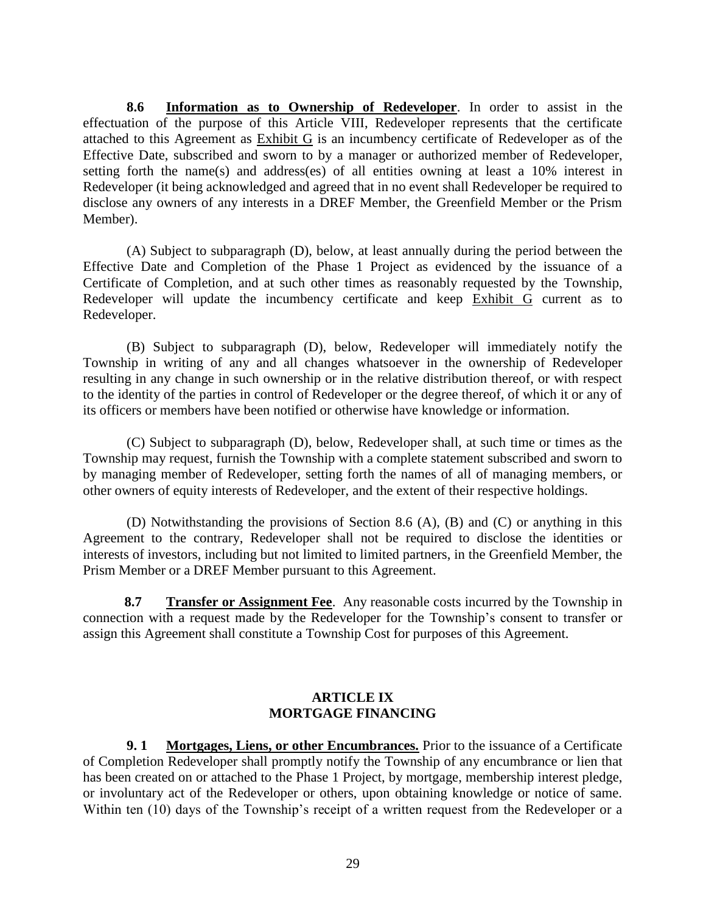**8.6 Information as to Ownership of Redeveloper**. In order to assist in the effectuation of the purpose of this Article VIII, Redeveloper represents that the certificate attached to this Agreement as Exhibit G is an incumbency certificate of Redeveloper as of the Effective Date, subscribed and sworn to by a manager or authorized member of Redeveloper, setting forth the name(s) and address(es) of all entities owning at least a 10% interest in Redeveloper (it being acknowledged and agreed that in no event shall Redeveloper be required to disclose any owners of any interests in a DREF Member, the Greenfield Member or the Prism Member).

(A) Subject to subparagraph (D), below, at least annually during the period between the Effective Date and Completion of the Phase 1 Project as evidenced by the issuance of a Certificate of Completion, and at such other times as reasonably requested by the Township, Redeveloper will update the incumbency certificate and keep Exhibit G current as to Redeveloper.

(B) Subject to subparagraph (D), below, Redeveloper will immediately notify the Township in writing of any and all changes whatsoever in the ownership of Redeveloper resulting in any change in such ownership or in the relative distribution thereof, or with respect to the identity of the parties in control of Redeveloper or the degree thereof, of which it or any of its officers or members have been notified or otherwise have knowledge or information.

(C) Subject to subparagraph (D), below, Redeveloper shall, at such time or times as the Township may request, furnish the Township with a complete statement subscribed and sworn to by managing member of Redeveloper, setting forth the names of all of managing members, or other owners of equity interests of Redeveloper, and the extent of their respective holdings.

(D) Notwithstanding the provisions of Section 8.6 (A), (B) and (C) or anything in this Agreement to the contrary, Redeveloper shall not be required to disclose the identities or interests of investors, including but not limited to limited partners, in the Greenfield Member, the Prism Member or a DREF Member pursuant to this Agreement.

**8.7 Transfer or Assignment Fee**. Any reasonable costs incurred by the Township in connection with a request made by the Redeveloper for the Township's consent to transfer or assign this Agreement shall constitute a Township Cost for purposes of this Agreement.

### **ARTICLE IX MORTGAGE FINANCING**

**9. 1 Mortgages, Liens, or other Encumbrances.** Prior to the issuance of a Certificate of Completion Redeveloper shall promptly notify the Township of any encumbrance or lien that has been created on or attached to the Phase 1 Project, by mortgage, membership interest pledge, or involuntary act of the Redeveloper or others, upon obtaining knowledge or notice of same. Within ten (10) days of the Township's receipt of a written request from the Redeveloper or a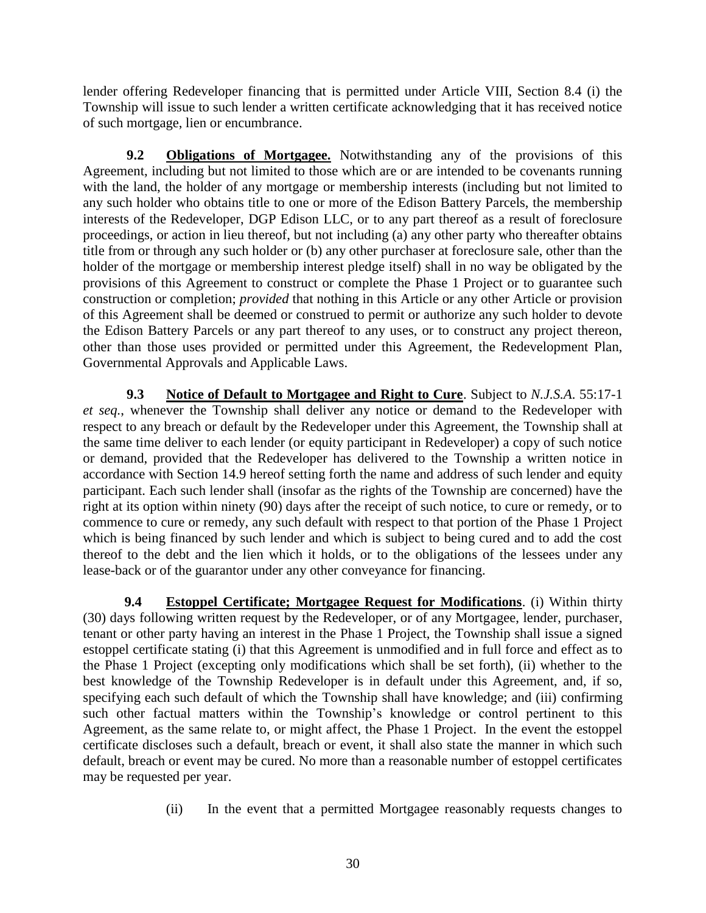lender offering Redeveloper financing that is permitted under Article VIII, Section 8.4 (i) the Township will issue to such lender a written certificate acknowledging that it has received notice of such mortgage, lien or encumbrance.

**9.2 Obligations of Mortgagee.** Notwithstanding any of the provisions of this Agreement, including but not limited to those which are or are intended to be covenants running with the land, the holder of any mortgage or membership interests (including but not limited to any such holder who obtains title to one or more of the Edison Battery Parcels, the membership interests of the Redeveloper, DGP Edison LLC, or to any part thereof as a result of foreclosure proceedings, or action in lieu thereof, but not including (a) any other party who thereafter obtains title from or through any such holder or (b) any other purchaser at foreclosure sale, other than the holder of the mortgage or membership interest pledge itself) shall in no way be obligated by the provisions of this Agreement to construct or complete the Phase 1 Project or to guarantee such construction or completion; *provided* that nothing in this Article or any other Article or provision of this Agreement shall be deemed or construed to permit or authorize any such holder to devote the Edison Battery Parcels or any part thereof to any uses, or to construct any project thereon, other than those uses provided or permitted under this Agreement, the Redevelopment Plan, Governmental Approvals and Applicable Laws.

**9.3 Notice of Default to Mortgagee and Right to Cure**. Subject to *N.J.S.A*. 55:17-1 *et seq.*, whenever the Township shall deliver any notice or demand to the Redeveloper with respect to any breach or default by the Redeveloper under this Agreement, the Township shall at the same time deliver to each lender (or equity participant in Redeveloper) a copy of such notice or demand, provided that the Redeveloper has delivered to the Township a written notice in accordance with Section 14.9 hereof setting forth the name and address of such lender and equity participant. Each such lender shall (insofar as the rights of the Township are concerned) have the right at its option within ninety (90) days after the receipt of such notice, to cure or remedy, or to commence to cure or remedy, any such default with respect to that portion of the Phase 1 Project which is being financed by such lender and which is subject to being cured and to add the cost thereof to the debt and the lien which it holds, or to the obligations of the lessees under any lease-back or of the guarantor under any other conveyance for financing.

**9.4 Estoppel Certificate; Mortgagee Request for Modifications**. (i) Within thirty (30) days following written request by the Redeveloper, or of any Mortgagee, lender, purchaser, tenant or other party having an interest in the Phase 1 Project, the Township shall issue a signed estoppel certificate stating (i) that this Agreement is unmodified and in full force and effect as to the Phase 1 Project (excepting only modifications which shall be set forth), (ii) whether to the best knowledge of the Township Redeveloper is in default under this Agreement, and, if so, specifying each such default of which the Township shall have knowledge; and (iii) confirming such other factual matters within the Township's knowledge or control pertinent to this Agreement, as the same relate to, or might affect, the Phase 1 Project. In the event the estoppel certificate discloses such a default, breach or event, it shall also state the manner in which such default, breach or event may be cured. No more than a reasonable number of estoppel certificates may be requested per year.

(ii) In the event that a permitted Mortgagee reasonably requests changes to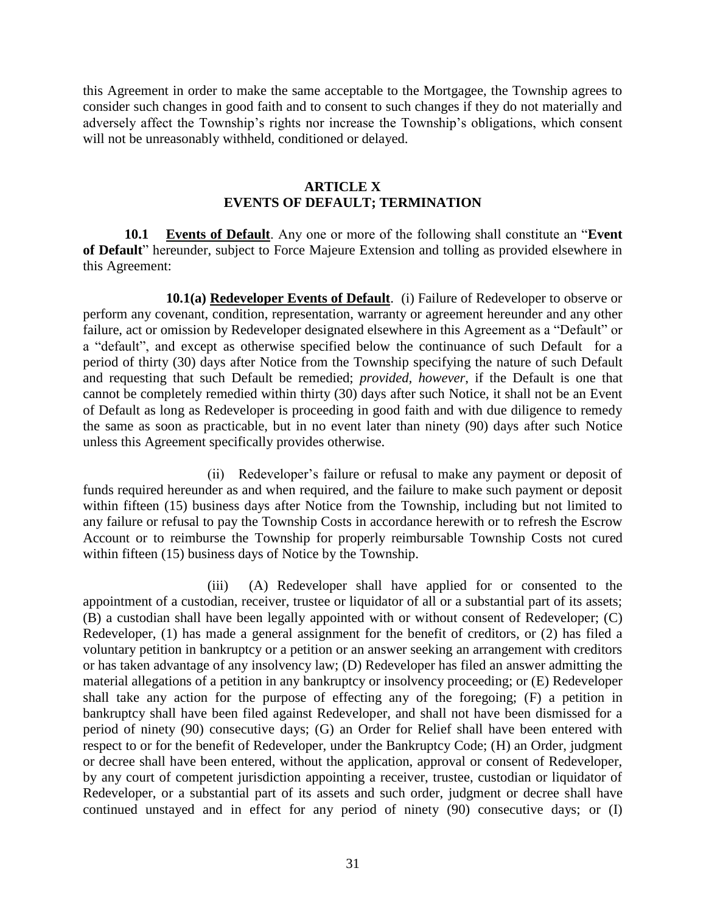this Agreement in order to make the same acceptable to the Mortgagee, the Township agrees to consider such changes in good faith and to consent to such changes if they do not materially and adversely affect the Township's rights nor increase the Township's obligations, which consent will not be unreasonably withheld, conditioned or delayed.

#### **ARTICLE X EVENTS OF DEFAULT; TERMINATION**

**10.1 Events of Default**. Any one or more of the following shall constitute an "**Event of Default**" hereunder, subject to Force Majeure Extension and tolling as provided elsewhere in this Agreement:

**10.1(a) Redeveloper Events of Default**. (i) Failure of Redeveloper to observe or perform any covenant, condition, representation, warranty or agreement hereunder and any other failure, act or omission by Redeveloper designated elsewhere in this Agreement as a "Default" or a "default", and except as otherwise specified below the continuance of such Default for a period of thirty (30) days after Notice from the Township specifying the nature of such Default and requesting that such Default be remedied; *provided, however*, if the Default is one that cannot be completely remedied within thirty (30) days after such Notice, it shall not be an Event of Default as long as Redeveloper is proceeding in good faith and with due diligence to remedy the same as soon as practicable, but in no event later than ninety (90) days after such Notice unless this Agreement specifically provides otherwise.

(ii) Redeveloper's failure or refusal to make any payment or deposit of funds required hereunder as and when required, and the failure to make such payment or deposit within fifteen (15) business days after Notice from the Township, including but not limited to any failure or refusal to pay the Township Costs in accordance herewith or to refresh the Escrow Account or to reimburse the Township for properly reimbursable Township Costs not cured within fifteen (15) business days of Notice by the Township.

(iii) (A) Redeveloper shall have applied for or consented to the appointment of a custodian, receiver, trustee or liquidator of all or a substantial part of its assets; (B) a custodian shall have been legally appointed with or without consent of Redeveloper; (C) Redeveloper, (1) has made a general assignment for the benefit of creditors, or (2) has filed a voluntary petition in bankruptcy or a petition or an answer seeking an arrangement with creditors or has taken advantage of any insolvency law; (D) Redeveloper has filed an answer admitting the material allegations of a petition in any bankruptcy or insolvency proceeding; or (E) Redeveloper shall take any action for the purpose of effecting any of the foregoing; (F) a petition in bankruptcy shall have been filed against Redeveloper, and shall not have been dismissed for a period of ninety (90) consecutive days; (G) an Order for Relief shall have been entered with respect to or for the benefit of Redeveloper, under the Bankruptcy Code; (H) an Order, judgment or decree shall have been entered, without the application, approval or consent of Redeveloper, by any court of competent jurisdiction appointing a receiver, trustee, custodian or liquidator of Redeveloper, or a substantial part of its assets and such order, judgment or decree shall have continued unstayed and in effect for any period of ninety (90) consecutive days; or (I)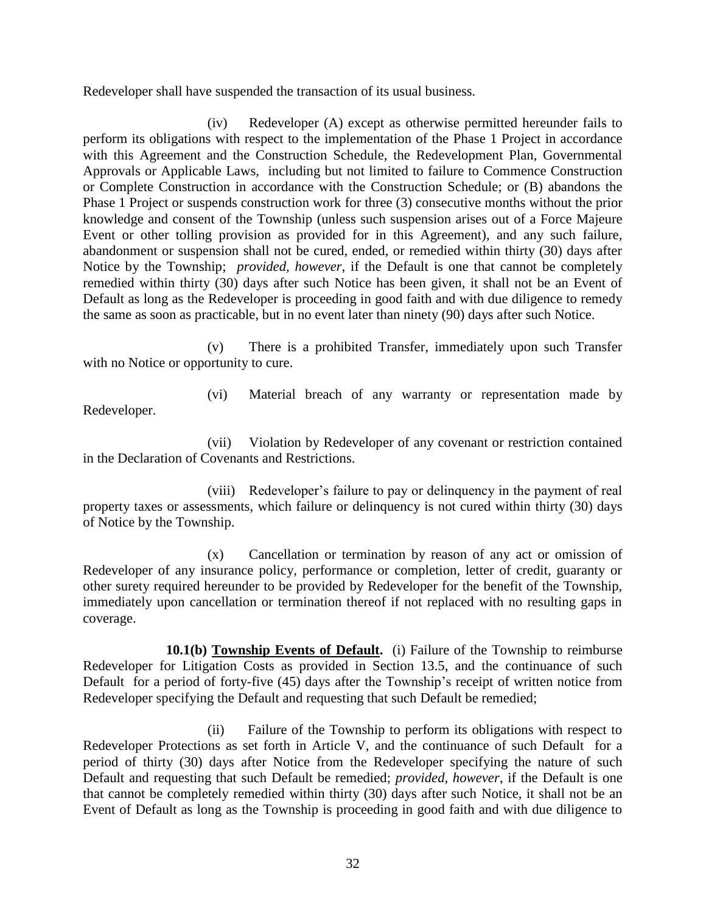Redeveloper shall have suspended the transaction of its usual business.

(iv) Redeveloper (A) except as otherwise permitted hereunder fails to perform its obligations with respect to the implementation of the Phase 1 Project in accordance with this Agreement and the Construction Schedule, the Redevelopment Plan, Governmental Approvals or Applicable Laws, including but not limited to failure to Commence Construction or Complete Construction in accordance with the Construction Schedule; or (B) abandons the Phase 1 Project or suspends construction work for three (3) consecutive months without the prior knowledge and consent of the Township (unless such suspension arises out of a Force Majeure Event or other tolling provision as provided for in this Agreement), and any such failure, abandonment or suspension shall not be cured, ended, or remedied within thirty (30) days after Notice by the Township; *provided, however*, if the Default is one that cannot be completely remedied within thirty (30) days after such Notice has been given, it shall not be an Event of Default as long as the Redeveloper is proceeding in good faith and with due diligence to remedy the same as soon as practicable, but in no event later than ninety (90) days after such Notice.

(v) There is a prohibited Transfer, immediately upon such Transfer with no Notice or opportunity to cure.

Redeveloper.

(vi) Material breach of any warranty or representation made by

(vii) Violation by Redeveloper of any covenant or restriction contained in the Declaration of Covenants and Restrictions.

(viii) Redeveloper's failure to pay or delinquency in the payment of real property taxes or assessments, which failure or delinquency is not cured within thirty (30) days of Notice by the Township.

(x) Cancellation or termination by reason of any act or omission of Redeveloper of any insurance policy, performance or completion, letter of credit, guaranty or other surety required hereunder to be provided by Redeveloper for the benefit of the Township, immediately upon cancellation or termination thereof if not replaced with no resulting gaps in coverage.

**10.1(b) Township Events of Default.** (i) Failure of the Township to reimburse Redeveloper for Litigation Costs as provided in Section 13.5, and the continuance of such Default for a period of forty-five (45) days after the Township's receipt of written notice from Redeveloper specifying the Default and requesting that such Default be remedied;

(ii) Failure of the Township to perform its obligations with respect to Redeveloper Protections as set forth in Article V, and the continuance of such Default for a period of thirty (30) days after Notice from the Redeveloper specifying the nature of such Default and requesting that such Default be remedied; *provided, however*, if the Default is one that cannot be completely remedied within thirty (30) days after such Notice, it shall not be an Event of Default as long as the Township is proceeding in good faith and with due diligence to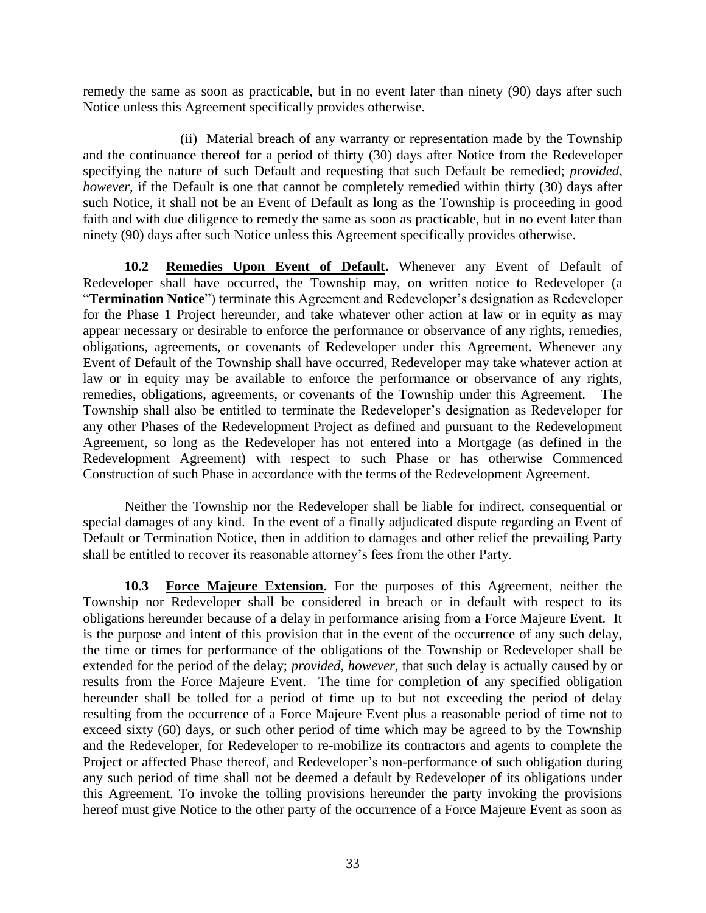remedy the same as soon as practicable, but in no event later than ninety (90) days after such Notice unless this Agreement specifically provides otherwise.

(ii) Material breach of any warranty or representation made by the Township and the continuance thereof for a period of thirty (30) days after Notice from the Redeveloper specifying the nature of such Default and requesting that such Default be remedied; *provided, however*, if the Default is one that cannot be completely remedied within thirty (30) days after such Notice, it shall not be an Event of Default as long as the Township is proceeding in good faith and with due diligence to remedy the same as soon as practicable, but in no event later than ninety (90) days after such Notice unless this Agreement specifically provides otherwise.

**10.2 Remedies Upon Event of Default.** Whenever any Event of Default of Redeveloper shall have occurred, the Township may, on written notice to Redeveloper (a "**Termination Notice**") terminate this Agreement and Redeveloper's designation as Redeveloper for the Phase 1 Project hereunder, and take whatever other action at law or in equity as may appear necessary or desirable to enforce the performance or observance of any rights, remedies, obligations, agreements, or covenants of Redeveloper under this Agreement. Whenever any Event of Default of the Township shall have occurred, Redeveloper may take whatever action at law or in equity may be available to enforce the performance or observance of any rights, remedies, obligations, agreements, or covenants of the Township under this Agreement. The Township shall also be entitled to terminate the Redeveloper's designation as Redeveloper for any other Phases of the Redevelopment Project as defined and pursuant to the Redevelopment Agreement, so long as the Redeveloper has not entered into a Mortgage (as defined in the Redevelopment Agreement) with respect to such Phase or has otherwise Commenced Construction of such Phase in accordance with the terms of the Redevelopment Agreement.

Neither the Township nor the Redeveloper shall be liable for indirect, consequential or special damages of any kind. In the event of a finally adjudicated dispute regarding an Event of Default or Termination Notice, then in addition to damages and other relief the prevailing Party shall be entitled to recover its reasonable attorney's fees from the other Party.

**10.3 Force Majeure Extension.** For the purposes of this Agreement, neither the Township nor Redeveloper shall be considered in breach or in default with respect to its obligations hereunder because of a delay in performance arising from a Force Majeure Event. It is the purpose and intent of this provision that in the event of the occurrence of any such delay, the time or times for performance of the obligations of the Township or Redeveloper shall be extended for the period of the delay; *provided, however*, that such delay is actually caused by or results from the Force Majeure Event. The time for completion of any specified obligation hereunder shall be tolled for a period of time up to but not exceeding the period of delay resulting from the occurrence of a Force Majeure Event plus a reasonable period of time not to exceed sixty (60) days, or such other period of time which may be agreed to by the Township and the Redeveloper, for Redeveloper to re-mobilize its contractors and agents to complete the Project or affected Phase thereof, and Redeveloper's non-performance of such obligation during any such period of time shall not be deemed a default by Redeveloper of its obligations under this Agreement. To invoke the tolling provisions hereunder the party invoking the provisions hereof must give Notice to the other party of the occurrence of a Force Majeure Event as soon as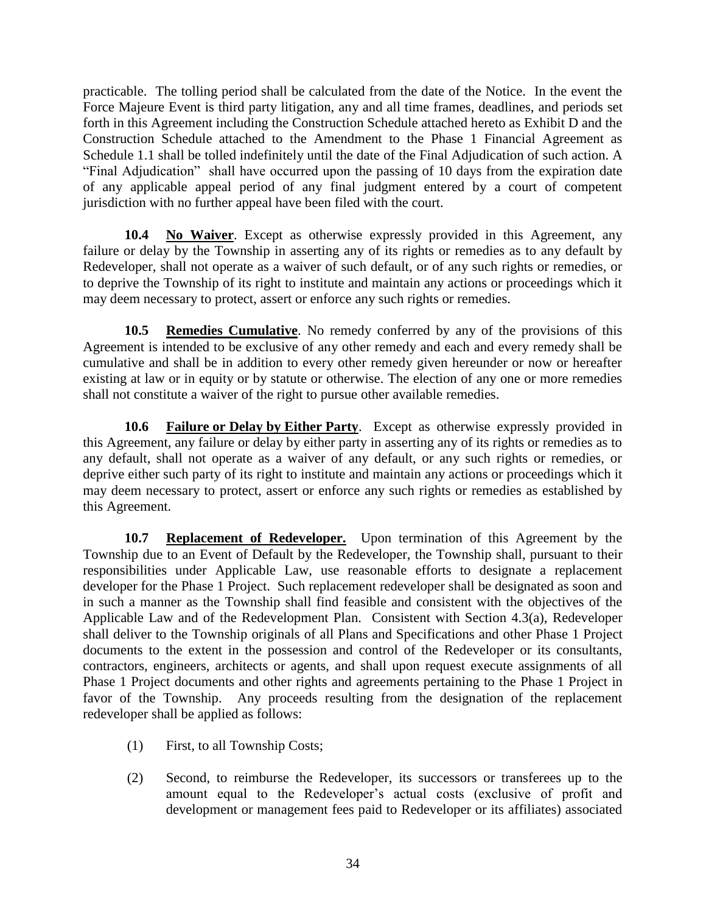practicable. The tolling period shall be calculated from the date of the Notice. In the event the Force Majeure Event is third party litigation, any and all time frames, deadlines, and periods set forth in this Agreement including the Construction Schedule attached hereto as Exhibit D and the Construction Schedule attached to the Amendment to the Phase 1 Financial Agreement as Schedule 1.1 shall be tolled indefinitely until the date of the Final Adjudication of such action. A "Final Adjudication" shall have occurred upon the passing of 10 days from the expiration date of any applicable appeal period of any final judgment entered by a court of competent jurisdiction with no further appeal have been filed with the court.

**10.4 No Waiver**. Except as otherwise expressly provided in this Agreement, any failure or delay by the Township in asserting any of its rights or remedies as to any default by Redeveloper, shall not operate as a waiver of such default, or of any such rights or remedies, or to deprive the Township of its right to institute and maintain any actions or proceedings which it may deem necessary to protect, assert or enforce any such rights or remedies.

**10.5 Remedies Cumulative**. No remedy conferred by any of the provisions of this Agreement is intended to be exclusive of any other remedy and each and every remedy shall be cumulative and shall be in addition to every other remedy given hereunder or now or hereafter existing at law or in equity or by statute or otherwise. The election of any one or more remedies shall not constitute a waiver of the right to pursue other available remedies.

**10.6 Failure or Delay by Either Party**. Except as otherwise expressly provided in this Agreement, any failure or delay by either party in asserting any of its rights or remedies as to any default, shall not operate as a waiver of any default, or any such rights or remedies, or deprive either such party of its right to institute and maintain any actions or proceedings which it may deem necessary to protect, assert or enforce any such rights or remedies as established by this Agreement.

**10.7 Replacement of Redeveloper.** Upon termination of this Agreement by the Township due to an Event of Default by the Redeveloper, the Township shall, pursuant to their responsibilities under Applicable Law, use reasonable efforts to designate a replacement developer for the Phase 1 Project. Such replacement redeveloper shall be designated as soon and in such a manner as the Township shall find feasible and consistent with the objectives of the Applicable Law and of the Redevelopment Plan. Consistent with Section 4.3(a), Redeveloper shall deliver to the Township originals of all Plans and Specifications and other Phase 1 Project documents to the extent in the possession and control of the Redeveloper or its consultants, contractors, engineers, architects or agents, and shall upon request execute assignments of all Phase 1 Project documents and other rights and agreements pertaining to the Phase 1 Project in favor of the Township. Any proceeds resulting from the designation of the replacement redeveloper shall be applied as follows:

- (1) First, to all Township Costs;
- (2) Second, to reimburse the Redeveloper, its successors or transferees up to the amount equal to the Redeveloper's actual costs (exclusive of profit and development or management fees paid to Redeveloper or its affiliates) associated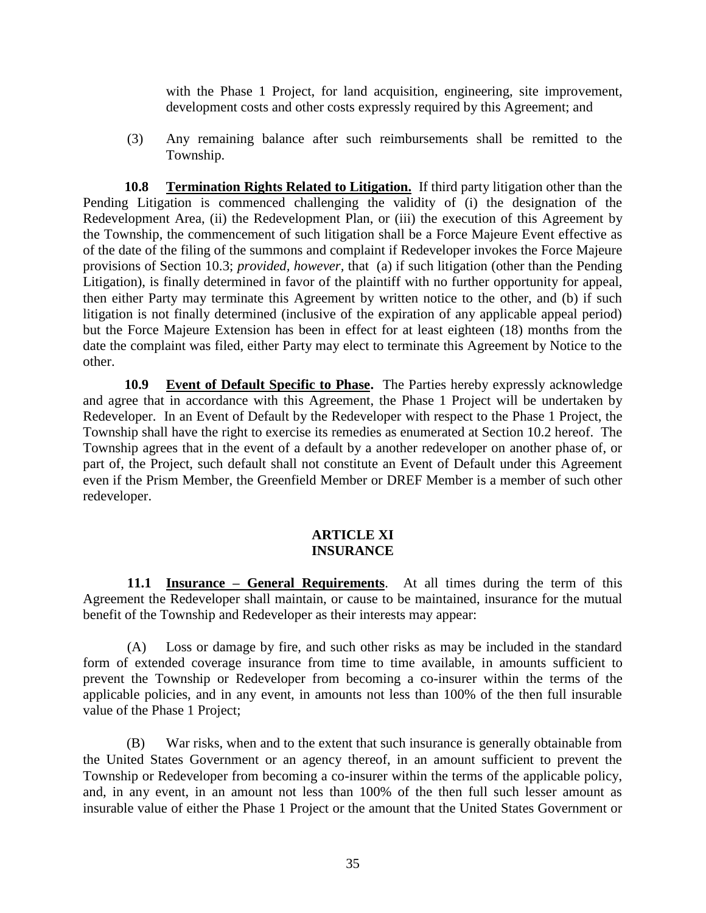with the Phase 1 Project, for land acquisition, engineering, site improvement, development costs and other costs expressly required by this Agreement; and

(3) Any remaining balance after such reimbursements shall be remitted to the Township.

**10.8 Termination Rights Related to Litigation.** If third party litigation other than the Pending Litigation is commenced challenging the validity of (i) the designation of the Redevelopment Area, (ii) the Redevelopment Plan, or (iii) the execution of this Agreement by the Township, the commencement of such litigation shall be a Force Majeure Event effective as of the date of the filing of the summons and complaint if Redeveloper invokes the Force Majeure provisions of Section 10.3; *provided, however,* that (a) if such litigation (other than the Pending Litigation), is finally determined in favor of the plaintiff with no further opportunity for appeal, then either Party may terminate this Agreement by written notice to the other, and (b) if such litigation is not finally determined (inclusive of the expiration of any applicable appeal period) but the Force Majeure Extension has been in effect for at least eighteen (18) months from the date the complaint was filed, either Party may elect to terminate this Agreement by Notice to the other.

**10.9 Event of Default Specific to Phase.** The Parties hereby expressly acknowledge and agree that in accordance with this Agreement, the Phase 1 Project will be undertaken by Redeveloper. In an Event of Default by the Redeveloper with respect to the Phase 1 Project, the Township shall have the right to exercise its remedies as enumerated at Section 10.2 hereof. The Township agrees that in the event of a default by a another redeveloper on another phase of, or part of, the Project, such default shall not constitute an Event of Default under this Agreement even if the Prism Member, the Greenfield Member or DREF Member is a member of such other redeveloper.

#### **ARTICLE XI INSURANCE**

**11.1 Insurance – General Requirements**. At all times during the term of this Agreement the Redeveloper shall maintain, or cause to be maintained, insurance for the mutual benefit of the Township and Redeveloper as their interests may appear:

(A) Loss or damage by fire, and such other risks as may be included in the standard form of extended coverage insurance from time to time available, in amounts sufficient to prevent the Township or Redeveloper from becoming a co-insurer within the terms of the applicable policies, and in any event, in amounts not less than 100% of the then full insurable value of the Phase 1 Project;

(B) War risks, when and to the extent that such insurance is generally obtainable from the United States Government or an agency thereof, in an amount sufficient to prevent the Township or Redeveloper from becoming a co-insurer within the terms of the applicable policy, and, in any event, in an amount not less than 100% of the then full such lesser amount as insurable value of either the Phase 1 Project or the amount that the United States Government or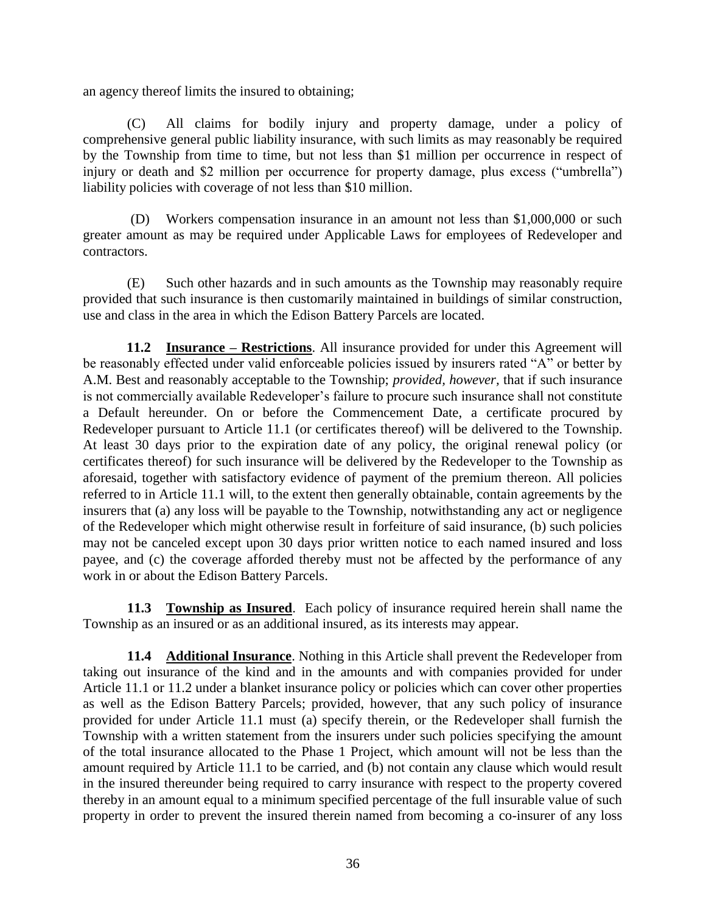an agency thereof limits the insured to obtaining;

(C) All claims for bodily injury and property damage, under a policy of comprehensive general public liability insurance, with such limits as may reasonably be required by the Township from time to time, but not less than \$1 million per occurrence in respect of injury or death and \$2 million per occurrence for property damage, plus excess ("umbrella") liability policies with coverage of not less than \$10 million.

(D) Workers compensation insurance in an amount not less than \$1,000,000 or such greater amount as may be required under Applicable Laws for employees of Redeveloper and contractors.

(E) Such other hazards and in such amounts as the Township may reasonably require provided that such insurance is then customarily maintained in buildings of similar construction, use and class in the area in which the Edison Battery Parcels are located.

**11.2 Insurance – Restrictions**. All insurance provided for under this Agreement will be reasonably effected under valid enforceable policies issued by insurers rated "A" or better by A.M. Best and reasonably acceptable to the Township; *provided, however,* that if such insurance is not commercially available Redeveloper's failure to procure such insurance shall not constitute a Default hereunder. On or before the Commencement Date, a certificate procured by Redeveloper pursuant to Article 11.1 (or certificates thereof) will be delivered to the Township. At least 30 days prior to the expiration date of any policy, the original renewal policy (or certificates thereof) for such insurance will be delivered by the Redeveloper to the Township as aforesaid, together with satisfactory evidence of payment of the premium thereon. All policies referred to in Article 11.1 will, to the extent then generally obtainable, contain agreements by the insurers that (a) any loss will be payable to the Township, notwithstanding any act or negligence of the Redeveloper which might otherwise result in forfeiture of said insurance, (b) such policies may not be canceled except upon 30 days prior written notice to each named insured and loss payee, and (c) the coverage afforded thereby must not be affected by the performance of any work in or about the Edison Battery Parcels.

**11.3 Township as Insured**. Each policy of insurance required herein shall name the Township as an insured or as an additional insured, as its interests may appear.

**11.4 Additional Insurance**. Nothing in this Article shall prevent the Redeveloper from taking out insurance of the kind and in the amounts and with companies provided for under Article 11.1 or 11.2 under a blanket insurance policy or policies which can cover other properties as well as the Edison Battery Parcels; provided, however, that any such policy of insurance provided for under Article 11.1 must (a) specify therein, or the Redeveloper shall furnish the Township with a written statement from the insurers under such policies specifying the amount of the total insurance allocated to the Phase 1 Project, which amount will not be less than the amount required by Article 11.1 to be carried, and (b) not contain any clause which would result in the insured thereunder being required to carry insurance with respect to the property covered thereby in an amount equal to a minimum specified percentage of the full insurable value of such property in order to prevent the insured therein named from becoming a co-insurer of any loss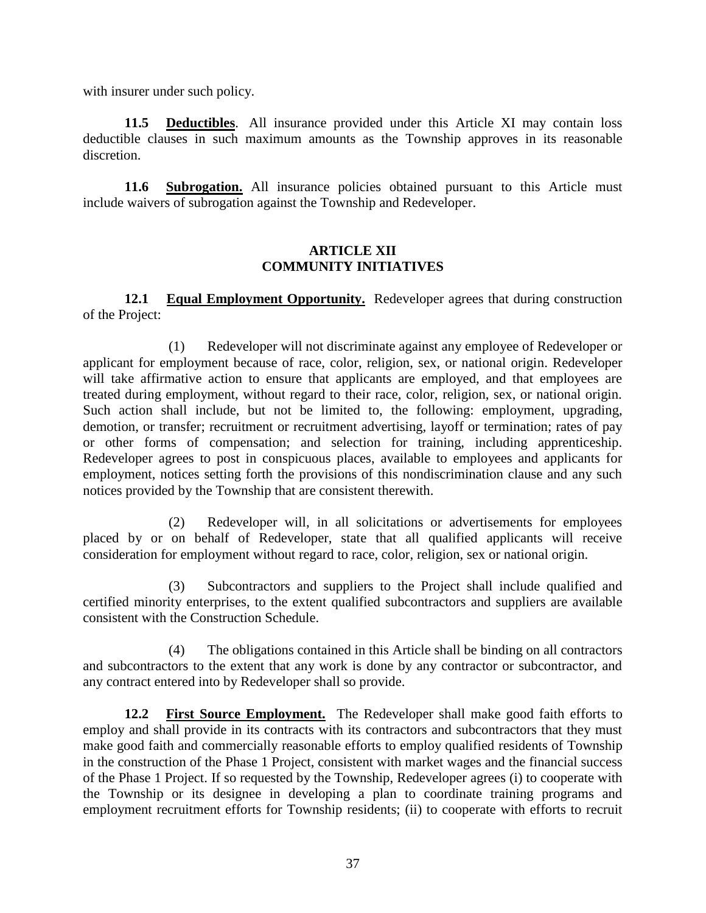with insurer under such policy.

**11.5 Deductibles**. All insurance provided under this Article XI may contain loss deductible clauses in such maximum amounts as the Township approves in its reasonable discretion.

**11.6 Subrogation.** All insurance policies obtained pursuant to this Article must include waivers of subrogation against the Township and Redeveloper.

#### **ARTICLE XII COMMUNITY INITIATIVES**

**12.1 Equal Employment Opportunity.** Redeveloper agrees that during construction of the Project:

 (1) Redeveloper will not discriminate against any employee of Redeveloper or applicant for employment because of race, color, religion, sex, or national origin. Redeveloper will take affirmative action to ensure that applicants are employed, and that employees are treated during employment, without regard to their race, color, religion, sex, or national origin. Such action shall include, but not be limited to, the following: employment, upgrading, demotion, or transfer; recruitment or recruitment advertising, layoff or termination; rates of pay or other forms of compensation; and selection for training, including apprenticeship. Redeveloper agrees to post in conspicuous places, available to employees and applicants for employment, notices setting forth the provisions of this nondiscrimination clause and any such notices provided by the Township that are consistent therewith.

 (2) Redeveloper will, in all solicitations or advertisements for employees placed by or on behalf of Redeveloper, state that all qualified applicants will receive consideration for employment without regard to race, color, religion, sex or national origin.

 (3) Subcontractors and suppliers to the Project shall include qualified and certified minority enterprises, to the extent qualified subcontractors and suppliers are available consistent with the Construction Schedule.

(4) The obligations contained in this Article shall be binding on all contractors and subcontractors to the extent that any work is done by any contractor or subcontractor, and any contract entered into by Redeveloper shall so provide.

**12.2 First Source Employment.** The Redeveloper shall make good faith efforts to employ and shall provide in its contracts with its contractors and subcontractors that they must make good faith and commercially reasonable efforts to employ qualified residents of Township in the construction of the Phase 1 Project, consistent with market wages and the financial success of the Phase 1 Project. If so requested by the Township, Redeveloper agrees (i) to cooperate with the Township or its designee in developing a plan to coordinate training programs and employment recruitment efforts for Township residents; (ii) to cooperate with efforts to recruit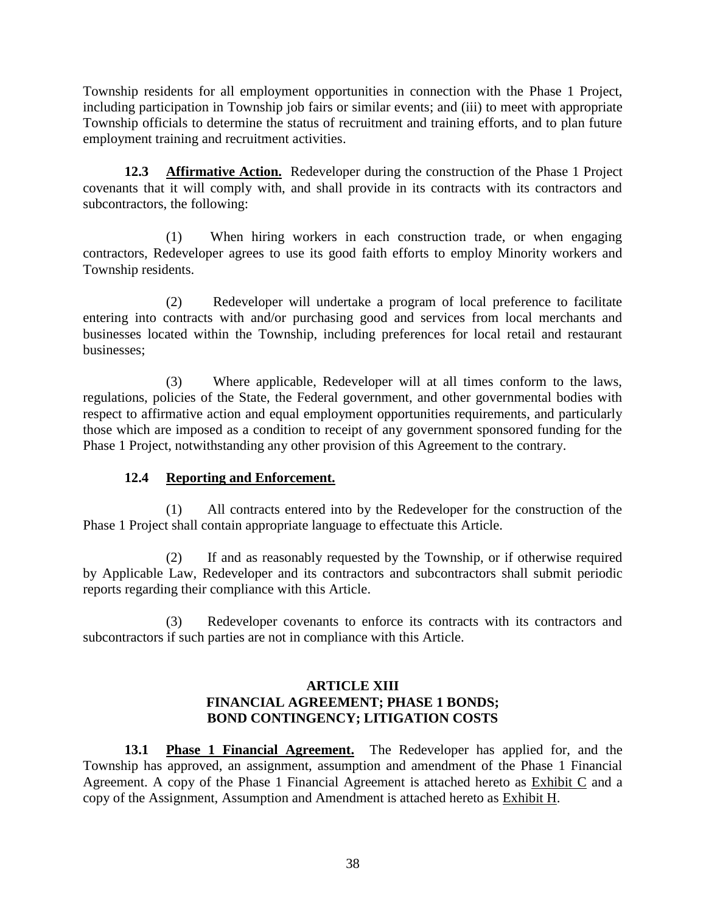Township residents for all employment opportunities in connection with the Phase 1 Project, including participation in Township job fairs or similar events; and (iii) to meet with appropriate Township officials to determine the status of recruitment and training efforts, and to plan future employment training and recruitment activities.

**12.3 Affirmative Action.** Redeveloper during the construction of the Phase 1 Project covenants that it will comply with, and shall provide in its contracts with its contractors and subcontractors, the following:

(1) When hiring workers in each construction trade, or when engaging contractors, Redeveloper agrees to use its good faith efforts to employ Minority workers and Township residents.

(2) Redeveloper will undertake a program of local preference to facilitate entering into contracts with and/or purchasing good and services from local merchants and businesses located within the Township, including preferences for local retail and restaurant businesses;

(3) Where applicable, Redeveloper will at all times conform to the laws, regulations, policies of the State, the Federal government, and other governmental bodies with respect to affirmative action and equal employment opportunities requirements, and particularly those which are imposed as a condition to receipt of any government sponsored funding for the Phase 1 Project, notwithstanding any other provision of this Agreement to the contrary.

## **12.4 Reporting and Enforcement.**

(1) All contracts entered into by the Redeveloper for the construction of the Phase 1 Project shall contain appropriate language to effectuate this Article.

(2) If and as reasonably requested by the Township, or if otherwise required by Applicable Law, Redeveloper and its contractors and subcontractors shall submit periodic reports regarding their compliance with this Article.

(3) Redeveloper covenants to enforce its contracts with its contractors and subcontractors if such parties are not in compliance with this Article.

#### **ARTICLE XIII FINANCIAL AGREEMENT; PHASE 1 BONDS; BOND CONTINGENCY; LITIGATION COSTS**

**13.1 Phase 1 Financial Agreement.** The Redeveloper has applied for, and the Township has approved, an assignment, assumption and amendment of the Phase 1 Financial Agreement. A copy of the Phase 1 Financial Agreement is attached hereto as Exhibit C and a copy of the Assignment, Assumption and Amendment is attached hereto as **Exhibit H**.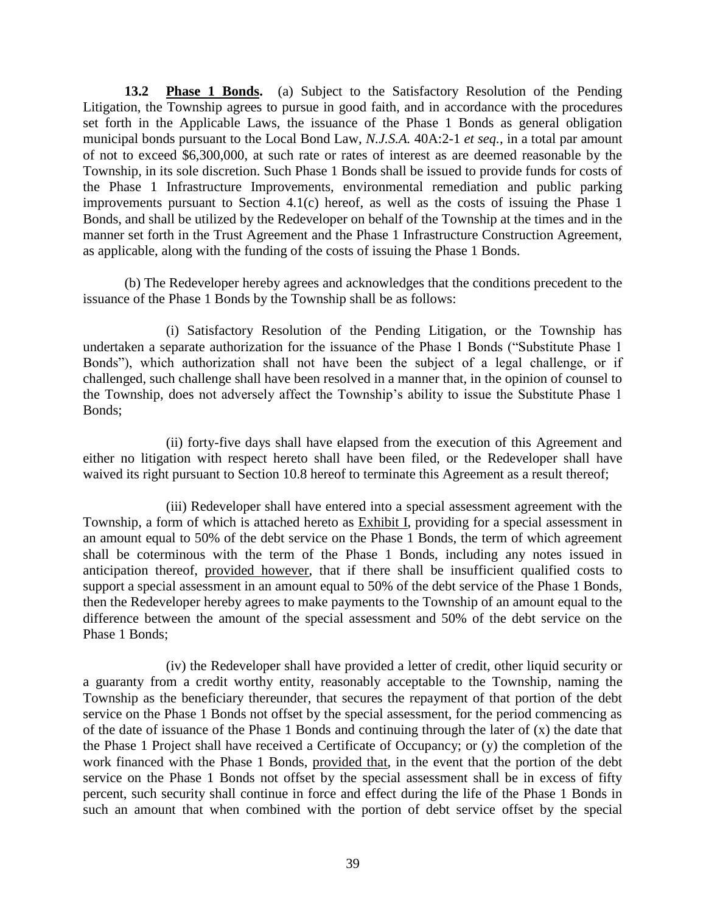**13.2 Phase 1 Bonds.** (a) Subject to the Satisfactory Resolution of the Pending Litigation, the Township agrees to pursue in good faith, and in accordance with the procedures set forth in the Applicable Laws, the issuance of the Phase 1 Bonds as general obligation municipal bonds pursuant to the Local Bond Law, *N.J.S.A.* 40A:2-1 *et seq.*, in a total par amount of not to exceed \$6,300,000, at such rate or rates of interest as are deemed reasonable by the Township, in its sole discretion. Such Phase 1 Bonds shall be issued to provide funds for costs of the Phase 1 Infrastructure Improvements, environmental remediation and public parking improvements pursuant to Section 4.1(c) hereof, as well as the costs of issuing the Phase 1 Bonds, and shall be utilized by the Redeveloper on behalf of the Township at the times and in the manner set forth in the Trust Agreement and the Phase 1 Infrastructure Construction Agreement, as applicable, along with the funding of the costs of issuing the Phase 1 Bonds.

(b) The Redeveloper hereby agrees and acknowledges that the conditions precedent to the issuance of the Phase 1 Bonds by the Township shall be as follows:

(i) Satisfactory Resolution of the Pending Litigation, or the Township has undertaken a separate authorization for the issuance of the Phase 1 Bonds ("Substitute Phase 1 Bonds"), which authorization shall not have been the subject of a legal challenge, or if challenged, such challenge shall have been resolved in a manner that, in the opinion of counsel to the Township, does not adversely affect the Township's ability to issue the Substitute Phase 1 Bonds;

(ii) forty-five days shall have elapsed from the execution of this Agreement and either no litigation with respect hereto shall have been filed, or the Redeveloper shall have waived its right pursuant to Section 10.8 hereof to terminate this Agreement as a result thereof;

(iii) Redeveloper shall have entered into a special assessment agreement with the Township, a form of which is attached hereto as Exhibit I, providing for a special assessment in an amount equal to 50% of the debt service on the Phase 1 Bonds, the term of which agreement shall be coterminous with the term of the Phase 1 Bonds, including any notes issued in anticipation thereof, provided however, that if there shall be insufficient qualified costs to support a special assessment in an amount equal to 50% of the debt service of the Phase 1 Bonds, then the Redeveloper hereby agrees to make payments to the Township of an amount equal to the difference between the amount of the special assessment and 50% of the debt service on the Phase 1 Bonds;

(iv) the Redeveloper shall have provided a letter of credit, other liquid security or a guaranty from a credit worthy entity, reasonably acceptable to the Township, naming the Township as the beneficiary thereunder, that secures the repayment of that portion of the debt service on the Phase 1 Bonds not offset by the special assessment, for the period commencing as of the date of issuance of the Phase 1 Bonds and continuing through the later of (x) the date that the Phase 1 Project shall have received a Certificate of Occupancy; or (y) the completion of the work financed with the Phase 1 Bonds, provided that, in the event that the portion of the debt service on the Phase 1 Bonds not offset by the special assessment shall be in excess of fifty percent, such security shall continue in force and effect during the life of the Phase 1 Bonds in such an amount that when combined with the portion of debt service offset by the special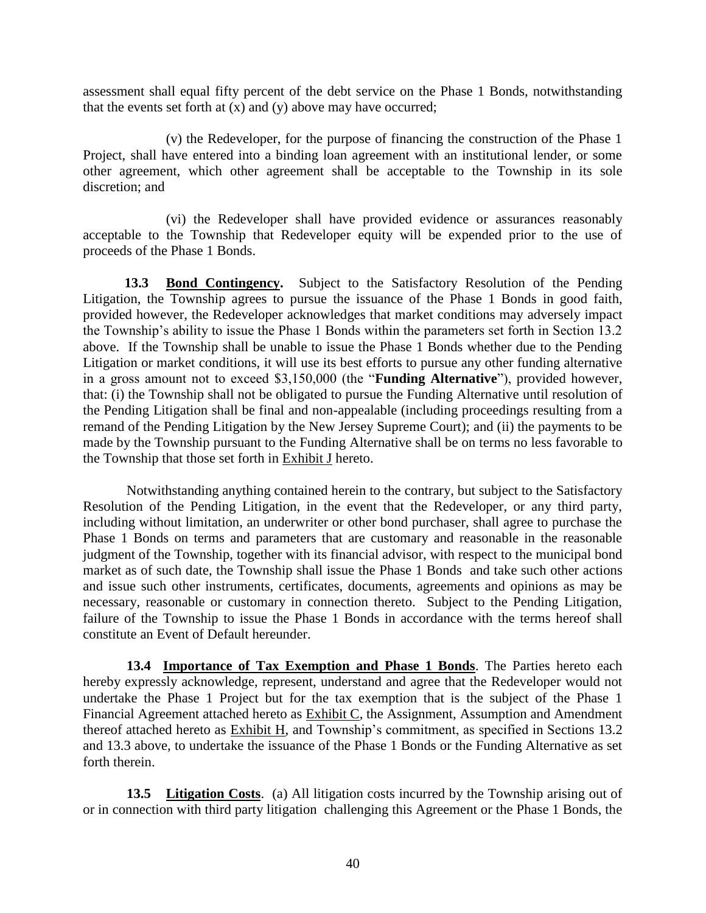assessment shall equal fifty percent of the debt service on the Phase 1 Bonds, notwithstanding that the events set forth at  $(x)$  and  $(y)$  above may have occurred;

(v) the Redeveloper, for the purpose of financing the construction of the Phase 1 Project, shall have entered into a binding loan agreement with an institutional lender, or some other agreement, which other agreement shall be acceptable to the Township in its sole discretion; and

(vi) the Redeveloper shall have provided evidence or assurances reasonably acceptable to the Township that Redeveloper equity will be expended prior to the use of proceeds of the Phase 1 Bonds.

**13.3 Bond Contingency.** Subject to the Satisfactory Resolution of the Pending Litigation, the Township agrees to pursue the issuance of the Phase 1 Bonds in good faith, provided however, the Redeveloper acknowledges that market conditions may adversely impact the Township's ability to issue the Phase 1 Bonds within the parameters set forth in Section 13.2 above. If the Township shall be unable to issue the Phase 1 Bonds whether due to the Pending Litigation or market conditions, it will use its best efforts to pursue any other funding alternative in a gross amount not to exceed \$3,150,000 (the "**Funding Alternative**"), provided however, that: (i) the Township shall not be obligated to pursue the Funding Alternative until resolution of the Pending Litigation shall be final and non-appealable (including proceedings resulting from a remand of the Pending Litigation by the New Jersey Supreme Court); and (ii) the payments to be made by the Township pursuant to the Funding Alternative shall be on terms no less favorable to the Township that those set forth in Exhibit J hereto.

Notwithstanding anything contained herein to the contrary, but subject to the Satisfactory Resolution of the Pending Litigation, in the event that the Redeveloper, or any third party, including without limitation, an underwriter or other bond purchaser, shall agree to purchase the Phase 1 Bonds on terms and parameters that are customary and reasonable in the reasonable judgment of the Township, together with its financial advisor, with respect to the municipal bond market as of such date, the Township shall issue the Phase 1 Bonds and take such other actions and issue such other instruments, certificates, documents, agreements and opinions as may be necessary, reasonable or customary in connection thereto. Subject to the Pending Litigation, failure of the Township to issue the Phase 1 Bonds in accordance with the terms hereof shall constitute an Event of Default hereunder.

**13.4 Importance of Tax Exemption and Phase 1 Bonds**. The Parties hereto each hereby expressly acknowledge, represent, understand and agree that the Redeveloper would not undertake the Phase 1 Project but for the tax exemption that is the subject of the Phase 1 Financial Agreement attached hereto as **Exhibit C**, the Assignment, Assumption and Amendment thereof attached hereto as Exhibit H, and Township's commitment, as specified in Sections 13.2 and 13.3 above, to undertake the issuance of the Phase 1 Bonds or the Funding Alternative as set forth therein.

**13.5 Litigation Costs**. (a) All litigation costs incurred by the Township arising out of or in connection with third party litigation challenging this Agreement or the Phase 1 Bonds, the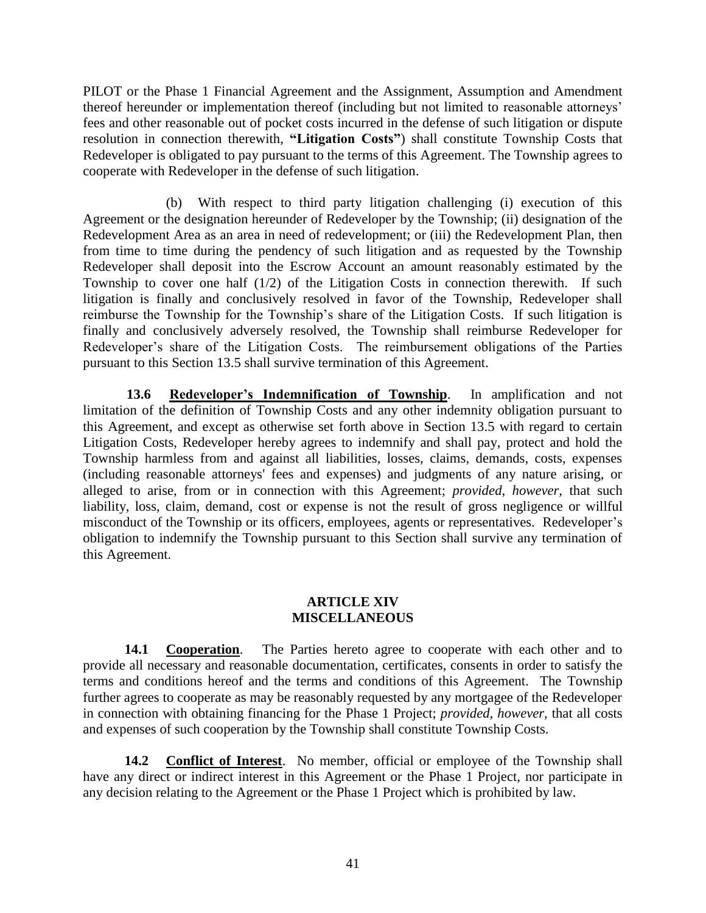PILOT or the Phase 1 Financial Agreement and the Assignment, Assumption and Amendment thereof hereunder or implementation thereof (including but not limited to reasonable attorneys' fees and other reasonable out of pocket costs incurred in the defense of such litigation or dispute resolution in connection therewith, **"Litigation Costs"**) shall constitute Township Costs that Redeveloper is obligated to pay pursuant to the terms of this Agreement. The Township agrees to cooperate with Redeveloper in the defense of such litigation.

(b) With respect to third party litigation challenging (i) execution of this Agreement or the designation hereunder of Redeveloper by the Township; (ii) designation of the Redevelopment Area as an area in need of redevelopment; or (iii) the Redevelopment Plan, then from time to time during the pendency of such litigation and as requested by the Township Redeveloper shall deposit into the Escrow Account an amount reasonably estimated by the Township to cover one half  $(1/2)$  of the Litigation Costs in connection therewith. If such litigation is finally and conclusively resolved in favor of the Township, Redeveloper shall reimburse the Township for the Township's share of the Litigation Costs. If such litigation is finally and conclusively adversely resolved, the Township shall reimburse Redeveloper for Redeveloper's share of the Litigation Costs. The reimbursement obligations of the Parties pursuant to this Section 13.5 shall survive termination of this Agreement.

**13.6 Redeveloper's Indemnification of Township**. In amplification and not limitation of the definition of Township Costs and any other indemnity obligation pursuant to this Agreement, and except as otherwise set forth above in Section 13.5 with regard to certain Litigation Costs, Redeveloper hereby agrees to indemnify and shall pay, protect and hold the Township harmless from and against all liabilities, losses, claims, demands, costs, expenses (including reasonable attorneys' fees and expenses) and judgments of any nature arising, or alleged to arise, from or in connection with this Agreement; *provided, however,* that such liability, loss, claim, demand, cost or expense is not the result of gross negligence or willful misconduct of the Township or its officers, employees, agents or representatives. Redeveloper's obligation to indemnify the Township pursuant to this Section shall survive any termination of this Agreement.

#### **ARTICLE XIV MISCELLANEOUS**

**14.1 Cooperation**. The Parties hereto agree to cooperate with each other and to provide all necessary and reasonable documentation, certificates, consents in order to satisfy the terms and conditions hereof and the terms and conditions of this Agreement. The Township further agrees to cooperate as may be reasonably requested by any mortgagee of the Redeveloper in connection with obtaining financing for the Phase 1 Project; *provided*, *however,* that all costs and expenses of such cooperation by the Township shall constitute Township Costs.

**14.2 Conflict of Interest**. No member, official or employee of the Township shall have any direct or indirect interest in this Agreement or the Phase 1 Project, nor participate in any decision relating to the Agreement or the Phase 1 Project which is prohibited by law.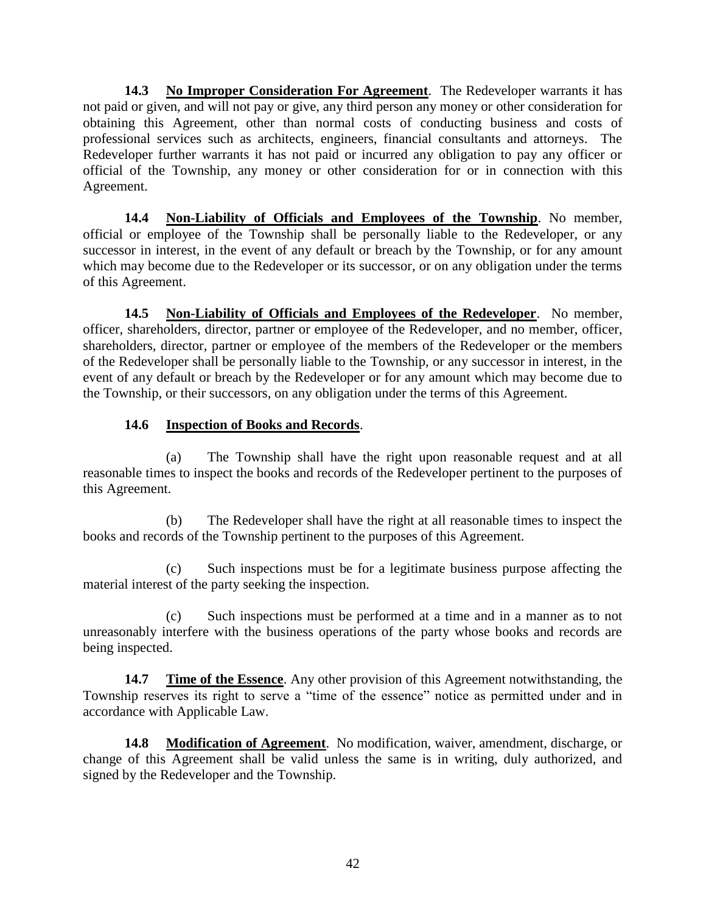**14.3 No Improper Consideration For Agreement**. The Redeveloper warrants it has not paid or given, and will not pay or give, any third person any money or other consideration for obtaining this Agreement, other than normal costs of conducting business and costs of professional services such as architects, engineers, financial consultants and attorneys. The Redeveloper further warrants it has not paid or incurred any obligation to pay any officer or official of the Township, any money or other consideration for or in connection with this Agreement.

**14.4 Non-Liability of Officials and Employees of the Township**. No member, official or employee of the Township shall be personally liable to the Redeveloper, or any successor in interest, in the event of any default or breach by the Township, or for any amount which may become due to the Redeveloper or its successor, or on any obligation under the terms of this Agreement.

**14.5 Non-Liability of Officials and Employees of the Redeveloper**. No member, officer, shareholders, director, partner or employee of the Redeveloper, and no member, officer, shareholders, director, partner or employee of the members of the Redeveloper or the members of the Redeveloper shall be personally liable to the Township, or any successor in interest, in the event of any default or breach by the Redeveloper or for any amount which may become due to the Township, or their successors, on any obligation under the terms of this Agreement.

## **14.6 Inspection of Books and Records**.

(a) The Township shall have the right upon reasonable request and at all reasonable times to inspect the books and records of the Redeveloper pertinent to the purposes of this Agreement.

(b) The Redeveloper shall have the right at all reasonable times to inspect the books and records of the Township pertinent to the purposes of this Agreement.

(c) Such inspections must be for a legitimate business purpose affecting the material interest of the party seeking the inspection.

(c) Such inspections must be performed at a time and in a manner as to not unreasonably interfere with the business operations of the party whose books and records are being inspected.

**14.7 Time of the Essence**. Any other provision of this Agreement notwithstanding, the Township reserves its right to serve a "time of the essence" notice as permitted under and in accordance with Applicable Law.

**14.8 Modification of Agreement**. No modification, waiver, amendment, discharge, or change of this Agreement shall be valid unless the same is in writing, duly authorized, and signed by the Redeveloper and the Township.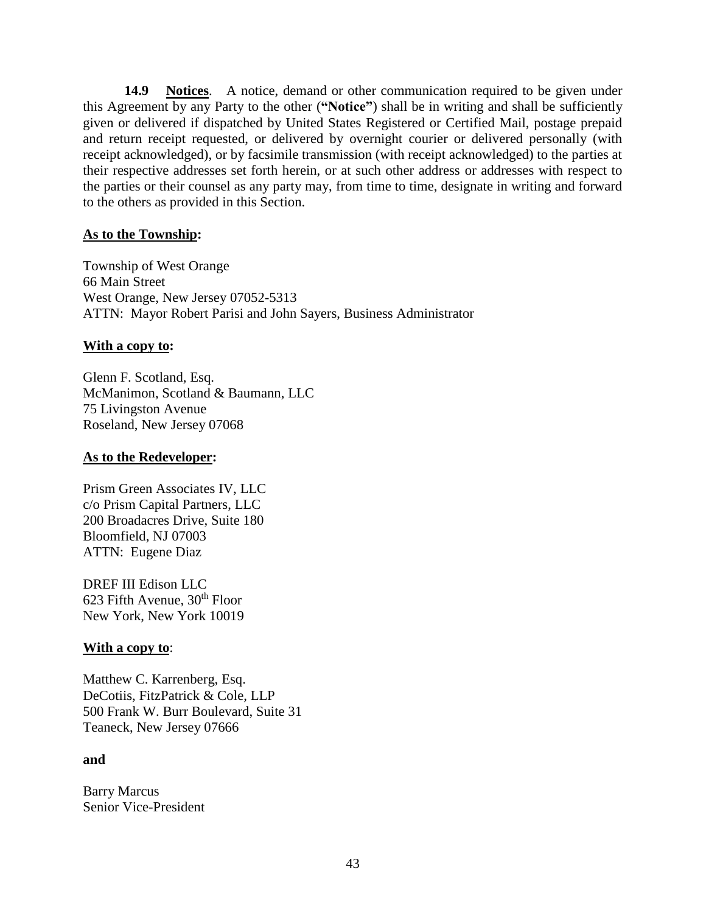**14.9 Notices**. A notice, demand or other communication required to be given under this Agreement by any Party to the other (**"Notice"**) shall be in writing and shall be sufficiently given or delivered if dispatched by United States Registered or Certified Mail, postage prepaid and return receipt requested, or delivered by overnight courier or delivered personally (with receipt acknowledged), or by facsimile transmission (with receipt acknowledged) to the parties at their respective addresses set forth herein, or at such other address or addresses with respect to the parties or their counsel as any party may, from time to time, designate in writing and forward to the others as provided in this Section.

#### **As to the Township:**

Township of West Orange 66 Main Street West Orange, New Jersey 07052-5313 ATTN: Mayor Robert Parisi and John Sayers, Business Administrator

#### **With a copy to:**

Glenn F. Scotland, Esq. McManimon, Scotland & Baumann, LLC 75 Livingston Avenue Roseland, New Jersey 07068

#### **As to the Redeveloper:**

Prism Green Associates IV, LLC c/o Prism Capital Partners, LLC 200 Broadacres Drive, Suite 180 Bloomfield, NJ 07003 ATTN: Eugene Diaz

DREF III Edison LLC  $623$  Fifth Avenue,  $30<sup>th</sup>$  Floor New York, New York 10019

### **With a copy to**:

Matthew C. Karrenberg, Esq. DeCotiis, FitzPatrick & Cole, LLP 500 Frank W. Burr Boulevard, Suite 31 Teaneck, New Jersey 07666

#### **and**

Barry Marcus Senior Vice-President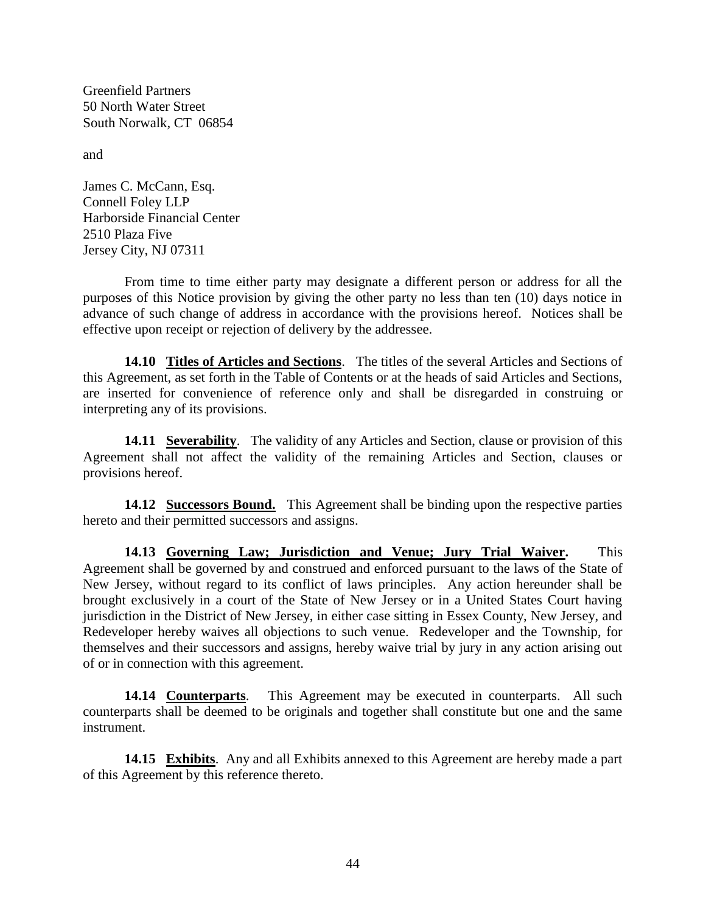Greenfield Partners 50 North Water Street South Norwalk, CT 06854

and

James C. McCann, Esq. Connell Foley LLP Harborside Financial Center 2510 Plaza Five Jersey City, NJ 07311

From time to time either party may designate a different person or address for all the purposes of this Notice provision by giving the other party no less than ten (10) days notice in advance of such change of address in accordance with the provisions hereof. Notices shall be effective upon receipt or rejection of delivery by the addressee.

**14.10 Titles of Articles and Sections**. The titles of the several Articles and Sections of this Agreement, as set forth in the Table of Contents or at the heads of said Articles and Sections, are inserted for convenience of reference only and shall be disregarded in construing or interpreting any of its provisions.

**14.11 Severability**. The validity of any Articles and Section, clause or provision of this Agreement shall not affect the validity of the remaining Articles and Section, clauses or provisions hereof.

**14.12 Successors Bound.** This Agreement shall be binding upon the respective parties hereto and their permitted successors and assigns.

**14.13 Governing Law; Jurisdiction and Venue; Jury Trial Waiver.** This Agreement shall be governed by and construed and enforced pursuant to the laws of the State of New Jersey, without regard to its conflict of laws principles. Any action hereunder shall be brought exclusively in a court of the State of New Jersey or in a United States Court having jurisdiction in the District of New Jersey, in either case sitting in Essex County, New Jersey, and Redeveloper hereby waives all objections to such venue. Redeveloper and the Township, for themselves and their successors and assigns, hereby waive trial by jury in any action arising out of or in connection with this agreement.

**14.14 Counterparts**. This Agreement may be executed in counterparts. All such counterparts shall be deemed to be originals and together shall constitute but one and the same instrument.

**14.15 Exhibits**. Any and all Exhibits annexed to this Agreement are hereby made a part of this Agreement by this reference thereto.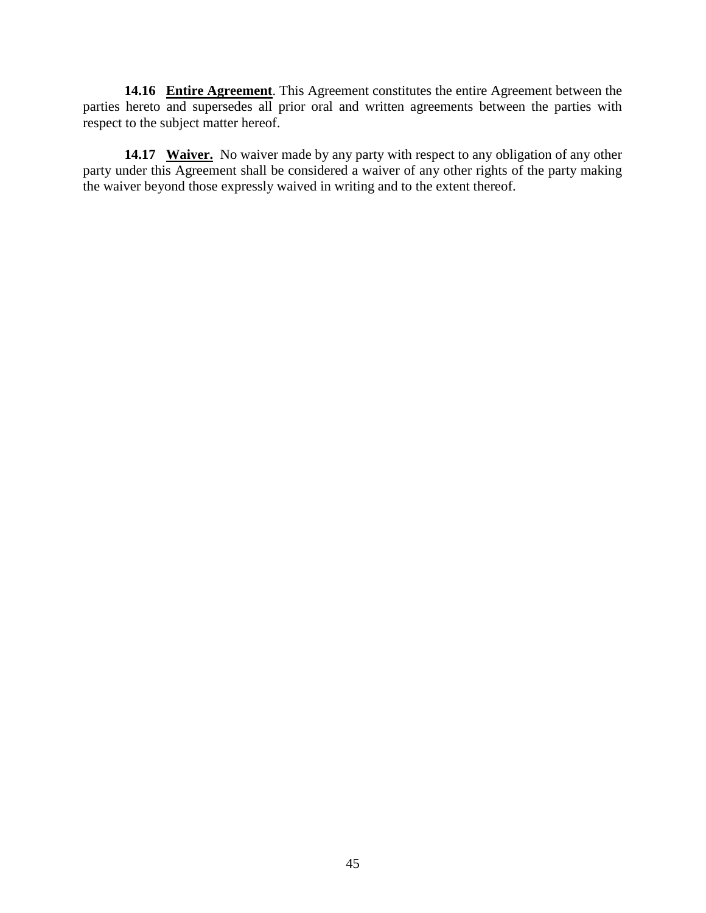**14.16 Entire Agreement**. This Agreement constitutes the entire Agreement between the parties hereto and supersedes all prior oral and written agreements between the parties with respect to the subject matter hereof.

**14.17 Waiver.** No waiver made by any party with respect to any obligation of any other party under this Agreement shall be considered a waiver of any other rights of the party making the waiver beyond those expressly waived in writing and to the extent thereof.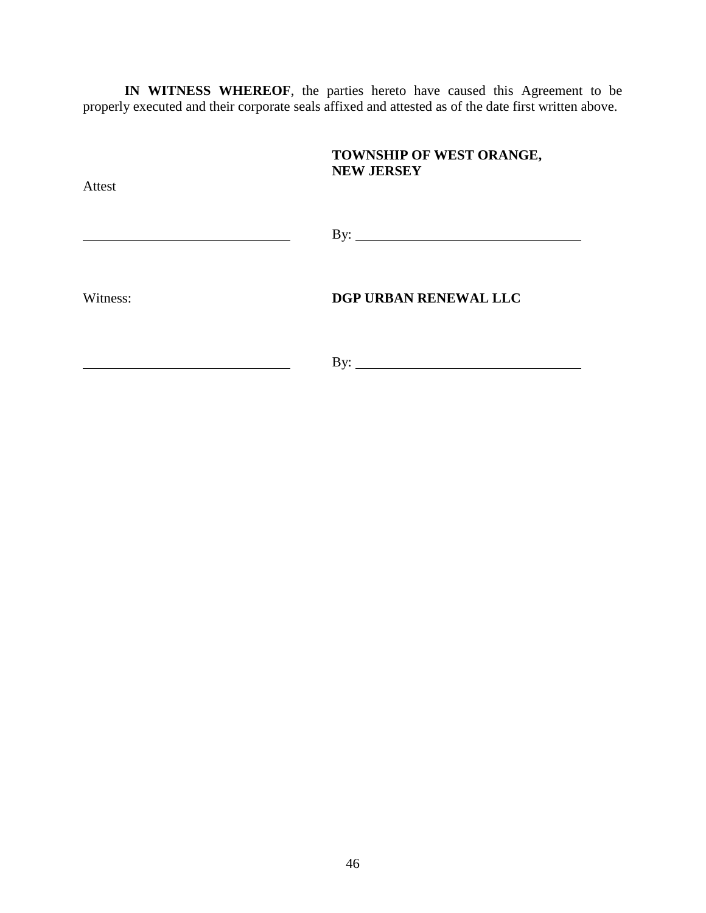**IN WITNESS WHEREOF**, the parties hereto have caused this Agreement to be properly executed and their corporate seals affixed and attested as of the date first written above.

| <b>Attest</b> | TOWNSHIP OF WEST ORANGE,<br><b>NEW JERSEY</b> |
|---------------|-----------------------------------------------|
|               | By: $\overline{\phantom{a}}$                  |
| Witness:      | DGP URBAN RENEWAL LLC                         |
|               | $\rm\,By:$                                    |

46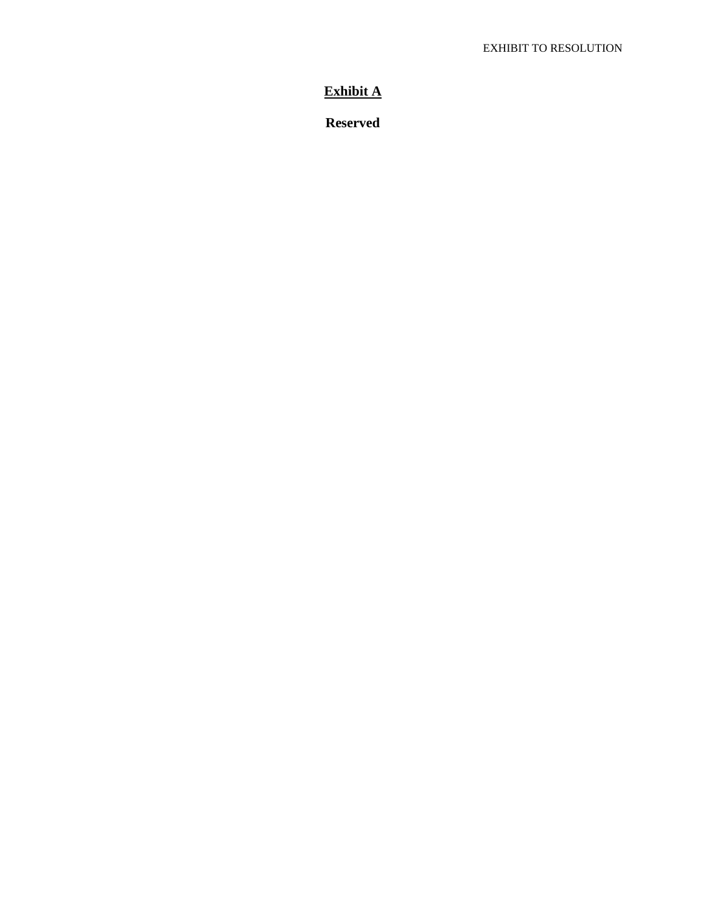## **Exhibit A**

**Reserved**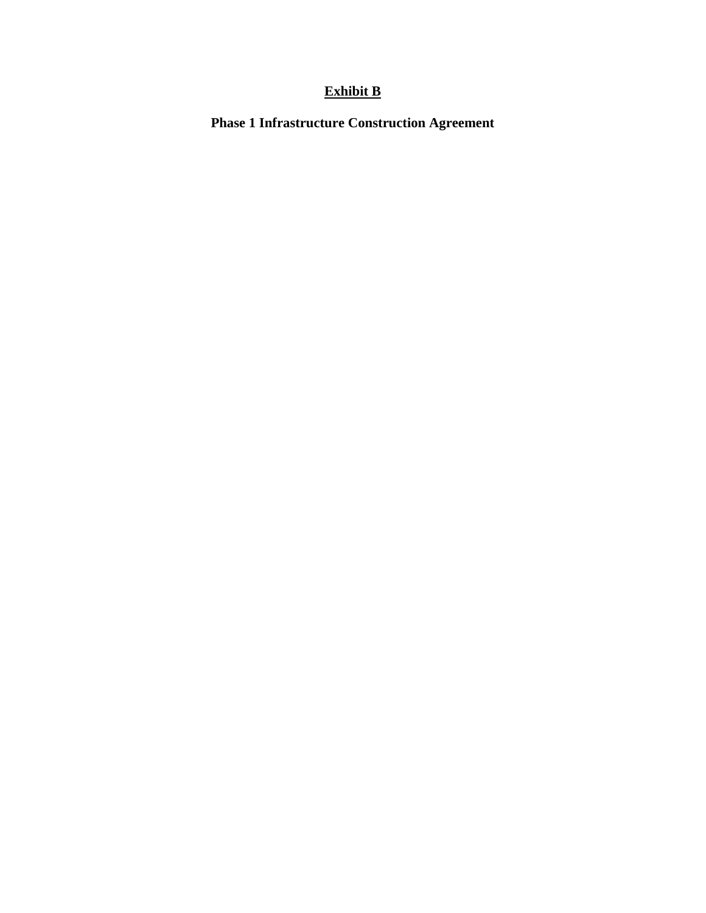# **Exhibit B**

**Phase 1 Infrastructure Construction Agreement**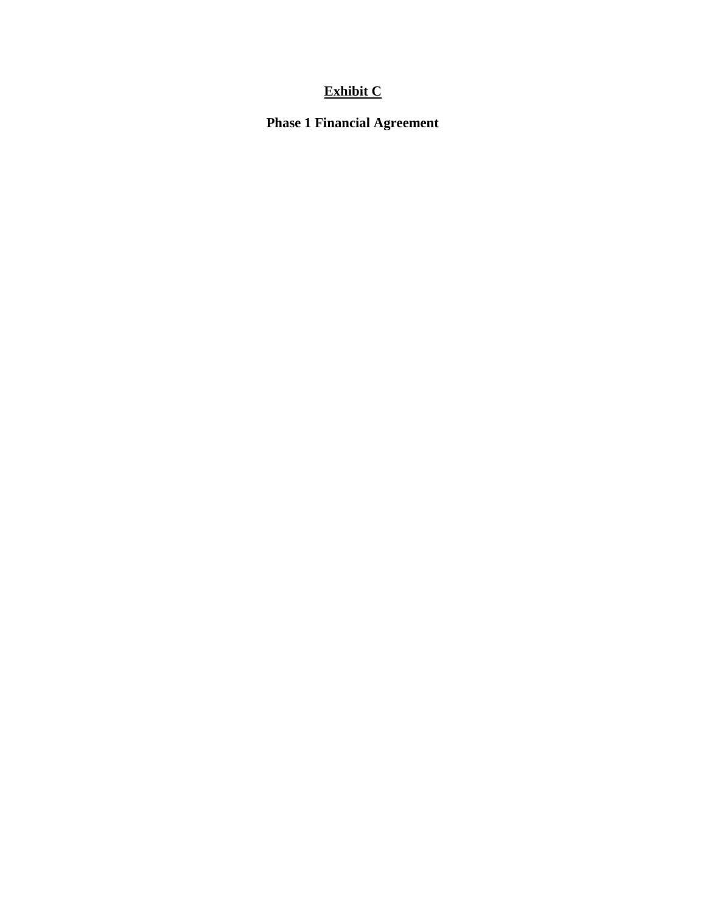# **Exhibit C**

**Phase 1 Financial Agreement**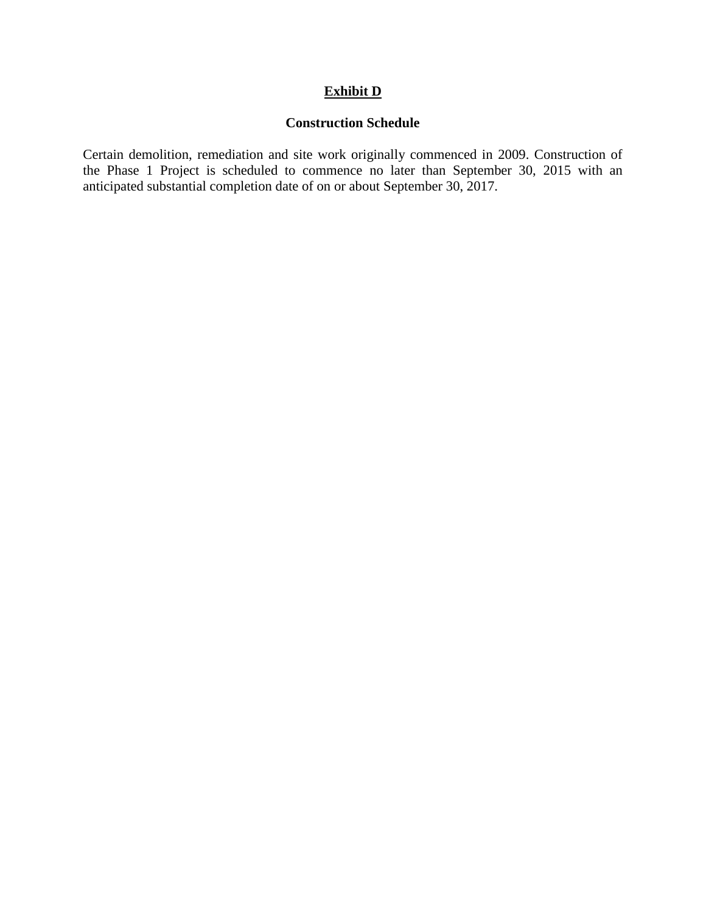### **Exhibit D**

#### **Construction Schedule**

Certain demolition, remediation and site work originally commenced in 2009. Construction of the Phase 1 Project is scheduled to commence no later than September 30, 2015 with an anticipated substantial completion date of on or about September 30, 2017.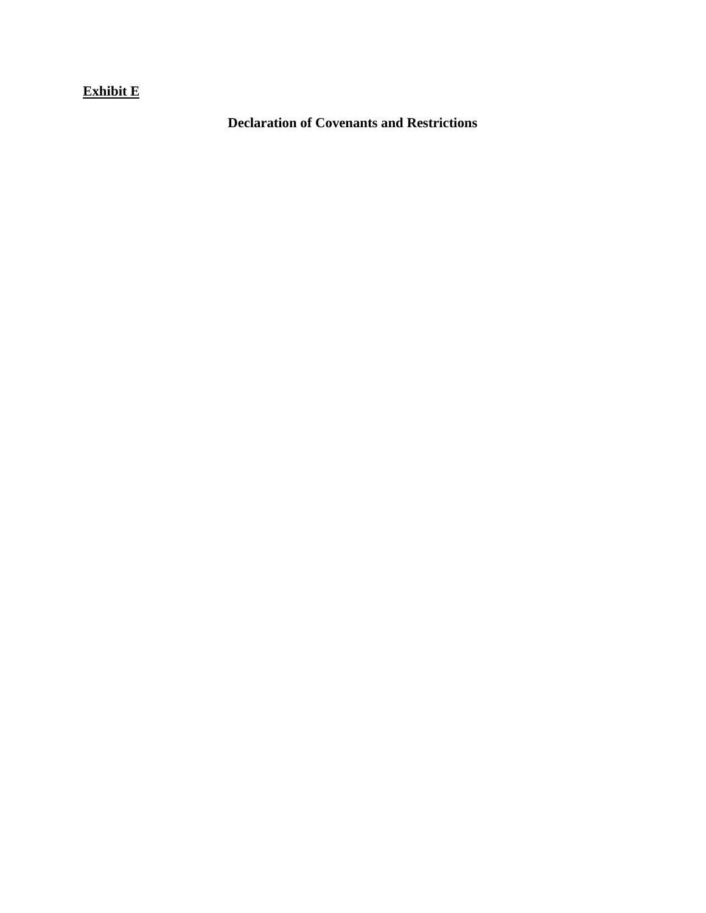## **Exhibit E**

**Declaration of Covenants and Restrictions**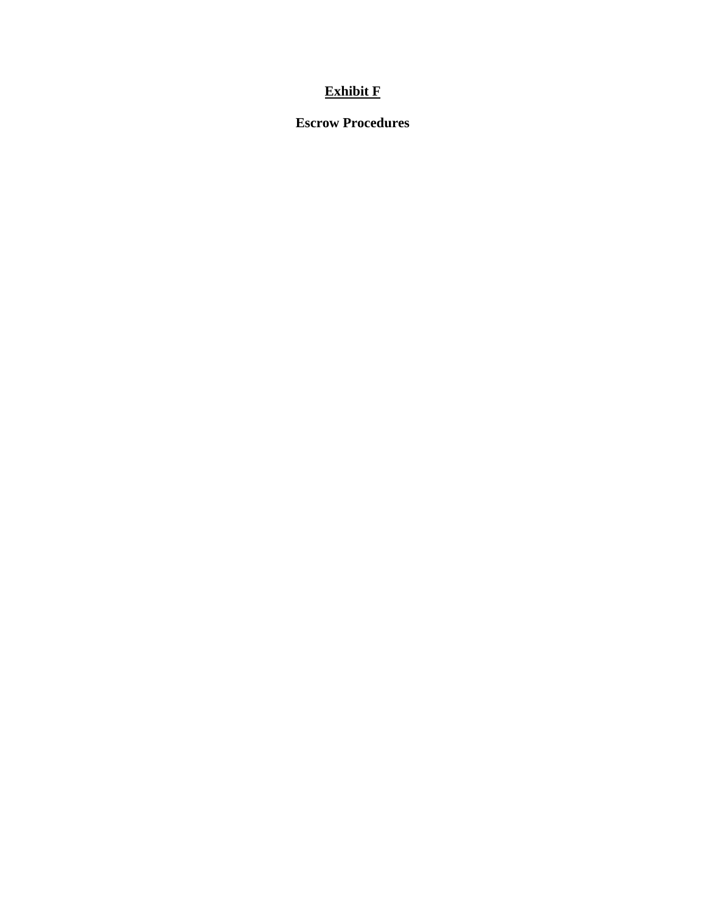## **Exhibit F**

**Escrow Procedures**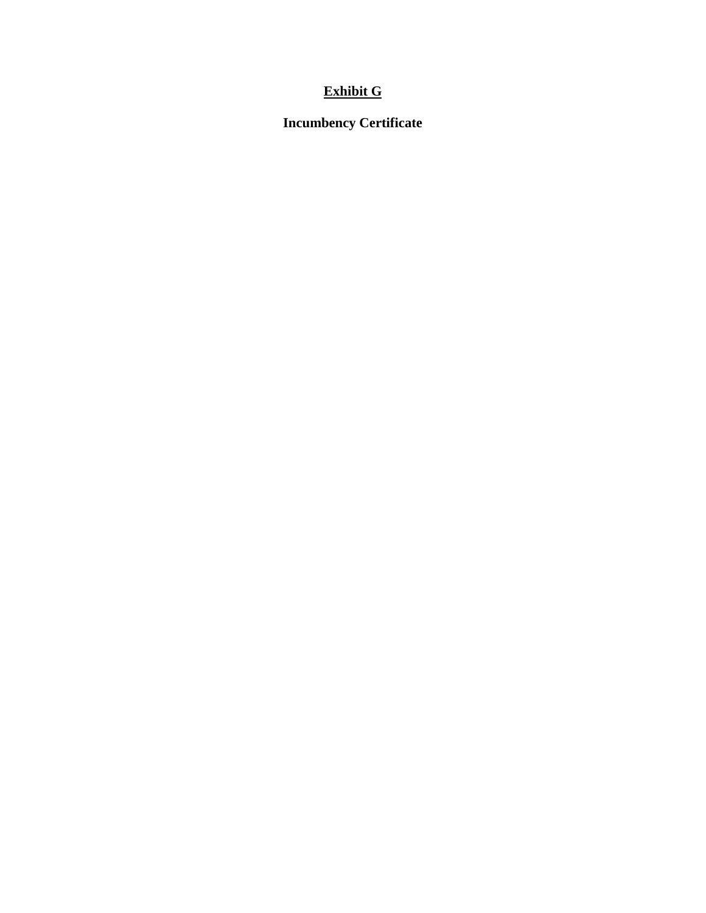## **Exhibit G**

**Incumbency Certificate**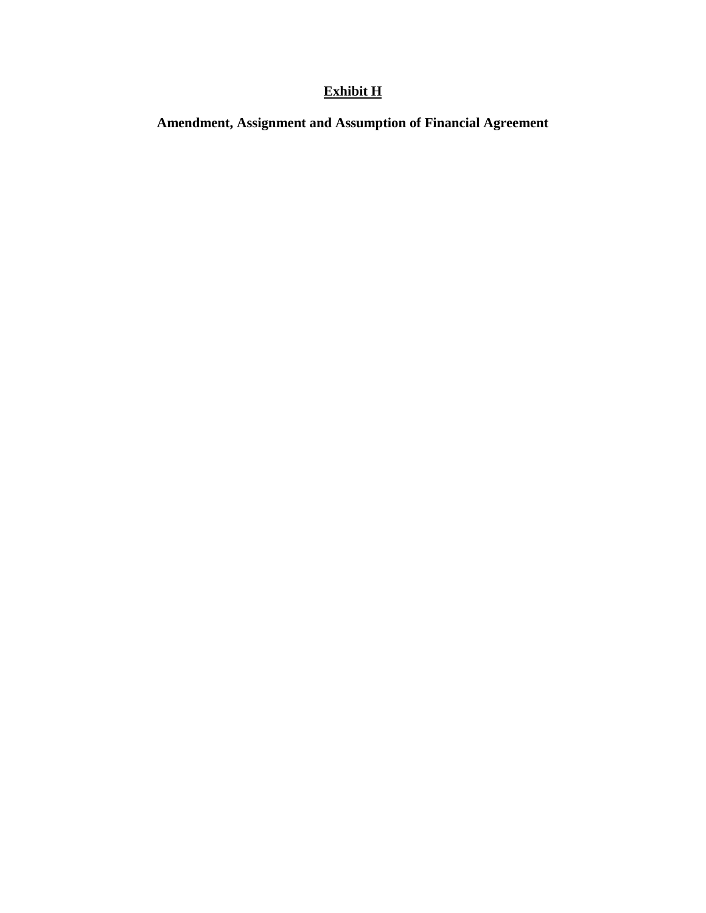# **Exhibit H**

**Amendment, Assignment and Assumption of Financial Agreement**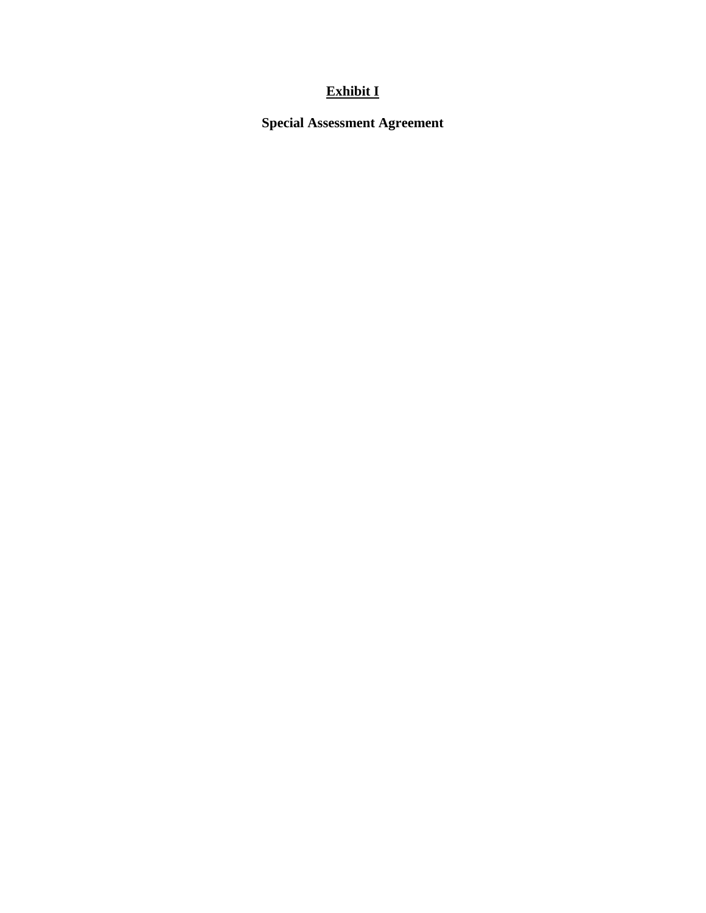# **Exhibit I**

**Special Assessment Agreement**